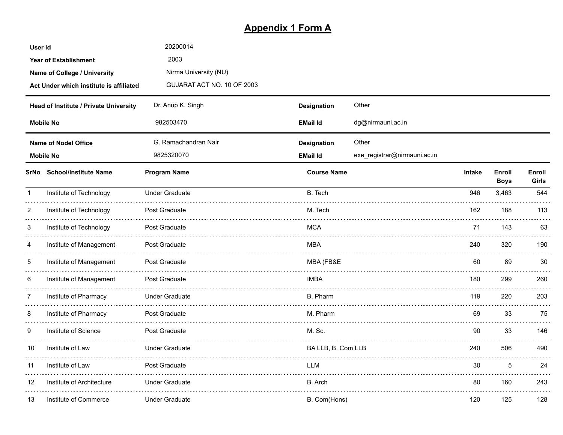# **Appendix 1 Form A**

| User Id        |                                         | 20200014                   |                    |                              |        |                       |                       |
|----------------|-----------------------------------------|----------------------------|--------------------|------------------------------|--------|-----------------------|-----------------------|
|                | <b>Year of Establishment</b>            | 2003                       |                    |                              |        |                       |                       |
|                | Name of College / University            | Nirma University (NU)      |                    |                              |        |                       |                       |
|                | Act Under which institute is affiliated | GUJARAT ACT NO. 10 OF 2003 |                    |                              |        |                       |                       |
|                | Head of Institute / Private University  | Dr. Anup K. Singh          | Designation        | Other                        |        |                       |                       |
|                | <b>Mobile No</b>                        | 982503470                  | <b>EMail Id</b>    | dg@nirmauni.ac.in            |        |                       |                       |
|                | <b>Name of Nodel Office</b>             | G. Ramachandran Nair       | <b>Designation</b> | Other                        |        |                       |                       |
|                | <b>Mobile No</b>                        | 9825320070                 | <b>EMail Id</b>    | exe_registrar@nirmauni.ac.in |        |                       |                       |
|                | SrNo School/Institute Name              | <b>Program Name</b>        | <b>Course Name</b> |                              | Intake | Enroll<br><b>Boys</b> | Enroll<br>Girls       |
| $\mathbf{1}$   | Institute of Technology                 | <b>Under Graduate</b>      | B. Tech            |                              | 946    | 3,463                 | 544                   |
| 2              | Institute of Technology                 | Post Graduate              | M. Tech            |                              | 162    | 188                   | 113                   |
| 3              | Institute of Technology                 | Post Graduate              | <b>MCA</b>         |                              | 71     | 143                   | 63                    |
| 4              | Institute of Management                 | Post Graduate              | MBA                |                              | 240    | 320                   | 190                   |
| 5              | Institute of Management                 | Post Graduate              | MBA (FB&E          |                              | 60     | 89                    | 30                    |
| 6              | Institute of Management                 | Post Graduate              | <b>IMBA</b>        |                              | 180    | 299                   | 260                   |
| $\overline{7}$ | Institute of Pharmacy                   | <b>Under Graduate</b>      | B. Pharm           |                              | 119    | 220                   | 203                   |
| 8              | Institute of Pharmacy                   | Post Graduate              | M. Pharm           |                              | 69     | 33                    | 75                    |
| 9              | Institute of Science                    | Post Graduate              | M. Sc.             |                              | 90     | 33                    | 146                   |
| 10             | Institute of Law                        | <b>Under Graduate</b>      | BA LLB, B. Com LLB |                              | 240    | 506                   | 490<br><b>Service</b> |
| 11             | Institute of Law                        | Post Graduate              | <b>IIM</b>         |                              | 30     | 5                     | 24                    |
| 12             | Institute of Architecture               | <b>Under Graduate</b>      | B. Arch            |                              | 80     | 160                   | 243                   |
| 13             | Institute of Commerce                   | Under Graduate             | B. Com(Hons)       |                              | 120    | 125                   | 128                   |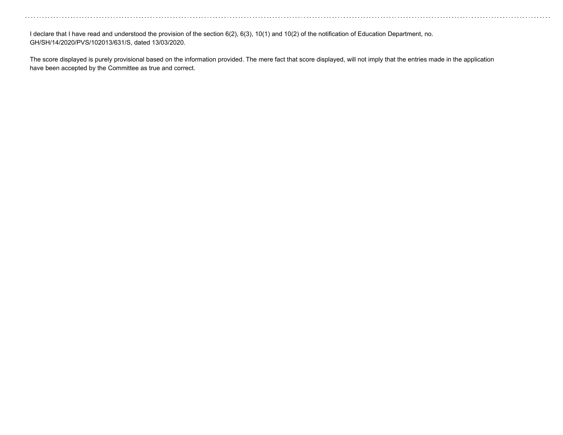I declare that I have read and understood the provision of the section 6(2), 6(3), 10(1) and 10(2) of the notification of Education Department, no. GH/SH/14/2020/PVS/102013/631/S, dated 13/03/2020.

The score displayed is purely provisional based on the information provided. The mere fact that score displayed, will not imply that the entries made in the application have been accepted by the Committee as true and correct.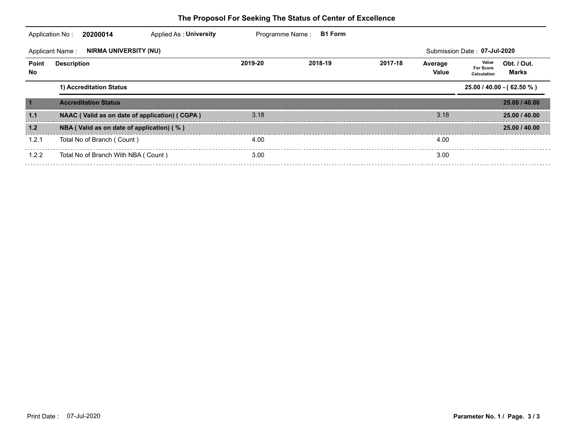|                           | Applied As: University<br>Application No:<br>20200014  | Programme Name: | <b>B1 Form</b> |         |                  |                                                           |
|---------------------------|--------------------------------------------------------|-----------------|----------------|---------|------------------|-----------------------------------------------------------|
|                           | <b>NIRMA UNIVERSITY (NU)</b><br><b>Applicant Name:</b> |                 |                |         |                  | Submission Date: 07-Jul-2020                              |
| <b>Point</b><br><b>No</b> | <b>Description</b>                                     | 2019-20         | 2018-19        | 2017-18 | Average<br>Value | Value<br>Obt. / Out.<br>For Score<br>Marks<br>Calculation |
|                           | 1) Accreditation Status                                |                 |                |         |                  | $25.00 / 40.00 - (62.50 %)$                               |
| $\overline{\mathbf{1}}$   | <b>Accreditation Status</b>                            |                 |                |         |                  | 25.00 / 40.00                                             |
| 1.1                       | NAAC (Valid as on date of application) (CGPA)          | 3.18            |                |         | 3.18             | 25.00 / 40.00                                             |
| 1.2                       | NBA (Valid as on date of application) (%)              |                 |                |         |                  | 25.00 / 40.00                                             |
| 1.2.1                     | Total No of Branch (Count)                             | 4.00            |                |         | 4.00             |                                                           |
| 1.2.2                     | Total No of Branch With NBA (Count)                    | 3.00            |                |         | 3.00             |                                                           |
|                           |                                                        |                 |                |         |                  |                                                           |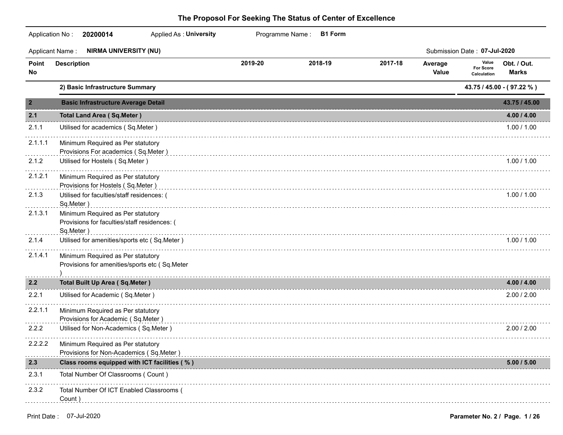|                | 20200014<br>Applied As: University<br>Application No:                                          |         | Programme Name:<br><b>B1 Form</b> |         |                  |                                          |                             |
|----------------|------------------------------------------------------------------------------------------------|---------|-----------------------------------|---------|------------------|------------------------------------------|-----------------------------|
|                | <b>NIRMA UNIVERSITY (NU)</b><br><b>Applicant Name:</b>                                         |         |                                   |         |                  | Submission Date: 07-Jul-2020             |                             |
| Point<br>No    | <b>Description</b>                                                                             | 2019-20 | 2018-19                           | 2017-18 | Average<br>Value | Value<br><b>For Score</b><br>Calculation | Obt. / Out.<br><b>Marks</b> |
|                | 2) Basic Infrastructure Summary                                                                |         |                                   |         |                  |                                          | 43.75 / 45.00 - (97.22 %)   |
| $\overline{2}$ | <b>Basic Infrastructure Average Detail</b>                                                     |         |                                   |         |                  |                                          | 43.75 / 45.00               |
| 2.1            | <b>Total Land Area (Sq.Meter)</b>                                                              |         |                                   |         |                  |                                          | 4.00 / 4.00                 |
| 2.1.1          | Utilised for academics (Sq.Meter)                                                              |         |                                   |         |                  |                                          | 1.00 / 1.00                 |
| 2.1.1.1        | Minimum Required as Per statutory<br>Provisions For academics (Sq.Meter)                       |         |                                   |         |                  |                                          |                             |
| 2.1.2          | Utilised for Hostels (Sq.Meter)                                                                |         |                                   |         |                  |                                          | 1.00 / 1.00                 |
| 2.1.2.1        | Minimum Required as Per statutory<br>Provisions for Hostels (Sq.Meter)                         |         |                                   |         |                  |                                          |                             |
| 2.1.3          | Utilised for faculties/staff residences: (<br>Sq.Meter)                                        |         |                                   |         |                  |                                          | 1.00 / 1.00                 |
| 2.1.3.1        | Minimum Required as Per statutory<br>Provisions for faculties/staff residences: (<br>Sq.Meter) |         |                                   |         |                  |                                          |                             |
| 2.1.4          | Utilised for amenities/sports etc (Sq.Meter)                                                   |         |                                   |         |                  |                                          | 1.00 / 1.00                 |
| 2.1.4.1        | Minimum Required as Per statutory<br>Provisions for amenities/sports etc (Sq.Meter             |         |                                   |         |                  |                                          |                             |
| 2.2            | <b>Total Built Up Area (Sq.Meter)</b>                                                          |         |                                   |         |                  |                                          | 4.00 / 4.00                 |
| 2.2.1          | Utilised for Academic (Sq.Meter)                                                               |         |                                   |         |                  |                                          | 2.00 / 2.00                 |
| 2.2.1.1        | Minimum Required as Per statutory<br>Provisions for Academic (Sq.Meter)                        |         |                                   |         |                  |                                          |                             |
| 2.2.2          | Utilised for Non-Academics (Sq.Meter)                                                          |         |                                   |         |                  |                                          | 2.00 / 2.00                 |
| 2.2.2.2        | Minimum Required as Per statutory<br>Provisions for Non-Academics (Sq.Meter)                   |         |                                   |         |                  |                                          |                             |
| 2.3            | Class rooms equipped with ICT facilities (%)                                                   |         |                                   |         |                  |                                          | 5.00 / 5.00                 |
| 2.3.1          | Total Number Of Classrooms (Count)                                                             |         |                                   |         |                  |                                          |                             |
| 2.3.2          | Total Number Of ICT Enabled Classrooms (<br>Count)                                             |         |                                   |         |                  |                                          |                             |
|                |                                                                                                |         |                                   |         |                  |                                          |                             |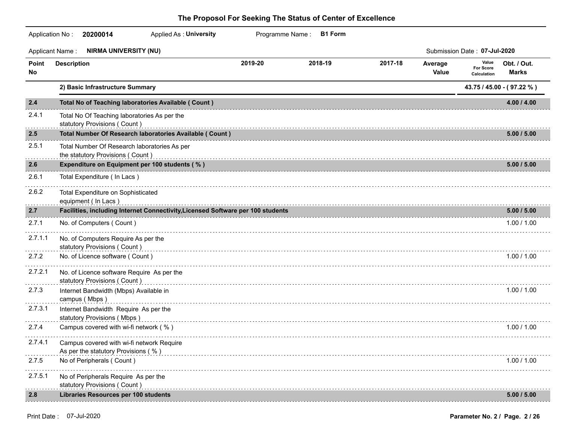|             | <b>Applied As: University</b><br>Application No: 20200014                        |         | Programme Name: B1 Form |         |                         |                                          |                             |
|-------------|----------------------------------------------------------------------------------|---------|-------------------------|---------|-------------------------|------------------------------------------|-----------------------------|
|             | <b>NIRMA UNIVERSITY (NU)</b><br><b>Applicant Name:</b>                           |         |                         |         |                         | Submission Date: 07-Jul-2020             |                             |
| Point<br>No | <b>Description</b>                                                               | 2019-20 | 2018-19                 | 2017-18 | Average<br><b>Value</b> | Value<br><b>For Score</b><br>Calculation | Obt. / Out.<br><b>Marks</b> |
|             | 2) Basic Infrastructure Summary                                                  |         |                         |         |                         |                                          | 43.75 / 45.00 - (97.22 %)   |
| 2.4         | Total No of Teaching laboratories Available ( Count )                            |         |                         |         |                         |                                          | 4.00 / 4.00                 |
| 2.4.1       | Total No Of Teaching laboratories As per the<br>statutory Provisions (Count)     |         |                         |         |                         |                                          |                             |
| 2.5         | Total Number Of Research laboratories Available ( Count )                        |         |                         |         |                         |                                          | 5.00 / 5.00                 |
| 2.5.1       | Total Number Of Research laboratories As per<br>the statutory Provisions (Count) |         |                         |         |                         |                                          |                             |
| 2.6         | Expenditure on Equipment per 100 students (%)                                    |         |                         |         |                         |                                          | 5.00 / 5.00                 |
| 2.6.1       | Total Expenditure (In Lacs)                                                      |         |                         |         |                         |                                          |                             |
| 2.6.2       | Total Expenditure on Sophisticated<br>equipment (In Lacs)                        |         |                         |         |                         |                                          |                             |
| 2.7         | Facilities, including Internet Connectivity, Licensed Software per 100 students  |         |                         |         |                         |                                          | 5.00 / 5.00                 |
| 2.7.1       | No. of Computers (Count)                                                         |         |                         |         |                         |                                          | 1.00 / 1.00                 |
| 2.7.1.1     | No. of Computers Require As per the<br>statutory Provisions (Count)              |         |                         |         |                         |                                          |                             |
| 2.7.2       | No. of Licence software (Count)                                                  |         |                         |         |                         |                                          | 1.00 / 1.00                 |
| 2.7.2.1     | No. of Licence software Require As per the<br>statutory Provisions (Count)       |         |                         |         |                         |                                          |                             |
| 2.7.3       | Internet Bandwidth (Mbps) Available in<br>campus (Mbps)                          |         |                         |         |                         |                                          | 1.00 / 1.00                 |
| 2.7.3.1     | Internet Bandwidth Require As per the<br>statutory Provisions (Mbps)             |         |                         |         |                         |                                          |                             |
| 2.7.4       | Campus covered with wi-fi network (%)                                            |         |                         |         |                         |                                          | 1.00 / 1.00                 |
| 2.7.4.1     | Campus covered with wi-fi network Require<br>As per the statutory Provisions (%) |         |                         |         |                         |                                          |                             |
| 2.7.5       | No of Peripherals (Count)                                                        |         |                         |         |                         |                                          | 1.00 / 1.00                 |
| 2.7.5.1     | No of Peripherals Require As per the<br>statutory Provisions (Count)             |         |                         |         |                         |                                          |                             |
| 2.8         | <b>Libraries Resources per 100 students</b>                                      |         |                         |         |                         |                                          | 5.00 / 5.00                 |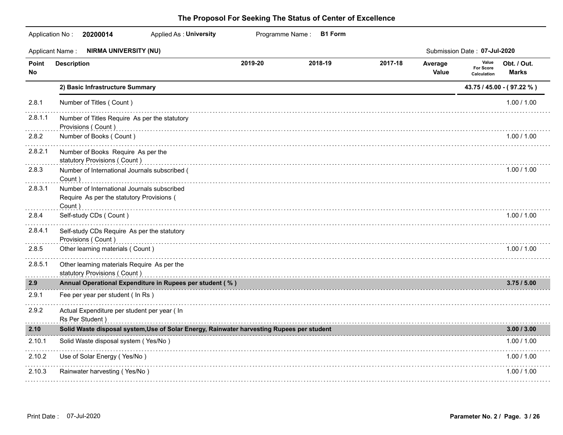|              | Application No: 20200014<br><b>Applied As: University</b>                                          |         | Programme Name: B1 Form |         |                         |                                          |                             |
|--------------|----------------------------------------------------------------------------------------------------|---------|-------------------------|---------|-------------------------|------------------------------------------|-----------------------------|
|              | <b>NIRMA UNIVERSITY (NU)</b><br><b>Applicant Name:</b>                                             |         |                         |         |                         | Submission Date: 07-Jul-2020             |                             |
| Point<br>No. | <b>Description</b>                                                                                 | 2019-20 | 2018-19                 | 2017-18 | Average<br><b>Value</b> | Value<br><b>For Score</b><br>Calculation | Obt. / Out.<br><b>Marks</b> |
|              | 2) Basic Infrastructure Summary                                                                    |         |                         |         |                         |                                          | 43.75 / 45.00 - (97.22 %)   |
| 2.8.1        | Number of Titles (Count)                                                                           |         |                         |         |                         |                                          | 1.00 / 1.00                 |
| 2.8.1.1      | Number of Titles Require As per the statutory<br>Provisions (Count)                                |         |                         |         |                         |                                          |                             |
| 2.8.2        | Number of Books (Count)                                                                            |         |                         |         |                         |                                          | $1.00$ / $1.00$             |
| 2.8.2.1      | Number of Books Require As per the<br>statutory Provisions (Count)                                 |         |                         |         |                         |                                          |                             |
| 2.8.3        | Number of International Journals subscribed (<br>Count)                                            |         |                         |         |                         |                                          | 1.00 / 1.00                 |
| 2.8.3.1      | Number of International Journals subscribed<br>Require As per the statutory Provisions (<br>Count) |         |                         |         |                         |                                          |                             |
| 2.8.4        | Self-study CDs (Count)                                                                             |         |                         |         |                         |                                          | 1.00 / 1.00                 |
| 2.8.4.1      | Self-study CDs Require As per the statutory<br>Provisions (Count)                                  |         |                         |         |                         |                                          |                             |
| 2.8.5        | Other learning materials (Count)                                                                   |         |                         |         |                         |                                          | 1.00 / 1.00                 |
| 2.8.5.1      | Other learning materials Require As per the<br>statutory Provisions (Count)                        |         |                         |         |                         |                                          |                             |
| 2.9          | Annual Operational Expenditure in Rupees per student (%)                                           |         |                         |         |                         |                                          | 3.75/5.00                   |
| 2.9.1        | Fee per year per student (In Rs)                                                                   |         |                         |         |                         |                                          |                             |
| 2.9.2        | Actual Expenditure per student per year ( In<br>Rs Per Student)                                    |         |                         |         |                         |                                          |                             |
| 2.10         | Solid Waste disposal system, Use of Solar Energy, Rainwater harvesting Rupees per student          |         |                         |         |                         |                                          | 3.00 / 3.00                 |
| 2.10.1       | Solid Waste disposal system (Yes/No)                                                               |         |                         |         |                         |                                          | 1.00 / 1.00                 |
| 2.10.2       | Use of Solar Energy (Yes/No)                                                                       |         |                         |         |                         |                                          | 1.00 / 1.00                 |
| 2.10.3       | Rainwater harvesting (Yes/No)                                                                      |         |                         |         |                         |                                          | 1.00 / 1.00                 |
|              |                                                                                                    |         |                         |         |                         |                                          |                             |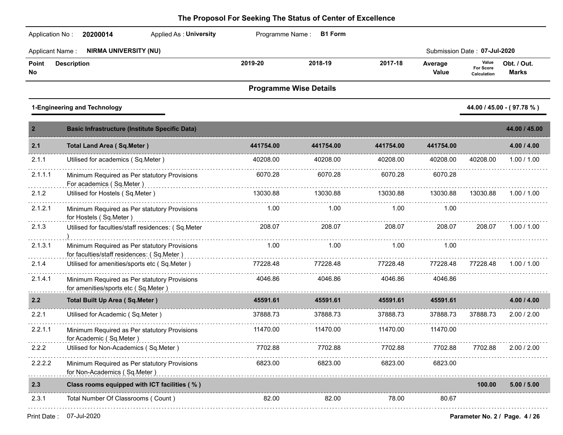| Application No:        | 20200014<br>Applied As: University                                                         |                               | Programme Name: B1 Form |           |                  |                                          |                             |
|------------------------|--------------------------------------------------------------------------------------------|-------------------------------|-------------------------|-----------|------------------|------------------------------------------|-----------------------------|
| <b>Applicant Name:</b> | <b>NIRMA UNIVERSITY (NU)</b>                                                               |                               |                         |           |                  | Submission Date: 07-Jul-2020             |                             |
| Point<br>No            | <b>Description</b>                                                                         | 2019-20                       | 2018-19                 | 2017-18   | Average<br>Value | Value<br><b>For Score</b><br>Calculation | Obt. / Out.<br><b>Marks</b> |
|                        |                                                                                            | <b>Programme Wise Details</b> |                         |           |                  |                                          |                             |
|                        | 1-Engineering and Technology                                                               |                               |                         |           |                  |                                          | 44.00 / 45.00 - (97.78 %)   |
| $\overline{2}$         | <b>Basic Infrastructure (Institute Specific Data)</b>                                      |                               |                         |           |                  |                                          | 44.00 / 45.00               |
| 2.1                    | <b>Total Land Area (Sq.Meter)</b>                                                          | 441754.00                     | 441754.00               | 441754.00 | 441754.00        |                                          | 4.00 / 4.00                 |
| 2.1.1                  | Utilised for academics (Sq.Meter)                                                          | 40208.00                      | 40208.00                | 40208.00  | 40208.00         | 40208.00                                 | 1.00 / 1.00                 |
| 2.1.1.1                | Minimum Required as Per statutory Provisions<br>For academics (Sq.Meter)                   | 6070.28                       | 6070.28                 | 6070.28   | 6070.28          |                                          |                             |
| 2.1.2                  | Utilised for Hostels (Sq.Meter)                                                            | 13030.88                      | 13030.88                | 13030.88  | 13030.88         | 13030.88                                 | 1.00 / 1.00                 |
| 2.1.2.1                | Minimum Required as Per statutory Provisions<br>for Hostels (Sq.Meter)                     | 1.00                          | 1.00                    | 1.00      | 1.00             |                                          |                             |
| 2.1.3                  | Utilised for faculties/staff residences: (Sq.Meter                                         | 208.07                        | 208.07                  | 208.07    | 208.07           | 208.07                                   | 1.00 / 1.00                 |
| 2.1.3.1                | Minimum Required as Per statutory Provisions<br>for faculties/staff residences: (Sq.Meter) | 1.00                          | 1.00                    | 1.00      | 1.00             |                                          |                             |
| 2.1.4                  | Utilised for amenities/sports etc (Sq.Meter)                                               | 77228.48                      | 77228.48                | 77228.48  | 77228.48         | 77228.48                                 | 1.00 / 1.00                 |
| 2.1.4.1                | Minimum Required as Per statutory Provisions<br>for amenities/sports etc (Sq.Meter)        | 4046.86                       | 4046.86                 | 4046.86   | 4046.86          |                                          |                             |
| 2.2                    | <b>Total Built Up Area (Sq.Meter)</b>                                                      | 45591.61                      | 45591.61                | 45591.61  | 45591.61         |                                          | 4.00 / 4.00                 |
| 2.2.1                  | Utilised for Academic (Sq.Meter)                                                           | 37888.73                      | 37888.73                | 37888.73  | 37888.73         | 37888.73                                 | 2.00 / 2.00                 |
| 2.2.1.1                | Minimum Required as Per statutory Provisions<br>for Academic (Sq.Meter)                    | 11470.00                      | 11470.00                | 11470.00  | 11470.00         |                                          |                             |
| 2.2.2                  | Utilised for Non-Academics (Sq.Meter)                                                      | 7702.88                       | 7702.88                 | 7702.88   | 7702.88          | 7702.88                                  | 2.00 / 2.00                 |
| 2.2.2.2                | Minimum Required as Per statutory Provisions<br>for Non-Academics (Sq.Meter)               | 6823.00                       | 6823.00                 | 6823.00   | 6823.00          |                                          |                             |
| 2.3                    | Class rooms equipped with ICT facilities (%)                                               |                               |                         |           |                  | 100.00                                   | 5.00 / 5.00                 |
| 2.3.1                  | Total Number Of Classrooms (Count)                                                         | 82.00                         | 82.00                   | 78.00     | 80.67            |                                          |                             |
|                        |                                                                                            |                               |                         |           |                  |                                          |                             |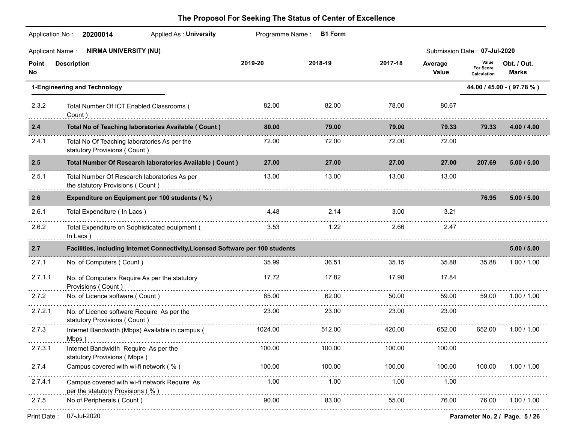|             | <b>NIRMA UNIVERSITY (NU)</b><br><b>Applicant Name:</b>                                                  |         |            |                   |                  | Submission Date: 07-Jul-2020      |                             |
|-------------|---------------------------------------------------------------------------------------------------------|---------|------------|-------------------|------------------|-----------------------------------|-----------------------------|
| Point<br>No | <b>Description</b>                                                                                      | 2019-20 | 2018-19    | 2017-18           | Average<br>Value | Value<br>For Score<br>Calculation | Obt. / Out.<br><b>Marks</b> |
|             | 1-Engineering and Technology                                                                            |         |            |                   |                  |                                   | 44.00 / 45.00 - (97.78 %)   |
| 2.3.2       | Total Number Of ICT Enabled Classrooms (<br>Count)                                                      | 82.00   | 82.00      | 78.00             | 80.67            |                                   |                             |
| 2.4         | Total No of Teaching laboratories Available ( Count )                                                   | 80.00   | 79.00      | 79.00             | 79.33            | 79.33                             | 4.00 / 4.00                 |
| 2.4.1       | Total No Of Teaching laboratories As per the<br>statutory Provisions (Count)                            | 72.00   | 72.00      | 72.00             | 72.00            |                                   |                             |
| 2.5         | Total Number Of Research laboratories Available ( Count )                                               | 27.00   | 27.00      | 27.00             | 27.00            | 207.69                            | 5.00 / 5.00                 |
| 2.5.1       | Total Number Of Research laboratories As per<br>the statutory Provisions (Count)                        | 13.00   | 13.00      | 13.00             | 13.00            |                                   |                             |
| 2.6         | Expenditure on Equipment per 100 students (%)                                                           |         |            |                   |                  | 76.95                             | 5.00 / 5.00                 |
| 2.6.1       | Total Expenditure (In Lacs)                                                                             | 4.48    | 2.14       | 3.00 <sub>1</sub> | 3.21             |                                   |                             |
| 2.6.2       | Total Expenditure on Sophisticated equipment (<br>In Lacs)                                              | 3.53    | 1.22       | 2.66              | 2.47             |                                   |                             |
| 2.7         | Facilities, including Internet Connectivity, Licensed Software per 100 students                         |         |            |                   |                  |                                   | 5.00 / 5.00                 |
| 2.7.1       | No. of Computers (Count)                                                                                | 35.99   | 36.51      | 35.15             | 35.88            | 35.88                             | 1.00 / 1.00                 |
| 2.7.1.1     | No. of Computers Require As per the statutory<br>Provisions (Count)                                     | 17.72   | 17.82      | 17.98             | 17.84            |                                   |                             |
| 2.7.2       | No. of Licence software (Count)                                                                         | 65.00   | 62.00      | 50.00             | 59.00            | 59.00                             | 1.00 / 1.00                 |
| 2.7.2.1     | No. of Licence software Require As per the<br>statutory Provisions (Count)                              | 23.00   | 23.00<br>. | 23.00             | 23.00            |                                   |                             |
| 2.7.3       | Internet Bandwidth (Mbps) Available in campus (                                                         | 1024.00 | 512.00     | 420.00            | 652.00           | 652.00                            | 1.00 / 1.00                 |
| 2.7.3.1     | Internet Bandwidth Require As per the 100.00 100.00 100.00 100.00 100.00<br>statutory Provisions (Mbps) |         |            |                   | 100.00           |                                   |                             |
| 2.7.4       | Campus covered with wi-fi network (%)                                                                   | 100.00  | 100.00     | 100.00            | 100.00           | 100.00                            | 1.00 / 1.00                 |
| 2.7.4.1     | Campus covered with wi-fi network Require As<br>per the statutory Provisions (%)                        | 1.00    | 1.00       | 1.00              | 1.00             |                                   |                             |
| 2.7.5       | No of Peripherals (Count)                                                                               | 90.00   | 83.00      | 55.00             | 76.00            | 76.00                             | 1.00 / 1.00                 |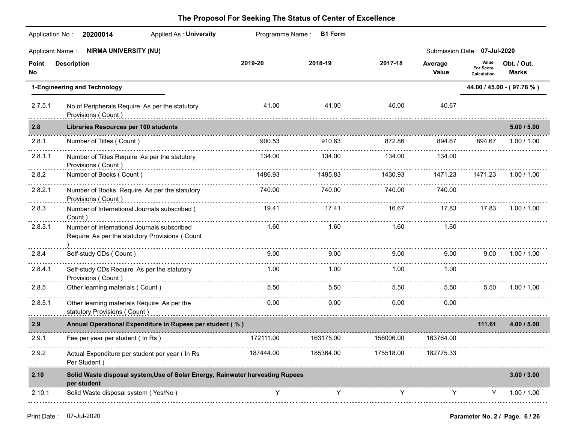| <b>Applied As: University</b><br>Application No:<br>20200014                                             |                    |                                                          |                                                                                                          |                  |                                   |                                                                                                                                                                                                                                                                |
|----------------------------------------------------------------------------------------------------------|--------------------|----------------------------------------------------------|----------------------------------------------------------------------------------------------------------|------------------|-----------------------------------|----------------------------------------------------------------------------------------------------------------------------------------------------------------------------------------------------------------------------------------------------------------|
| <b>NIRMA UNIVERSITY (NU)</b><br><b>Applicant Name:</b>                                                   |                    |                                                          |                                                                                                          |                  |                                   |                                                                                                                                                                                                                                                                |
| <b>Description</b>                                                                                       | 2019-20            | 2018-19                                                  | 2017-18                                                                                                  | Average<br>Value | Value<br>For Score<br>Calculation | Obt. / Out.<br><b>Marks</b>                                                                                                                                                                                                                                    |
| 1-Engineering and Technology                                                                             |                    |                                                          |                                                                                                          |                  |                                   | 44.00 / 45.00 - (97.78 %)                                                                                                                                                                                                                                      |
| 2.7.5.1<br>No of Peripherals Require As per the statutory                                                | 41.00              | 41.00                                                    | 40.00                                                                                                    | 40.67            |                                   |                                                                                                                                                                                                                                                                |
| Libraries Resources per 100 students                                                                     |                    |                                                          |                                                                                                          |                  |                                   | 5.00 / 5.00                                                                                                                                                                                                                                                    |
| Number of Titles (Count)                                                                                 | 900.53             | 910.63                                                   | 872.86                                                                                                   | 894.67           | 894.67                            | 1.00 / 1.00                                                                                                                                                                                                                                                    |
| 2.8.1.1<br>Number of Titles Require As per the statutory<br>Provisions (Count)                           | 134.00             | 134.00                                                   | 134.00                                                                                                   | 134.00           |                                   |                                                                                                                                                                                                                                                                |
| Number of Books (Count)                                                                                  | 1486.93            | 1495.83                                                  | 1430.93                                                                                                  | 1471.23          | 1471.23                           | 1.00 / 1.00                                                                                                                                                                                                                                                    |
| 2.8.2.1<br>Number of Books Require As per the statutory<br>Provisions (Count)                            | 740.00             | 740.00                                                   | 740.00                                                                                                   | 740.00           |                                   |                                                                                                                                                                                                                                                                |
| Number of International Journals subscribed (<br>Count)                                                  | 19.41              | 17.41                                                    | 16.67                                                                                                    | 17.83            | 17.83                             | 1.00 / 1.00                                                                                                                                                                                                                                                    |
| 2.8.3.1<br>Number of International Journals subscribed<br>Require As per the statutory Provisions (Count | 1.60               | 1.60                                                     | 1.60                                                                                                     | 1.60             |                                   |                                                                                                                                                                                                                                                                |
| Self-study CDs (Count)                                                                                   | 9.00               | 9.00                                                     | 9.00                                                                                                     | 9.00             | 9.00                              | 1.00 / 1.00                                                                                                                                                                                                                                                    |
| 2.8.4.1<br>Self-study CDs Require As per the statutory                                                   | 1.00               | 1.00                                                     | 1.00                                                                                                     | 1.00             |                                   |                                                                                                                                                                                                                                                                |
| Other learning materials (Count)                                                                         | 5.50               | 5.50                                                     | 5.50                                                                                                     | 5.50             | 5.50                              | 1.00 / 1.00                                                                                                                                                                                                                                                    |
| 2.8.5.1<br>Other learning materials Require As per the<br>statutory Provisions (Count)                   | 0.00               | 0.00                                                     | 0.00                                                                                                     | 0.00             |                                   |                                                                                                                                                                                                                                                                |
|                                                                                                          |                    |                                                          |                                                                                                          |                  | 111.61                            | 4.00 / 5.00                                                                                                                                                                                                                                                    |
| Fee per year per student (In Rs)                                                                         | 172111.00          | 163175.00                                                | 156006.00                                                                                                | 163764.00        |                                   |                                                                                                                                                                                                                                                                |
| Actual Expenditure per student per year ( In Rs<br>Per Student)                                          | 187444.00          | 185364.00                                                | 175518.00                                                                                                | 182775.33        |                                   |                                                                                                                                                                                                                                                                |
| per student                                                                                              |                    |                                                          |                                                                                                          |                  |                                   | 3.00 / 3.00                                                                                                                                                                                                                                                    |
| 2.10.1<br>Solid Waste disposal system (Yes/No)                                                           | Y                  | Y                                                        | Y                                                                                                        | Y                | Y                                 | 1.00 / 1.00                                                                                                                                                                                                                                                    |
|                                                                                                          | Provisions (Count) | Annual Operational Expenditure in Rupees per student (%) | Programme Name: B1 Form<br>Solid Waste disposal system, Use of Solar Energy, Rainwater harvesting Rupees |                  |                                   | Submission Date: 07-Jul-2020<br>Provisions ( Count ) with a construction of the construction of the construction of the construction of the construction of the construction of the construction of the construction of the construction of the construction o |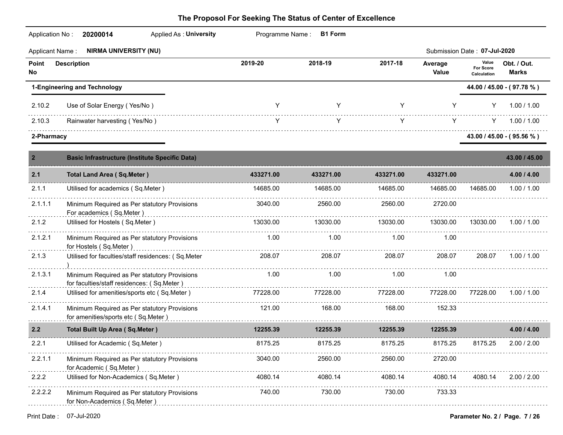| Application No:        | 20200014<br>Applied As: University                                                         | Programme Name: | <b>B1 Form</b> |           |                  |                                          |                             |  |
|------------------------|--------------------------------------------------------------------------------------------|-----------------|----------------|-----------|------------------|------------------------------------------|-----------------------------|--|
| <b>Applicant Name:</b> | <b>NIRMA UNIVERSITY (NU)</b>                                                               |                 |                |           |                  | Submission Date: 07-Jul-2020             |                             |  |
| Point<br>No            | <b>Description</b>                                                                         | 2019-20         | 2018-19        | 2017-18   | Average<br>Value | Value<br><b>For Score</b><br>Calculation | Obt. / Out.<br><b>Marks</b> |  |
|                        | 1-Engineering and Technology                                                               |                 |                |           |                  | 44.00 / 45.00 - (97.78 %)                |                             |  |
| 2.10.2                 | Use of Solar Energy (Yes/No)                                                               | Y               | Y              | Y         | Y                | Y                                        | 1.00 / 1.00                 |  |
| 2.10.3                 | Rainwater harvesting (Yes/No)                                                              | Y               | Y              | Y         | Y.               | Y.                                       | 1.00 / 1.00                 |  |
| 2-Pharmacy             |                                                                                            |                 |                |           |                  |                                          | 43.00 / 45.00 - (95.56 %)   |  |
| $\overline{2}$         | <b>Basic Infrastructure (Institute Specific Data)</b>                                      |                 |                |           |                  |                                          | 43.00 / 45.00               |  |
| 2.1                    | <b>Total Land Area (Sq.Meter)</b>                                                          | 433271.00       | 433271.00      | 433271.00 | 433271.00        |                                          | 4.00 / 4.00                 |  |
| 2.1.1                  | Utilised for academics (Sq.Meter)                                                          | 14685.00        | 14685.00       | 14685.00  | 14685.00         | 14685.00                                 | 1.00 / 1.00                 |  |
| 2.1.1.1                | Minimum Required as Per statutory Provisions<br>For academics (Sq.Meter)                   | 3040.00         | 2560.00        | 2560.00   | 2720.00          |                                          |                             |  |
| 2.1.2                  | Utilised for Hostels (Sq.Meter)                                                            | 13030.00        | 13030.00       | 13030.00  | 13030.00         | 13030.00                                 | 1.00 / 1.00                 |  |
| 2.1.2.1                | Minimum Required as Per statutory Provisions<br>for Hostels (Sq.Meter)                     | 1.00            | 1.00           | 1.00      | 1.00             |                                          |                             |  |
| 2.1.3                  | Utilised for faculties/staff residences: (Sq.Meter                                         | 208.07          | 208.07         | 208.07    | 208.07           | 208.07                                   | 1.00 / 1.00                 |  |
| 2.1.3.1                | Minimum Required as Per statutory Provisions<br>for faculties/staff residences: (Sq.Meter) | 1.00            | 1.00           | 1.00      | 1.00             |                                          |                             |  |
| 2.1.4                  | Utilised for amenities/sports etc (Sq.Meter)                                               | 77228.00        | 77228.00       | 77228.00  | 77228.00         | 77228.00                                 | 1.00 / 1.00                 |  |
| 2.1.4.1                | Minimum Required as Per statutory Provisions<br>for amenities/sports etc (Sq.Meter)        | 121.00          | 168.00         | 168.00    | 152.33           |                                          |                             |  |
| 2.2                    | <b>Total Built Up Area (Sq.Meter)</b>                                                      | 12255.39        | 12255.39       | 12255.39  | 12255.39         |                                          | 4.00 / 4.00                 |  |
| 2.2.1                  | Utilised for Academic (Sq.Meter)                                                           | 8175.25         | 8175.25        | 8175.25   | 8175.25          | 8175.25                                  | 2.00 / 2.00                 |  |
| 2.2.1.1                | Minimum Required as Per statutory Provisions<br>for Academic (Sq.Meter)                    | 3040.00         | 2560.00        | 2560.00   | 2720.00          |                                          |                             |  |
| 2.2.2                  | Utilised for Non-Academics (Sq.Meter)                                                      | 4080.14         | 4080.14        | 4080.14   | 4080.14          | 4080.14                                  | 2.00 / 2.00                 |  |
| 2.2.2.2                | Minimum Required as Per statutory Provisions<br>for Non-Academics (Sq.Meter)               | 740.00          | 730.00         | 730.00    | 733.33           |                                          |                             |  |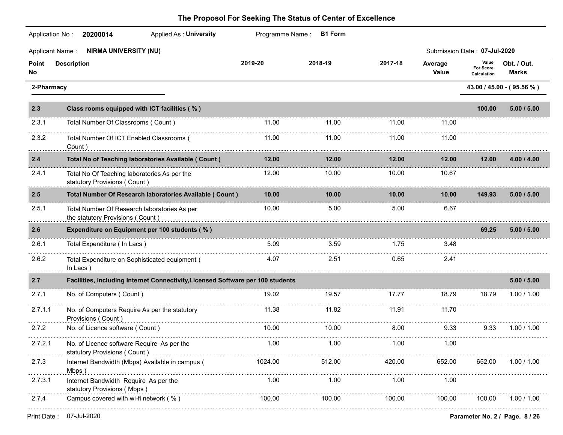|             | Application No:<br><b>Applied As: University</b><br>20200014                                   |         | Programme Name: B1 Form |         |                  |                                   |                             |
|-------------|------------------------------------------------------------------------------------------------|---------|-------------------------|---------|------------------|-----------------------------------|-----------------------------|
|             | <b>NIRMA UNIVERSITY (NU)</b><br><b>Applicant Name:</b>                                         |         |                         |         |                  | Submission Date: 07-Jul-2020      |                             |
| Point<br>No | <b>Description</b>                                                                             | 2019-20 | 2018-19                 | 2017-18 | Average<br>Value | Value<br>For Score<br>Calculation | Obt. / Out.<br><b>Marks</b> |
|             | 2-Pharmacy                                                                                     |         |                         |         |                  |                                   | 43.00 / 45.00 - (95.56 %)   |
| 2.3         | Class rooms equipped with ICT facilities (%)                                                   |         |                         |         |                  | 100.00                            | 5.00 / 5.00                 |
| 2.3.1       | Total Number Of Classrooms (Count)                                                             | 11.00   | 11.00                   | 11.00   | 11.00            |                                   |                             |
| 2.3.2       | Total Number Of ICT Enabled Classrooms (<br>Count)                                             | 11.00   | 11.00                   | 11.00   | 11.00            |                                   |                             |
| 2.4         | Total No of Teaching laboratories Available ( Count )                                          | 12.00   | 12.00                   | 12.00   | 12.00            | 12.00                             | 4.00 / 4.00                 |
| 2.4.1<br>.  | Total No Of Teaching laboratories As per the<br>statutory Provisions ( Count )<br><sub>1</sub> | 12.00   | 10.00                   | 10.00   | 10.67            |                                   |                             |
| 2.5         | Total Number Of Research laboratories Available ( Count )                                      | 10.00   | 10.00                   | 10.00   | 10.00            | 149.93                            | 5.00 / 5.00                 |
| 2.5.1       | Total Number Of Research laboratories As per<br>the statutory Provisions (Count)               | 10.00   | 5.00                    | 5.00    | 6.67             |                                   |                             |
| 2.6         | Expenditure on Equipment per 100 students (%)                                                  |         |                         |         |                  | 69.25                             | 5.00 / 5.00                 |
| 2.6.1       | Total Expenditure (In Lacs)                                                                    | 5.09    | 3.59                    | 1.75    | 3.48             |                                   |                             |
| 2.6.2       | Total Expenditure on Sophisticated equipment (<br>In Lacs $)$                                  | 4.07    | 2.51                    | 0.65    | 2.41             |                                   |                             |
| 2.7         | Facilities, including Internet Connectivity, Licensed Software per 100 students                |         |                         |         |                  |                                   | 5.00 / 5.00                 |
| 2.7.1       | No. of Computers (Count)                                                                       | 19.02   | 19.57                   | 17.77   | 18.79            | 18.79                             | 1.00 / 1.00                 |
| 2.7.1.1     | No. of Computers Require As per the statutory<br>Provisions (Count)                            | 11.38   | 11.82                   | 11.91   | 11.70            |                                   |                             |
| 2.7.2       | No. of Licence software (Count)                                                                | 10.00   | 10.00                   | 8.00    | 9.33             | 9.33                              | 1.00 / 1.00                 |
| 2.7.2.1     | No. of Licence software Require As per the<br>statutory Provisions (Count)                     | 1.00    | 1.00                    | 1.00    | 1.00             |                                   |                             |
| 2.7.3       | Internet Bandwidth (Mbps) Available in campus (<br>Mbps)                                       | 1024.00 | 512.00                  | 420.00  | 652.00           | 652.00                            | 1.00 / 1.00                 |
| 2.7.3.1     | Internet Bandwidth Require As per the<br>statutory Provisions (Mbps)                           | 1.00    | 1.00                    | 1.00    | 1.00             |                                   |                             |
| 2.7.4       | Campus covered with wi-fi network (%)                                                          | 100.00  | 100.00                  | 100.00  | 100.00           | 100.00                            | 1.00 / 1.00                 |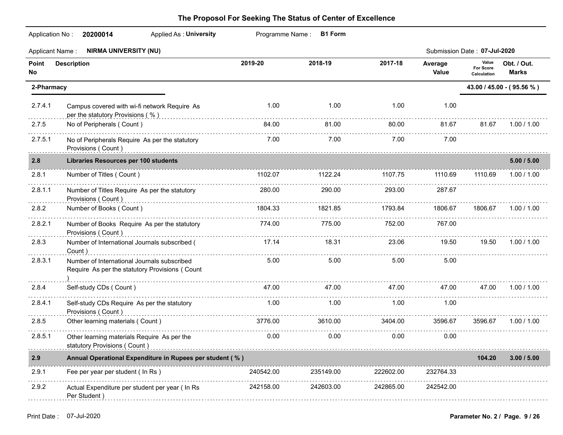|                 | Application No: 20200014                                                                      |           |           |                              |                  |                                   |                             |  |
|-----------------|-----------------------------------------------------------------------------------------------|-----------|-----------|------------------------------|------------------|-----------------------------------|-----------------------------|--|
| Applicant Name: | <b>NIRMA UNIVERSITY (NU)</b>                                                                  |           |           | Submission Date: 07-Jul-2020 |                  |                                   |                             |  |
| Point<br>No     | <b>Description</b>                                                                            | 2019-20   | 2018-19   | 2017-18                      | Average<br>Value | Value<br>For Score<br>Calculation | Obt. / Out.<br><b>Marks</b> |  |
| 2-Pharmacy      |                                                                                               |           |           |                              |                  |                                   | 43.00 / 45.00 - (95.56 %)   |  |
| 2.7.4.1         | Campus covered with wi-fi network Require As<br>per the statutory Provisions $(\% )$          | 1.00      | 1.00      | 1.00                         | 1.00             |                                   |                             |  |
| 2.7.5           | No of Peripherals (Count)                                                                     | 84.00     | 81.00     | 80.00                        | 81.67            | 81.67                             | 1.00 / 1.00                 |  |
| 2.7.5.1         | No of Peripherals Require As per the statutory<br>Provisions (Count)                          | 7.00      | 7.00      | 7.00                         | 7.00             |                                   |                             |  |
| 2.8             | <b>Libraries Resources per 100 students</b>                                                   |           |           |                              |                  |                                   | 5.00 / 5.00                 |  |
| 2.8.1           | Number of Titles (Count)                                                                      | 1102.07   | 1122.24   | 1107.75                      | 1110.69          | 1110.69                           | 1.00 / 1.00                 |  |
| 2.8.1.1         | Number of Titles Require As per the statutory<br>Provisions (Count)                           | 280.00    | 290.00    | 293.00                       | 287.67           |                                   |                             |  |
| 2.8.2           | Number of Books (Count)                                                                       | 1804.33   | 1821.85   | 1793.84                      | 1806.67          | 1806.67                           | 1.00 / 1.00                 |  |
| .<br>2.8.2.1    | Number of Books Require As per the statutory<br>Provisions (Count)                            | 774.00    | 775.00    | 752.00                       | 767.00           |                                   |                             |  |
| 2.8.3           | Number of International Journals subscribed (<br>Count)                                       | 17.14     | 18.31     | 23.06                        | 19.50            | 19.50                             | 1.00 / 1.00                 |  |
| 2.8.3.1<br>.    | Number of International Journals subscribed<br>Require As per the statutory Provisions (Count | 5.00      | 5.00      | 5.00                         | 5.00             |                                   |                             |  |
| 2.8.4           | Self-study CDs ( Count )                                                                      | 47.00     | 47.00     | 47.00                        | 47.00            | 47.00                             | 1.00 / 1.00                 |  |
| .<br>2.8.4.1    | Self-study CDs Require As per the statutory<br>Provisions (Count)                             | 1.00      | 1.00      | 1.00                         | 1.00             |                                   |                             |  |
| 2.8.5           | Other learning materials (Count)                                                              | 3776.00   | 3610.00   | 3404.00                      | 3596.67          | 3596.67                           | 1.00 / 1.00                 |  |
| 2.8.5.1         | Other learning materials Require As per the<br>statutory Provisions ( Count )<br><sub>1</sub> | 0.00      | 0.00      | 0.00                         | 0.00             |                                   |                             |  |
| 2.9             | Annual Operational Expenditure in Rupees per student (%)                                      |           |           |                              |                  | 104.20                            | 3.00 / 5.00                 |  |
| 2.9.1           | Fee per year per student ( In Rs )                                                            | 240542.00 | 235149.00 | 222602.00                    | 232764.33        |                                   |                             |  |
| 2.9.2           | Actual Expenditure per student per year (In Rs<br>Per Student)                                | 242158.00 | 242603.00 | 242865.00                    | 242542.00        |                                   |                             |  |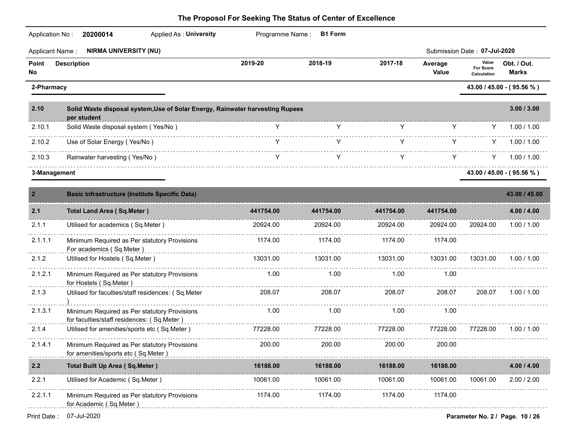| Application No:        | Applied As: University<br>20200014                                                           |               | Programme Name: B1 Form |           |                  |                                   |                             |
|------------------------|----------------------------------------------------------------------------------------------|---------------|-------------------------|-----------|------------------|-----------------------------------|-----------------------------|
| <b>Applicant Name:</b> | <b>NIRMA UNIVERSITY (NU)</b>                                                                 |               |                         |           |                  | Submission Date: 07-Jul-2020      |                             |
| Point<br>No            | <b>Description</b>                                                                           | 2019-20       | 2018-19                 | 2017-18   | Average<br>Value | Value<br>For Score<br>Calculation | Obt. / Out.<br><b>Marks</b> |
| 2-Pharmacy             |                                                                                              |               |                         |           |                  |                                   | 43.00 / 45.00 - (95.56 %)   |
| 2.10                   | Solid Waste disposal system, Use of Solar Energy, Rainwater harvesting Rupees<br>per student |               |                         |           |                  |                                   | 3.00 / 3.00                 |
| 2.10.1                 | Solid Waste disposal system (Yes/No)                                                         | Y.            | Y                       | Y         | Y.               | Y                                 | 1.00 / 1.00                 |
| 2.10.2                 | Use of Solar Energy (Yes/No)                                                                 | Y.            | Y                       | Y         | Y.               | Y.                                | 1.00 / 1.00                 |
| 2.10.3                 | Rainwater harvesting (Yes/No)                                                                | Y             | Y                       | Y         | Y.               | Y.                                | 1.00 / 1.00                 |
| 3-Management           |                                                                                              |               |                         |           |                  |                                   | 43.00 / 45.00 - (95.56 %)   |
| $\overline{2}$         | <b>Basic Infrastructure (Institute Specific Data)</b>                                        |               |                         |           |                  |                                   | 43.00 / 45.00               |
| 2.1                    | <b>Total Land Area (Sq.Meter)</b>                                                            | 441754.00     | 441754.00               | 441754.00 | 441754.00        |                                   | 4.00 / 4.00                 |
| 2.1.1                  | Utilised for academics (Sq.Meter)                                                            | 20924.00      | 20924.00                | 20924.00  | 20924.00         | 20924.00                          | 1.00 / 1.00                 |
| 2.1.1.1                | Minimum Required as Per statutory Provisions<br>For academics (Sq.Meter)                     | 1174.00       | 1174.00                 | 1174.00   | 1174.00          |                                   |                             |
| 2.1.2                  | Utilised for Hostels (Sq.Meter)                                                              | 13031.00      | 13031.00                | 13031.00  | 13031.00         | 13031.00                          | 1.00 / 1.00                 |
| 2.1.2.1                | Minimum Required as Per statutory Provisions<br>for Hostels (Sq.Meter)                       | 1.00          | 1.00                    | 1.00      | 1.00             |                                   |                             |
| 2.1.3                  | Utilised for faculties/staff residences: (Sq.Meter                                           | 208.07        | 208.07                  | 208.07    | 208.07           | 208.07                            | 1.00 / 1.00                 |
| 2.1.3.1                | Minimum Required as Per statutory Provisions<br>for faculties/staff residences: (Sq.Meter)   | 1.00          | 1.00                    | 1.00      | 1.00             |                                   |                             |
| 2.1.4                  | Utilised for amenities/sports etc (Sq.Meter)                                                 | 77228.00<br>. | 77228.00                | 77228.00  | 77228.00         | 77228.00                          | 1.00 / 1.00                 |
| 2.1.4.1                | Minimum Required as Per statutory Provisions<br>for amenities/sports etc (Sq.Meter)          | 200.00        | 200.00                  | 200.00    | 200.00           |                                   |                             |
| 2.2                    | <b>Total Built Up Area (Sq.Meter)</b>                                                        | 16188.00      | 16188.00                | 16188.00  | 16188.00         |                                   | 4.00 / 4.00                 |
| 2.2.1                  | Utilised for Academic (Sq.Meter)                                                             | 10061.00      | 10061.00                | 10061.00  | 10061.00         | 10061.00                          | 2.00 / 2.00                 |
| 2.2.1.1                | Minimum Required as Per statutory Provisions<br>for Academic (Sq.Meter)                      | 1174.00       | 1174.00                 | 1174.00   | 1174.00          |                                   |                             |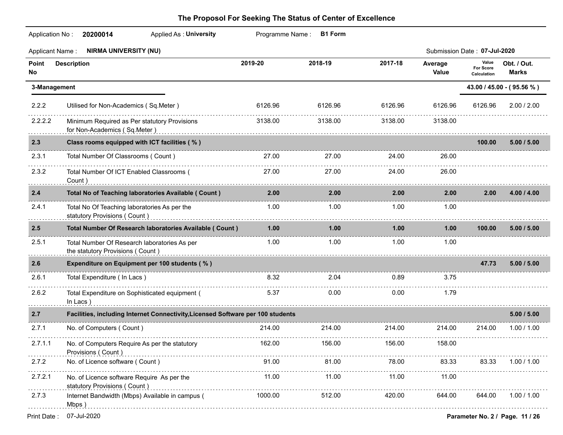| Application No:        | 20200014<br><b>Applied As: University</b>                                                                                                          |         | Programme Name: B1 Form |         |                  |                                   |                                 |
|------------------------|----------------------------------------------------------------------------------------------------------------------------------------------------|---------|-------------------------|---------|------------------|-----------------------------------|---------------------------------|
| <b>Applicant Name:</b> | <b>NIRMA UNIVERSITY (NU)</b>                                                                                                                       |         |                         |         |                  | Submission Date: 07-Jul-2020      |                                 |
| Point<br>No            | <b>Description</b>                                                                                                                                 | 2019-20 | 2018-19                 | 2017-18 | Average<br>Value | Value<br>For Score<br>Calculation | Obt. / Out.<br><b>Marks</b>     |
| 3-Management           |                                                                                                                                                    |         |                         |         |                  |                                   | 43.00 / 45.00 - (95.56 %)       |
| 2.2.2                  | Utilised for Non-Academics (Sq.Meter)                                                                                                              | 6126.96 | 6126.96                 | 6126.96 | 6126.96          | 6126.96                           | 2.00 / 2.00                     |
| 2.2.2.2                | Minimum Required as Per statutory Provisions<br>for Non-Academics (Sq.Meter)                                                                       | 3138.00 | 3138.00                 | 3138.00 | 3138.00          |                                   |                                 |
| 2.3                    | Class rooms equipped with ICT facilities (%)                                                                                                       |         |                         |         |                  | 100.00                            | 5.00 / 5.00                     |
| 2.3.1                  | Total Number Of Classrooms (Count)                                                                                                                 | 27.00   | 27.00                   | 24.00   | 26.00            |                                   |                                 |
| 2.3.2                  | Total Number Of ICT Enabled Classrooms (<br>Count)                                                                                                 | 27.00   | 27.00                   | 24.00   | 26.00            |                                   |                                 |
| 2.4                    | Total No of Teaching laboratories Available ( Count )                                                                                              | 2.00    | 2.00                    | 2.00    | 2.00             | 2.00                              | 4.00 / 4.00                     |
| 2.4.1                  | Total No Of Teaching laboratories As per the<br>statutory Provisions (Count)<br>and Count (Count)                                                  | 1.00    | 1.00                    | 1.00    | 1.00             |                                   |                                 |
| 2.5                    | Total Number Of Research laboratories Available (Count)                                                                                            | 1.00    | 1.00                    | 1.00    | 1.00             | 100.00                            | 5.00 / 5.00                     |
| 2.5.1                  | Total Number Of Research laboratories As per<br>the statutory Provisions (Count) entertainment and the statute of the statutory provisions (Count) | 1.00    | 1.00                    | 1.00    | 1.00             |                                   |                                 |
| 2.6                    | Expenditure on Equipment per 100 students (%)                                                                                                      |         |                         |         |                  | 47.73                             | 5.00 / 5.00                     |
| 2.6.1                  | Total Expenditure (In Lacs)                                                                                                                        | 8.32    | 2.04                    | 0.89    | 3.75             |                                   |                                 |
| 2.6.2                  | Total Expenditure on Sophisticated equipment (<br>In Lacs)                                                                                         | 5.37    | 0.00                    | 0.00    | 1.79             |                                   |                                 |
| 2.7                    | Facilities, including Internet Connectivity, Licensed Software per 100 students                                                                    |         |                         |         |                  |                                   | 5.00 / 5.00                     |
| 2.7.1                  | No. of Computers (Count)                                                                                                                           | 214.00  | 214.00                  | 214.00  | 214.00           | 214.00                            | 1.00 / 1.00                     |
| 2.7.1.1                | No. of Computers Require As per the statutory<br>Provisions (Count)                                                                                | 162.00  | 156.00                  | 156.00  | 158.00           |                                   |                                 |
| 2.7.2                  | No. of Licence software (Count)                                                                                                                    | 91.00   | 81.00                   | 78.00   | 83.33            | 83.33                             | 1.00 / 1.00                     |
| 2.7.2.1                | No. of Licence software Require As per the<br>statutory Provisions (Count)                                                                         | 11.00   | 11.00                   | 11.00   | 11.00            |                                   |                                 |
| 2.7.3                  | Internet Bandwidth (Mbps) Available in campus (<br>Mbps)                                                                                           | 1000.00 | 512.00                  | 420.00  | 644.00           | 644.00                            | 1.00 / 1.00                     |
| Print Date:            | 07-Jul-2020                                                                                                                                        |         |                         |         |                  |                                   | Parameter No. 2 / Page. 11 / 26 |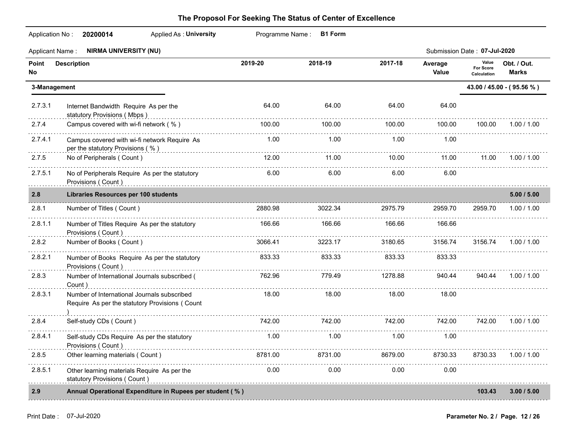|             | <b>Applied As: University</b><br>Application No: 20200014                                     |         | Programme Name: B1 Form |          |                  |                                   |                             |
|-------------|-----------------------------------------------------------------------------------------------|---------|-------------------------|----------|------------------|-----------------------------------|-----------------------------|
|             | <b>NIRMA UNIVERSITY (NU)</b><br>Applicant Name :                                              |         |                         |          |                  | Submission Date: 07-Jul-2020      |                             |
| Point<br>No | <b>Description</b>                                                                            | 2019-20 | 2018-19                 | 2017-18  | Average<br>Value | Value<br>For Score<br>Calculation | Obt. / Out.<br><b>Marks</b> |
|             | 3-Management                                                                                  |         |                         |          |                  |                                   | 43.00 / 45.00 - (95.56 %)   |
| 2.7.3.1     | Internet Bandwidth Require As per the<br>statutory Provisions (Mbps)                          | 64.00   | 64.00                   | 64.00    | 64.00            |                                   |                             |
| 2.7.4       | Campus covered with wi-fi network (%)                                                         | 100.00  | 100.00                  | 100.00   | 100.00           | 100.00                            | 1.00 / 1.00                 |
| 2.7.4.1     | Campus covered with wi-fi network Require As<br>per the statutory Provisions (%)              | 1.00    | 1.00                    | 1.00     | 1.00             |                                   |                             |
| 2.7.5       | No of Peripherals (Count)                                                                     | 12.00   | 11.00                   | 10.00    | 11.00            | 11.00                             | 1.00 / 1.00                 |
| 2.7.5.1     | No of Peripherals Require As per the statutory                                                | 6.00    | 6.00                    | 6.00     | 6.00             |                                   |                             |
| 2.8         | Libraries Resources per 100 students                                                          |         |                         |          |                  |                                   | 5.00 / 5.00                 |
| 2.8.1       | Number of Titles (Count)                                                                      | 2880.98 | 3022.34                 | 2975.79  | 2959.70          | 2959.70                           | 1.00 / 1.00                 |
| 2.8.1.1     | Number of Titles Require As per the statutory<br>Provisions (Count)                           | 166.66  | 166.66                  | 166.66   | 166.66           |                                   |                             |
| 2.8.2       | Number of Books (Count)                                                                       | 3066.41 | 3223.17                 | 3180.65  | 3156.74          | 3156.74                           | 1.00 / 1.00                 |
| 2.8.2.1     | Number of Books Require As per the statutory<br>Provisions (Count)                            | 833.33  | 833.33                  | 833.33   | 833.33           |                                   |                             |
| 2.8.3       | Number of International Journals subscribed (                                                 | 762.96  | 779.49                  | 1278.88  | 940.44           | 940.44                            | 1.00 / 1.00                 |
| 2.8.3.1     | Number of International Journals subscribed<br>Require As per the statutory Provisions (Count | 18.00   | 18.00                   | 18.00    | 18.00            |                                   |                             |
| 2.8.4       | Self-study CDs (Count)                                                                        | 742.00  | 742.00                  | 742.00   | 742.00           | 742.00                            | 1.00 / 1.00                 |
| 2.8.4.1     | Self-study CDs Require As per the statutory<br>Provisions (Count)                             | 1.00    | 1.00                    | 1.00     | 1.00             |                                   |                             |
| 2.8.5       | Other learning materials (Count)                                                              | 8781.00 | 8731.00                 | 8679.00  | 8730.33          | 8730.33                           | 1.00 / 1.00                 |
| 2.8.5.1     | Other learning materials Require As per the<br>statutory Provisions (Count)                   | 0.00    | 0.00                    | $0.00 -$ | 0.00             |                                   |                             |
| 2.9         | Annual Operational Expenditure in Rupees per student (%)                                      |         |                         |          |                  | 103.43                            | 3.00 / 5.00                 |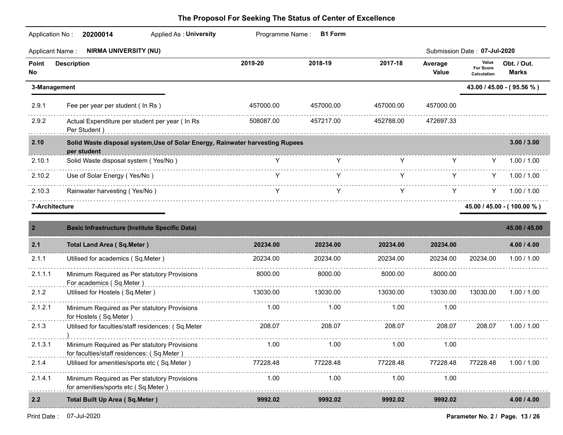|                | <b>NIRMA UNIVERSITY (NU)</b><br><b>Applicant Name:</b>                                       |           |           |           |                  | Submission Date: 07-Jul-2020      |                             |
|----------------|----------------------------------------------------------------------------------------------|-----------|-----------|-----------|------------------|-----------------------------------|-----------------------------|
| Point<br>No    | <b>Description</b>                                                                           | 2019-20   | 2018-19   | 2017-18   | Average<br>Value | Value<br>For Score<br>Calculation | Obt. / Out.<br><b>Marks</b> |
|                | 3-Management                                                                                 |           |           |           |                  |                                   | 43.00 / 45.00 - (95.56 %)   |
| 2.9.1          | Fee per year per student ( In Rs )                                                           | 457000.00 | 457000.00 | 457000.00 | 457000.00        |                                   |                             |
| 2.9.2          | Actual Expenditure per student per year ( In Rs<br>Per Student)                              | 508087.00 | 457217.00 | 452788.00 | 472697.33        |                                   |                             |
| 2.10           | Solid Waste disposal system, Use of Solar Energy, Rainwater harvesting Rupees<br>per student |           |           |           |                  |                                   | 3.00 / 3.00                 |
| 2.10.1         | Solid Waste disposal system (Yes/No)                                                         | Y         | Y         | Y         | Y.               | Y                                 | 1.00 / 1.00                 |
| 2.10.2         | Use of Solar Energy (Yes/No)                                                                 | Y         | Y         | Y         | Y.               | Y.                                | 1.00 / 1.00                 |
| 2.10.3         | Rainwater harvesting (Yes/No)                                                                | Y         | Y         | Y         | Y.               | Y                                 | 1.00 / 1.00                 |
|                | 7-Architecture                                                                               |           |           |           |                  |                                   | 45.00 / 45.00 - (100.00 %)  |
| $\overline{2}$ | <b>Basic Infrastructure (Institute Specific Data)</b>                                        |           |           |           |                  |                                   | 45.00 / 45.00               |
| 2.1            | <b>Total Land Area (Sq.Meter)</b>                                                            | 20234.00  | 20234.00  | 20234.00  | 20234.00         |                                   | 4.00 / 4.00                 |
| 2.1.1          | Utilised for academics (Sq.Meter)                                                            | 20234.00  | 20234.00  | 20234.00  | 20234.00         | 20234.00                          | 1.00 / 1.00                 |
| 2.1.1.1        | Minimum Required as Per statutory Provisions<br>For academics (Sq.Meter)                     | 8000.00   | 8000.00   | 8000.00   | 8000.00          |                                   |                             |
| 2.1.2          | Utilised for Hostels (Sq.Meter)                                                              | 13030.00  | 13030.00  | 13030.00  | 13030.00         | 13030.00                          | 1.00 / 1.00                 |
| 2.1.2.1        | Minimum Required as Per statutory Provisions<br>for Hostels (Sq.Meter)                       | 1.00      | 1.00      | 1.00      | 1.00             |                                   |                             |
| 2.1.3          | Utilised for faculties/staff residences: (Sq.Meter                                           | 208.07    | 208.07    | 208.07    | 208.07           | 208.07                            | 1.00 / 1.00                 |
| 2.1.3.1        | Minimum Required as Per statutory Provisions<br>for faculties/staff residences: (Sq.Meter)   | 1.00      | 1.00      | 1.00      | 1.00             |                                   |                             |
| 2.1.4          | Utilised for amenities/sports etc (Sq.Meter)                                                 | 77228.48  | 77228.48  | 77228.48  | 77228.48         | 77228.48                          | 1.00 / 1.00                 |
| 2.1.4.1        | Minimum Required as Per statutory Provisions<br>for amenities/sports etc (Sq.Meter)          | 1.00      | 1.00      | 1.00      | 1.00             |                                   |                             |
| $2.2$          | <b>Total Built Up Area (Sq.Meter)</b>                                                        | 9992.02   | 9992.02   | 9992.02   | 9992.02          |                                   | 4.00 / 4.00                 |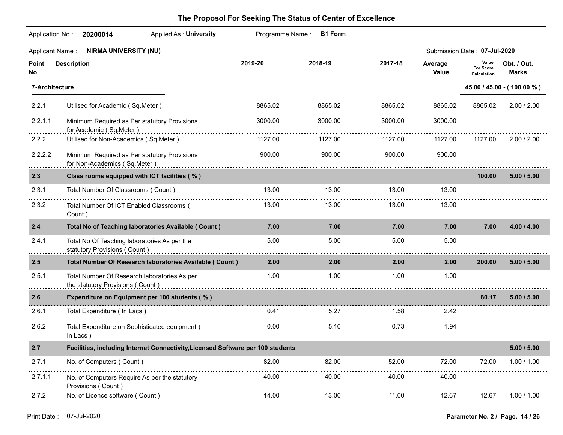|             | Application No: 20200014<br>Applied As: University                                                                                                                                                                                                                             |         | Programme Name: B1 Form |         |                  |                                   |                            |
|-------------|--------------------------------------------------------------------------------------------------------------------------------------------------------------------------------------------------------------------------------------------------------------------------------|---------|-------------------------|---------|------------------|-----------------------------------|----------------------------|
|             | <b>NIRMA UNIVERSITY (NU)</b><br><b>Applicant Name:</b>                                                                                                                                                                                                                         |         |                         |         |                  | Submission Date: 07-Jul-2020      |                            |
| Point<br>No | <b>Description</b>                                                                                                                                                                                                                                                             | 2019-20 | 2018-19                 | 2017-18 | Average<br>Value | Value<br>For Score<br>Calculation | Obt. / Out.<br>Marks       |
|             | 7-Architecture                                                                                                                                                                                                                                                                 |         |                         |         |                  |                                   | 45.00 / 45.00 - (100.00 %) |
| 2.2.1       | Utilised for Academic (Sq.Meter)                                                                                                                                                                                                                                               | 8865.02 | 8865.02                 | 8865.02 | 8865.02          | 8865.02                           | 2.00 / 2.00                |
| 2.2.1.1     | Minimum Required as Per statutory Provisions<br>for Academic (Sq.Meter)                                                                                                                                                                                                        | 3000.00 | 3000.00                 | 3000.00 | 3000.00          |                                   |                            |
| 2.2.2       | Utilised for Non-Academics (Sq.Meter)                                                                                                                                                                                                                                          | 1127.00 | 1127.00                 | 1127.00 | 1127.00          | 1127.00                           | 2.00 / 2.00                |
| 2.2.2.2     | Minimum Required as Per statutory Provisions<br>for Non-Academics (Sq.Meter)                                                                                                                                                                                                   | 900.00  | 900.00                  | 900.00  | 900.00           |                                   |                            |
| 2.3         | Class rooms equipped with ICT facilities (%)                                                                                                                                                                                                                                   |         |                         |         |                  | 100.00                            | 5.00 / 5.00                |
| 2.3.1       | Total Number Of Classrooms (Count)                                                                                                                                                                                                                                             | 13.00   | 13.00                   | 13.00   | 13.00            |                                   |                            |
| 2.3.2       | Total Number Of ICT Enabled Classrooms (<br>Count)                                                                                                                                                                                                                             | 13.00   | 13.00                   | 13.00   | 13.00            |                                   |                            |
| 2.4         | Total No of Teaching laboratories Available ( Count )                                                                                                                                                                                                                          | 7.00    | 7.00                    | 7.00    | 7.00             | 7.00                              | 4.00 / 4.00                |
| 2.4.1       | Total No Of Teaching laboratories As per the<br>statutory Provisions (Count) example and the control of the control of the control of the control of the control of the control of the control of the control of the control of the control of the control of the control of t | 5.00    | 5.00                    | 5.00    | 5.00             |                                   |                            |
| 2.5         | Total Number Of Research laboratories Available ( Count )                                                                                                                                                                                                                      | 2.00    | 2.00                    | 2.00    | 2.00             | 200.00                            | 5.00 / 5.00                |
| 2.5.1       | Total Number Of Research laboratories As per<br>the statutory Provisions (Count)                                                                                                                                                                                               | 1.00    | 1.00                    | 1.00    | 1.00             |                                   |                            |
| 2.6         | Expenditure on Equipment per 100 students (%)                                                                                                                                                                                                                                  |         |                         |         |                  | 80.17                             | 5.00 / 5.00                |
| 2.6.1       | Total Expenditure (In Lacs)                                                                                                                                                                                                                                                    | 0.41    | 5.27                    | 1.58    | 2.42             |                                   |                            |
| 2.6.2       | Total Expenditure on Sophisticated equipment (                                                                                                                                                                                                                                 | 0.00    | 5.10                    | 0.73    | 1.94             |                                   |                            |
| 2.7         | Facilities, including Internet Connectivity, Licensed Software per 100 students                                                                                                                                                                                                |         |                         |         |                  |                                   | 5.00 / 5.00                |
| 2.7.1       | No. of Computers (Count)                                                                                                                                                                                                                                                       | 82.00   | 82.00                   | 52.00   | 72.00            | 72.00                             | 1.00 / 1.00                |
| 2.7.1.1     | No. of Computers Require As per the statutory<br>Provisions (Count)                                                                                                                                                                                                            | 40.00   | 40.00                   | 40.00   | 40.00            |                                   |                            |
| 2.7.2       | No. of Licence software (Count)                                                                                                                                                                                                                                                | 14.00   | 13.00                   | 11.00   | 12.67            | 12.67                             | 1.00 / 1.00                |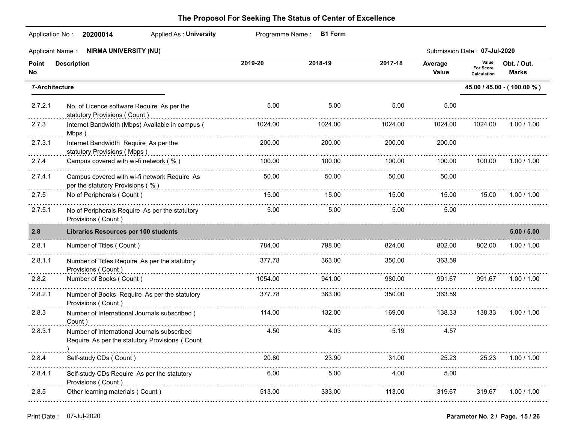| Application No:        | <b>Applied As: University</b><br>20200014                                                                                                  | Programme Name: | <b>B1 Form</b> |         |                  |                                   |                             |
|------------------------|--------------------------------------------------------------------------------------------------------------------------------------------|-----------------|----------------|---------|------------------|-----------------------------------|-----------------------------|
| <b>Applicant Name:</b> | <b>NIRMA UNIVERSITY (NU)</b>                                                                                                               |                 |                |         |                  | Submission Date: 07-Jul-2020      |                             |
| Point<br>No            | <b>Description</b>                                                                                                                         | 2019-20         | 2018-19        | 2017-18 | Average<br>Value | Value<br>For Score<br>Calculation | Obt. / Out.<br><b>Marks</b> |
| 7-Architecture         |                                                                                                                                            |                 |                |         |                  |                                   | 45.00 / 45.00 - (100.00 %)  |
| 2.7.2.1                | No. of Licence software Require As per the<br>statutory Provisions (Count)                                                                 | 5.00            | 5.00           | 5.00    | 5.00             |                                   |                             |
| 2.7.3                  | Internet Bandwidth (Mbps) Available in campus (<br>Mbps)                                                                                   | 1024.00         | 1024.00        | 1024.00 | 1024.00          | 1024.00                           | 1.00 / 1.00                 |
| 2.7.3.1                | Internet Bandwidth Require As per the<br>statutory Provisions (Mbps)                                                                       | 200.00          | 200.00         | 200.00  | 200.00           |                                   |                             |
| 2.7.4                  | Campus covered with wi-fi network (%)                                                                                                      | 100.00          | 100.00         | 100.00  | 100.00           | 100.00                            | 1.00 / 1.00                 |
| 2.7.4.1                | Campus covered with wi-fi network Require As<br>per the statutory Provisions (%) example and the statutory of the statutory Provisions (%) | 50.00           | 50.00          | 50.00   | 50.00            |                                   |                             |
| 2.7.5                  | No of Peripherals (Count)                                                                                                                  | 15.00           | 15.00          | 15.00   | 15.00            | 15.00                             | 1.00 / 1.00                 |
| 2.7.5.1                | No of Peripherals Require As per the statutory<br>Provisions (Count)                                                                       | 5.00            | 5.00           | 5.00    | 5.00             |                                   |                             |
| 2.8                    | <b>Libraries Resources per 100 students</b>                                                                                                |                 |                |         |                  |                                   | 5.00 / 5.00                 |
| 2.8.1                  | Number of Titles (Count)                                                                                                                   | 784.00          | 798.00         | 824.00  | 802.00           | 802.00                            | 1.00 / 1.00                 |
| 2.8.1.1                | Number of Titles Require As per the statutory<br>Provisions (Count)                                                                        | 377.78          | 363.00         | 350.00  | 363.59           |                                   |                             |
| 2.8.2                  | Number of Books (Count)                                                                                                                    | 1054.00         | 941.00         | 980.00  | 991.67           | 991.67                            | 1.00 / 1.00                 |
| 2.8.2.1                | Number of Books Require As per the statutory<br>Provisions (Count)                                                                         | 377.78          | 363.00         | 350.00  | 363.59           |                                   |                             |
| 2.8.3                  | Number of International Journals subscribed (<br>Count)                                                                                    | 114.00          | 132.00         | 169.00  | 138.33           | 138.33                            | 1.00 / 1.00                 |
| 2.8.3.1                | Number of International Journals subscribed<br>Require As per the statutory Provisions (Count                                              | 4.50            | 4.03           | 5.19    | 4.57             |                                   |                             |
| 2.8.4                  | Self-study CDs (Count)                                                                                                                     | 20.80           | 23.90          | 31.00   | 25.23            | 25.23                             | 1.00 / 1.00                 |
| 2.8.4.1                | Self-study CDs Require As per the statutory<br>Provisions (Count)                                                                          | 6.00            | 5.00           | 4.00    | 5.00             |                                   |                             |
| 2.8.5                  | Other learning materials (Count)                                                                                                           | 513.00          | 333.00         | 113.00  | 319.67           | 319.67                            | 1.00 / 1.00                 |
|                        |                                                                                                                                            |                 |                |         |                  |                                   |                             |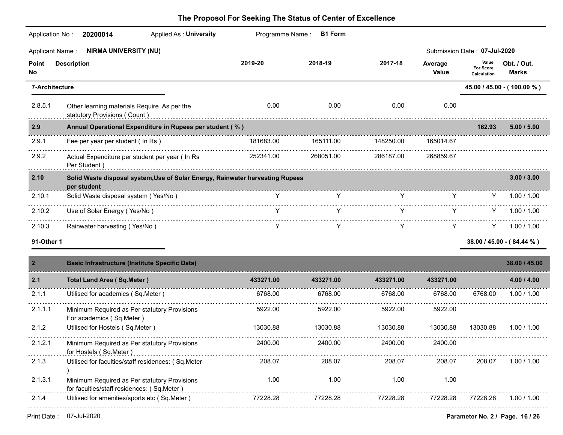| Application No: | 20200014<br>Applied As: University                                                           | Programme Name: | <b>B1 Form</b> |           |                  |                                          |                             |
|-----------------|----------------------------------------------------------------------------------------------|-----------------|----------------|-----------|------------------|------------------------------------------|-----------------------------|
| Applicant Name: | <b>NIRMA UNIVERSITY (NU)</b>                                                                 |                 |                |           |                  | Submission Date: 07-Jul-2020             |                             |
| Point<br>No     | <b>Description</b>                                                                           | 2019-20         | 2018-19        | 2017-18   | Average<br>Value | Value<br><b>For Score</b><br>Calculation | Obt. / Out.<br><b>Marks</b> |
| 7-Architecture  |                                                                                              |                 |                |           |                  |                                          | 45.00 / 45.00 - (100.00 %)  |
| 2.8.5.1         | Other learning materials Require As per the<br>statutory Provisions (Count)                  | 0.00            | 0.00           | 0.00      | 0.00             |                                          |                             |
| 2.9             | Annual Operational Expenditure in Rupees per student (%)                                     |                 |                |           |                  | 162.93                                   | 5.00 / 5.00                 |
| 2.9.1           | Fee per year per student (In Rs)                                                             | 181683.00       | 165111.00      | 148250.00 | 165014.67        |                                          |                             |
| 2.9.2           | Actual Expenditure per student per year ( In Rs<br>Per Student)                              | 252341.00       | 268051.00      | 286187.00 | 268859.67        |                                          |                             |
| 2.10            | Solid Waste disposal system, Use of Solar Energy, Rainwater harvesting Rupees<br>per student |                 |                |           |                  |                                          | 3.00 / 3.00                 |
| 2.10.1          | Solid Waste disposal system (Yes/No)                                                         | Y.              | Y              | Y         | Y.               |                                          | 1.00 / 1.00                 |
| 2.10.2          | Use of Solar Energy (Yes/No)                                                                 |                 | Y              | Y         | Y.               | Y.                                       | 1.00 / 1.00                 |
| 2.10.3          | Rainwater harvesting (Yes/No)                                                                | Y               | Y              | Y         | Y.               | Y.                                       | 1.00 / 1.00                 |
| 91-Other 1      |                                                                                              |                 |                |           |                  |                                          | 38.00 / 45.00 - (84.44 %)   |
| $\overline{2}$  | <b>Basic Infrastructure (Institute Specific Data)</b>                                        |                 |                |           |                  |                                          | 38.00 / 45.00               |
| 2.1             | <b>Total Land Area (Sq.Meter)</b>                                                            | 433271.00       | 433271.00      | 433271.00 | 433271.00        |                                          | 4.00 / 4.00                 |
| 2.1.1           | Utilised for academics (Sq.Meter)                                                            | 6768.00         | 6768.00        | 6768.00   | 6768.00          | 6768.00                                  | 1.00 / 1.00                 |
| 2.1.1.1         | Minimum Required as Per statutory Provisions<br>For academics (Sq.Meter)                     | 5922.00         | 5922.00        | 5922.00   | 5922.00          |                                          |                             |
| 2.1.2           | Utilised for Hostels (Sq.Meter)                                                              | 13030.88        | 13030.88       | 13030.88  | 13030.88         | 13030.88                                 | 1.00 / 1.00                 |
| 2.1.2.1         | Minimum Required as Per statutory Provisions<br>for Hostels (Sq.Meter)                       | 2400.00         | 2400.00        | 2400.00   | 2400.00          |                                          |                             |
| 2.1.3           | Utilised for faculties/staff residences: (Sq.Meter                                           | 208.07          | 208.07         | 208.07    | 208.07           | 208.07                                   | 1.00 / 1.00                 |
| 2.1.3.1         | Minimum Required as Per statutory Provisions<br>for faculties/staff residences: (Sq.Meter)   | 1.00            | 1.00           | 1.00      | 1.00             |                                          |                             |
| 2.1.4           | Utilised for amenities/sports etc (Sq.Meter)                                                 | 77228.28        | 77228.28       | 77228.28  | 77228.28         | 77228.28                                 | 1.00 / 1.00                 |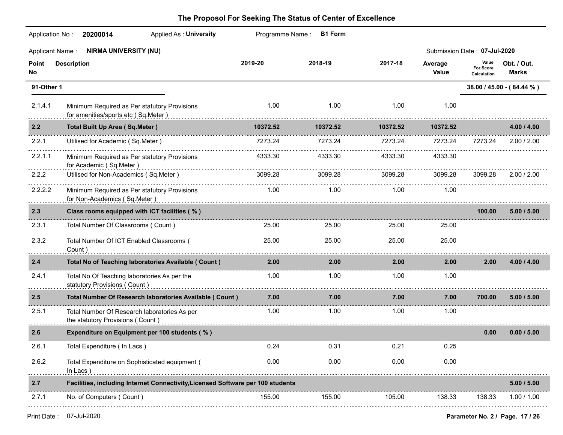| Application No:        | 20200014<br><b>Applied As: University</b>                                                                                                                                                                                                                                      |          | Programme Name: B1 Form |          |                  |                                   |                             |
|------------------------|--------------------------------------------------------------------------------------------------------------------------------------------------------------------------------------------------------------------------------------------------------------------------------|----------|-------------------------|----------|------------------|-----------------------------------|-----------------------------|
| <b>Applicant Name:</b> | <b>NIRMA UNIVERSITY (NU)</b>                                                                                                                                                                                                                                                   |          |                         |          |                  | Submission Date: 07-Jul-2020      |                             |
| Point<br>No            | <b>Description</b>                                                                                                                                                                                                                                                             | 2019-20  | 2018-19                 | 2017-18  | Average<br>Value | Value<br>For Score<br>Calculation | Obt. / Out.<br><b>Marks</b> |
| 91-Other 1             |                                                                                                                                                                                                                                                                                |          |                         |          |                  |                                   | 38.00 / 45.00 - (84.44 %)   |
| 2.1.4.1                | Minimum Required as Per statutory Provisions<br>for amenities/sports etc (Sq.Meter)                                                                                                                                                                                            | 1.00     | 1.00                    | 1.00     | 1.00             |                                   |                             |
| 2.2                    | <b>Total Built Up Area (Sq.Meter)</b>                                                                                                                                                                                                                                          | 10372.52 | 10372.52                | 10372.52 | 10372.52         |                                   | 4.00 / 4.00                 |
| 2.2.1                  | Utilised for Academic (Sq.Meter)                                                                                                                                                                                                                                               | 7273.24  | 7273.24                 | 7273.24  | 7273.24          | 7273.24                           | 2.00 / 2.00                 |
| 2.2.1.1                | Minimum Required as Per statutory Provisions<br>for Academic (Sq.Meter)                                                                                                                                                                                                        | 4333.30  | 4333.30                 | 4333.30  | 4333.30          |                                   |                             |
| 2.2.2                  | Utilised for Non-Academics (Sq.Meter)                                                                                                                                                                                                                                          | 3099.28  | 3099.28                 | 3099.28  | 3099.28          | 3099.28                           | 2.00 / 2.00                 |
| 2.2.2.2                | Minimum Required as Per statutory Provisions<br>for Non-Academics (Sq.Meter) entertainment and the format and the format and the format and the format and the format and the format and the format and the format and the format and the format and the format and the format | 1.00     | 1.00                    | 1.00     | 1.00             |                                   |                             |
| 2.3                    | Class rooms equipped with ICT facilities (%)                                                                                                                                                                                                                                   |          |                         |          |                  | 100.00                            | 5.00 / 5.00                 |
| 2.3.1                  | Total Number Of Classrooms (Count)                                                                                                                                                                                                                                             | 25.00    | 25.00                   | 25.00    | 25.00            |                                   |                             |
| 2.3.2                  | Total Number Of ICT Enabled Classrooms (<br>Count)                                                                                                                                                                                                                             | 25.00    | 25.00                   | 25.00    | .<br>25.00       |                                   |                             |
| 2.4                    | Total No of Teaching laboratories Available ( Count )                                                                                                                                                                                                                          | 2.00     | 2.00 <sub>1</sub>       | 2.00     | 2.00             | 2.00                              | 4.00 / 4.00                 |
| 2.4.1                  | Total No Of Teaching laboratories As per the<br>statutory Provisions (Count)<br>and Count (Count)                                                                                                                                                                              | 1.00     | 1.00                    | 1.00     | 1.00             |                                   |                             |
| 2.5                    | Total Number Of Research laboratories Available ( Count )                                                                                                                                                                                                                      | 7.00     | 7.00                    | 7.00     | 7.00             | 700.00                            | 5.00 / 5.00                 |
| 2.5.1                  | Total Number Of Research laboratories As per<br>the statutory Provisions (Count)                                                                                                                                                                                               | 1.00     | 1.00                    | 1.00     | 1.00             |                                   |                             |
| 2.6                    | Expenditure on Equipment per 100 students (%)                                                                                                                                                                                                                                  |          |                         |          |                  | 0.00                              | 0.00 / 5.00                 |
| 2.6.1                  | Total Expenditure (In Lacs)                                                                                                                                                                                                                                                    | 0.24     | 0.31                    | 0.21     | 0.25             |                                   |                             |
| 2.6.2                  | Total Expenditure on Sophisticated equipment (<br>In Lacs)                                                                                                                                                                                                                     | 0.00     | 0.00                    | 0.00     | 0.00             |                                   |                             |
| 2.7                    | Facilities, including Internet Connectivity, Licensed Software per 100 students                                                                                                                                                                                                |          |                         |          |                  |                                   | 5.00 / 5.00                 |
| 2.7.1                  | No. of Computers (Count)                                                                                                                                                                                                                                                       | 155.00   | 155.00                  | 105.00   | 138.33           | 138.33                            | 1.00 / 1.00                 |
|                        |                                                                                                                                                                                                                                                                                |          |                         |          |                  |                                   |                             |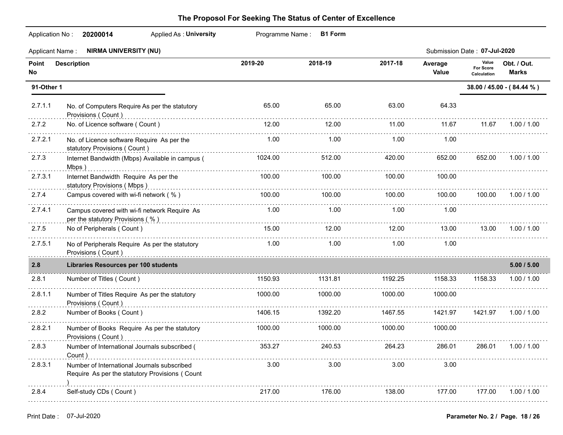|             | <b>NIRMA UNIVERSITY (NU)</b><br><b>Applicant Name:</b>                                        |         |         |         |                  | Submission Date: 07-Jul-2020      |                             |
|-------------|-----------------------------------------------------------------------------------------------|---------|---------|---------|------------------|-----------------------------------|-----------------------------|
| Point<br>No | <b>Description</b>                                                                            | 2019-20 | 2018-19 | 2017-18 | Average<br>Value | Value<br>For Score<br>Calculation | Obt. / Out.<br><b>Marks</b> |
| 91-Other 1  |                                                                                               |         |         |         |                  |                                   | 38.00 / 45.00 - (84.44 %)   |
| 2.7.1.1     | No. of Computers Require As per the statutory<br>Provisions (Count)                           | 65.00   | 65.00   | 63.00   | 64.33            |                                   |                             |
| 2.7.2       | No. of Licence software (Count)                                                               | 12.00   | 12.00   | 11.00   | 11.67            | 11.67                             | 1.00 / 1.00                 |
| 2.7.2.1     | No. of Licence software Require As per the<br>statutory Provisions (Count)                    | 1.00    | 1.00    | 1.00    | 1.00             |                                   |                             |
| 2.7.3       | Internet Bandwidth (Mbps) Available in campus (<br>Mbps)                                      | 1024.00 | 512.00  | 420.00  | 652.00           | 652.00                            | 1.00 / 1.00                 |
| 2.7.3.1     | Internet Bandwidth Require As per the<br>statutory Provisions (Mbps)                          | 100.00  | 100.00  | 100.00  | 100.00           |                                   |                             |
| 2.7.4       | Campus covered with wi-fi network (%)                                                         | 100.00  | 100.00  | 100.00  | 100.00           | 100.00                            | 1.00 / 1.00                 |
| 2.7.4.1     | Campus covered with wi-fi network Require As<br>per the statutory Provisions (%).             | 1.00    | 1.00    | 1.00    | 1.00             |                                   |                             |
| 2.7.5       | No of Peripherals (Count)                                                                     | 15.00   | 12.00   | 12.00   | 13.00            | 13.00                             | 1.00 / 1.00                 |
| 2.7.5.1     | No of Peripherals Require As per the statutory<br>Provisions (Count)                          | 1.00    | 1.00    | 1.00    | 1.00             |                                   |                             |
| 2.8         | <b>Libraries Resources per 100 students</b>                                                   |         |         |         |                  |                                   | 5.00 / 5.00                 |
| 2.8.1       | Number of Titles (Count)                                                                      | 1150.93 | 1131.81 | 1192.25 | 1158.33          | 1158.33                           | 1.00 / 1.00                 |
| 2.8.1.1     | Number of Titles Require As per the statutory<br>Provisions (Count)                           | 1000.00 | 1000.00 | 1000.00 | 1000.00          |                                   |                             |
| 2.8.2       | Number of Books (Count)                                                                       | 1406.15 | 1392.20 | 1467.55 | 1421.97          | 1421.97                           | 1.00 / 1.00                 |
| 2.8.2.1     | Number of Books Require As per the statutory<br>Provisions (Count)                            | 1000.00 | 1000.00 | 1000.00 | 1000.00          |                                   |                             |
| 2.8.3       | Number of International Journals subscribed (<br>Count)                                       | 353.27  | 240.53  | 264 23  | 286.01           | 286.01                            | 1.00 / 1.00                 |
| 2.8.3.1     | Number of International Journals subscribed<br>Require As per the statutory Provisions (Count | 3.00    | 3.00    | 3.00    | 3.00             |                                   |                             |
| 2.8.4       | Self-study CDs (Count)                                                                        | 217.00  | 176.00  | 138.00  | 177.00           | 177.00                            | 1.00 / 1.00                 |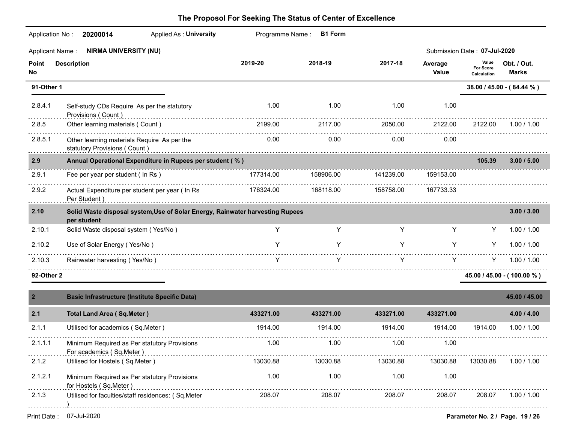| <b>Applicant Name:</b> | <b>NIRMA UNIVERSITY (NU)</b>                                                                 |           |                                                                                                                                                                                                                                     |           |                  | Submission Date: 07-Jul-2020             |                              |
|------------------------|----------------------------------------------------------------------------------------------|-----------|-------------------------------------------------------------------------------------------------------------------------------------------------------------------------------------------------------------------------------------|-----------|------------------|------------------------------------------|------------------------------|
| Point<br>No            | <b>Description</b>                                                                           | 2019-20   | 2018-19                                                                                                                                                                                                                             | 2017-18   | Average<br>Value | Value<br><b>For Score</b><br>Calculation | Obt. / Out.<br><b>Marks</b>  |
| 91-Other 1             |                                                                                              |           |                                                                                                                                                                                                                                     |           |                  |                                          | 38.00 / 45.00 - (84.44 %)    |
| 2.8.4.1                | Self-study CDs Require As per the statutory<br>Provisions (Count)                            | 1.00      | 1.00                                                                                                                                                                                                                                | 1.00      | 1.00             |                                          |                              |
| 2.8.5                  | Other learning materials (Count)                                                             | 2199.00   | 2117.00                                                                                                                                                                                                                             | 2050.00   | 2122.00          | 2122.00                                  | 1.00 / 1.00                  |
| 2.8.5.1                | Other learning materials Require As per the<br>statutory Provisions (Count )<br><sub>1</sub> | 0.00      | 0.00                                                                                                                                                                                                                                | 0.00      | 0.00             |                                          |                              |
| 2.9                    | Annual Operational Expenditure in Rupees per student (%)                                     |           |                                                                                                                                                                                                                                     |           |                  | 105.39                                   | 3.00 / 5.00                  |
| 2.9.1                  | Fee per year per student (In Rs)                                                             | 177314.00 | 158906.00                                                                                                                                                                                                                           | 141239.00 | 159153.00        |                                          |                              |
| 2.9.2                  | Actual Expenditure per student per year ( In Rs<br>Per Student)                              | 176324.00 | 168118.00                                                                                                                                                                                                                           | 158758.00 | 167733.33        |                                          |                              |
| 2.10                   | Solid Waste disposal system, Use of Solar Energy, Rainwater harvesting Rupees<br>per student |           |                                                                                                                                                                                                                                     |           |                  |                                          | 3.00 / 3.00                  |
| 2.10.1                 | Solid Waste disposal system (Yes/No)                                                         |           | <b>Y</b> and the set of the set of the set of the set of the set of the set of the set of the set of the set of the set of the set of the set of the set of the set of the set of the set of the set of the set of the set of the s | Y.        | Y.               |                                          | 1.00 / 1.00                  |
| 2.10.2                 | Use of Solar Energy (Yes/No)                                                                 | Y         | Y.                                                                                                                                                                                                                                  | Y         | Y.               |                                          | Y .<br>1.00 / 1.00           |
| 2.10.3                 | Rainwater harvesting (Yes/No)                                                                | Y         | Y.                                                                                                                                                                                                                                  | Y         | Y.               | Y.                                       | 1.00 / 1.00                  |
| 92-Other 2             |                                                                                              |           |                                                                                                                                                                                                                                     |           |                  |                                          | $45.00 / 45.00 - (100.00 %)$ |
| $\overline{2}$         | <b>Basic Infrastructure (Institute Specific Data)</b>                                        |           |                                                                                                                                                                                                                                     |           |                  |                                          | 45.00 / 45.00                |
| 2.1                    | <b>Total Land Area (Sq.Meter)</b>                                                            | 433271.00 | 433271.00                                                                                                                                                                                                                           | 433271.00 | 433271.00        |                                          | 4.00 / 4.00                  |
| 2.1.1                  | Utilised for academics (Sq.Meter)                                                            | 1914.00   | 1914.00                                                                                                                                                                                                                             | 1914.00   | 1914.00          | 1914.00                                  | 1.00 / 1.00                  |
| 2.1.1.1                | Minimum Required as Per statutory Provisions<br>For academics (Sq.Meter)                     | 1.00      | 1.00                                                                                                                                                                                                                                | 1.00      | 1.00             |                                          |                              |
| 2.1.2                  | Utilised for Hostels (Sq.Meter)                                                              | 13030.88  | 13030.88                                                                                                                                                                                                                            | 13030.88  | 13030.88         | 13030.88                                 | 1.00 / 1.00                  |
| 2.1.2.1                | Minimum Required as Per statutory Provisions<br>for Hostels (Sq.Meter)                       | 1.00      | 1.00                                                                                                                                                                                                                                | 1.00      | 1.00             |                                          |                              |
| 2.1.3                  | Utilised for faculties/staff residences: (Sq.Meter                                           | 208.07    | 208.07                                                                                                                                                                                                                              | 208.07    | 208.07           | 208.07                                   | 1.00 / 1.00                  |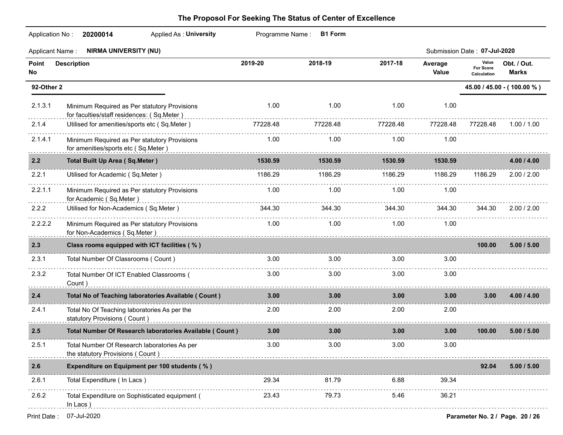|             | Application No: 20200014<br><b>Applied As: University</b>                                                                                                                                                                                                                      |          | Programme Name: B1 Form |                   |                  |                                   |                             |
|-------------|--------------------------------------------------------------------------------------------------------------------------------------------------------------------------------------------------------------------------------------------------------------------------------|----------|-------------------------|-------------------|------------------|-----------------------------------|-----------------------------|
|             | Applicant Name: NIRMA UNIVERSITY (NU)                                                                                                                                                                                                                                          |          |                         |                   |                  | Submission Date: 07-Jul-2020      |                             |
| Point<br>No | <b>Description</b>                                                                                                                                                                                                                                                             | 2019-20  | 2018-19                 | 2017-18           | Average<br>Value | Value<br>For Score<br>Calculation | Obt. / Out.<br><b>Marks</b> |
| 92-Other 2  |                                                                                                                                                                                                                                                                                |          |                         |                   |                  |                                   | 45.00 / 45.00 - (100.00 %)  |
| 2.1.3.1     | Minimum Required as Per statutory Provisions<br>for faculties/staff residences: (Sq.Meter)                                                                                                                                                                                     | 1.00     | 1.00                    | 1.00              | 1.00             |                                   |                             |
| 2.1.4       | Utilised for amenities/sports etc (Sq.Meter)                                                                                                                                                                                                                                   | 77228.48 | 77228.48                | 77228.48          | 77228.48         | 77228.48                          | 1.00 / 1.00                 |
| 2.1.4.1     | Minimum Required as Per statutory Provisions<br>for amenities/sports etc (Sq.Meter)                                                                                                                                                                                            | 1.00     | 1.00                    | 1.00              | 1.00             |                                   |                             |
| 2.2         | <b>Total Built Up Area (Sq.Meter)</b>                                                                                                                                                                                                                                          | 1530.59  | 1530.59                 | 1530.59           | 1530.59          |                                   | 4.00 / 4.00                 |
| 2.2.1       | Utilised for Academic (Sq.Meter)                                                                                                                                                                                                                                               | 1186.29  | 1186.29                 | 1186.29           | 1186.29          | 1186.29                           | 2.00 / 2.00                 |
| 2.2.1.1     | Minimum Required as Per statutory Provisions<br>for Academic (Sq.Meter)                                                                                                                                                                                                        | 1.00     | 1.00                    | 1.00              | 1.00             |                                   |                             |
| 2.2.2       | Utilised for Non-Academics (Sq.Meter)                                                                                                                                                                                                                                          | 344.30   | 344.30                  | 344.30            | 344.30           | 344.30                            | 2.00 / 2.00                 |
| 2.2.2.2     | Minimum Required as Per statutory Provisions<br>for Non-Academics (Sq.Meter) entertainment and the format and the format of the format and the format of the format and the format of the format and the format of the format and the format of the format of the format of th | 1.00     | 1.00                    | 1.00              | 1.00             |                                   |                             |
| 2.3         | Class rooms equipped with ICT facilities (%)                                                                                                                                                                                                                                   |          |                         |                   |                  | 100.00                            | 5.00 / 5.00                 |
| 2.3.1       | Total Number Of Classrooms (Count)                                                                                                                                                                                                                                             | 3.00     | 3.00                    | 3.00              | 3.00             |                                   |                             |
| 2.3.2       | Total Number Of ICT Enabled Classrooms (<br>Count)                                                                                                                                                                                                                             | 3.00     | 3.00                    | 3.00              | 3.00             |                                   |                             |
| 2.4         | Total No of Teaching laboratories Available ( Count )                                                                                                                                                                                                                          | 3.00     | 3.00 <sub>1</sub>       | 3.00 <sub>1</sub> | 3.00             | 3.00                              | 4.00 / 4.00                 |
| 2.4.1       | Total No Of Teaching laboratories As per the<br>statutory Provisions (Count)                                                                                                                                                                                                   | 2.00     | 2.00                    | 2.00              | 2.00             |                                   |                             |
| 2.5         | Total Number Of Research laboratories Available ( Count )                                                                                                                                                                                                                      | 3.00     | 3.00 <sub>1</sub>       | 3.00              | 3.00             | 100.00                            | 5.00 / 5.00                 |
| 2.5.1       | Total Number Of Research laboratories As per<br>the statutory Provisions (Count)                                                                                                                                                                                               | 3.00     | 3.00 <sub>1</sub>       | 3.00              | 3.00             |                                   |                             |
| 2.6         | Expenditure on Equipment per 100 students (%)                                                                                                                                                                                                                                  |          |                         |                   |                  | 92.04                             | 5.00 / 5.00                 |
| 2.6.1       | Total Expenditure ( In Lacs )                                                                                                                                                                                                                                                  | 29.34    | 81.79                   | 6.88              | 39.34            |                                   |                             |
| 2.6.2       | Total Expenditure on Sophisticated equipment (<br>In Lacs)                                                                                                                                                                                                                     | 23.43    | 79.73                   | 5.46              | 36.21            |                                   |                             |
|             |                                                                                                                                                                                                                                                                                |          |                         |                   |                  |                                   |                             |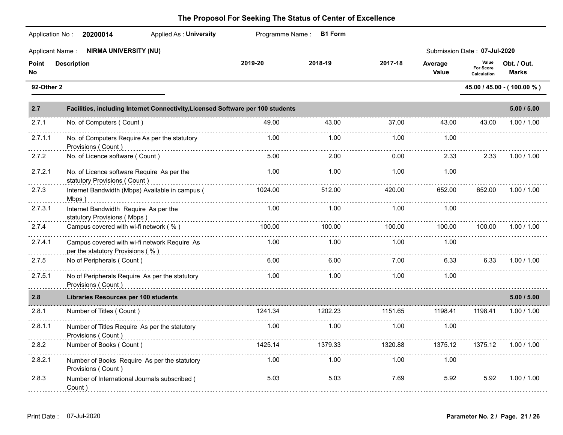| Application No:    | <b>Applied As: University</b><br>20200014                                                                                                                                                                                                                                       |         | Programme Name: B1 Form |         |                  |                                          |                             |
|--------------------|---------------------------------------------------------------------------------------------------------------------------------------------------------------------------------------------------------------------------------------------------------------------------------|---------|-------------------------|---------|------------------|------------------------------------------|-----------------------------|
|                    | <b>NIRMA UNIVERSITY (NU)</b><br>Applicant Name:                                                                                                                                                                                                                                 |         |                         |         |                  | Submission Date: 07-Jul-2020             |                             |
| Point<br><b>No</b> | <b>Description</b>                                                                                                                                                                                                                                                              | 2019-20 | 2018-19                 | 2017-18 | Average<br>Value | Value<br><b>For Score</b><br>Calculation | Obt. / Out.<br><b>Marks</b> |
| 92-Other 2         |                                                                                                                                                                                                                                                                                 |         |                         |         |                  |                                          | 45.00 / 45.00 - (100.00 %)  |
| 2.7                | Facilities, including Internet Connectivity, Licensed Software per 100 students                                                                                                                                                                                                 |         |                         |         |                  |                                          | 5.00 / 5.00                 |
| 2.7.1              | No. of Computers (Count)                                                                                                                                                                                                                                                        | 49.00   | 43.00                   | 37.00   | 43.00            | 43.00                                    | 1.00 / 1.00                 |
| 2.7.1.1            | No. of Computers Require As per the statutory<br>Provisions (Count)                                                                                                                                                                                                             | 1.00    | 1.00                    | 1.00    | 1.00             |                                          |                             |
| 2.7.2              | No. of Licence software (Count)                                                                                                                                                                                                                                                 | 5.00    | 2.00                    | 0.00    | 2.33             | 2.33                                     | 1.00 / 1.00                 |
| 2.7.2.1            | No. of Licence software Require As per the<br>statutory Provisions (Count)                                                                                                                                                                                                      | 1.00    | 1.00                    | 1.00    | 1.00             |                                          |                             |
| 2.7.3              | Internet Bandwidth (Mbps) Available in campus (<br>Mbps)                                                                                                                                                                                                                        | 1024.00 | 512.00                  | 420.00  | 652.00           | 652.00                                   | 1.00 / 1.00                 |
| 2.7.3.1            | Internet Bandwidth Require As per the<br>statutory Provisions (Mbps)                                                                                                                                                                                                            | 1.00    | 1.00                    | 1.00    | 1.00             |                                          |                             |
| 2.7.4              | Campus covered with wi-fi network (%)                                                                                                                                                                                                                                           | 100.00  | 100.00                  | 100.00  | 100.00           | 100.00                                   | 1.00 / 1.00                 |
| 2.7.4.1            | Campus covered with wi-fi network Require As<br>per the statutory Provisions (%)                                                                                                                                                                                                | 1.00    | 1.00                    | 1.00    | 1.00             |                                          |                             |
| 2.7.5              | No of Peripherals (Count)                                                                                                                                                                                                                                                       | 6.00    | 6.00                    | 7.00    | 6.33             | 6.33                                     | 1.00 / 1.00                 |
| 2.7.5.1<br>.       | No of Peripherals Require As per the statutory<br>Provisions ( Count ) with an account of the control of the control of the control of the control of the count of the control of the control of the control of the control of the control of the control of the control of the | 1.00    | 1.00                    | 1.00    | 1.00             |                                          |                             |
| 2.8                | <b>Libraries Resources per 100 students</b>                                                                                                                                                                                                                                     |         |                         |         |                  |                                          | 5.00 / 5.00                 |
| 2.8.1              | Number of Titles (Count)                                                                                                                                                                                                                                                        | 1241.34 | 1202.23                 | 1151.65 | 1198.41          | 1198.41                                  | 1.00 / 1.00                 |
| 2.8.1.1            | Number of Titles Require As per the statutory<br>Provisions (Count)                                                                                                                                                                                                             | 1.00    | 1.00                    | 1.00    | 1.00             |                                          |                             |
| 2.8.2              | Number of Books (Count)                                                                                                                                                                                                                                                         | 1425.14 | 1379.33                 | 1320.88 | 1375.12          |                                          | 1375.12 1.00 / 1.00         |
| 2.8.2.1            | Number of Books Require As per the statutory<br>Provisions (Count)                                                                                                                                                                                                              | 1.00    | 1.00                    | 1.00    | 1.00             |                                          |                             |
| 2.8.3              | Number of International Journals subscribed (<br>Count)                                                                                                                                                                                                                         | 5.03    | 5.03                    | 7.69    | 5.92             | 5.92                                     | 1.00 / 1.00                 |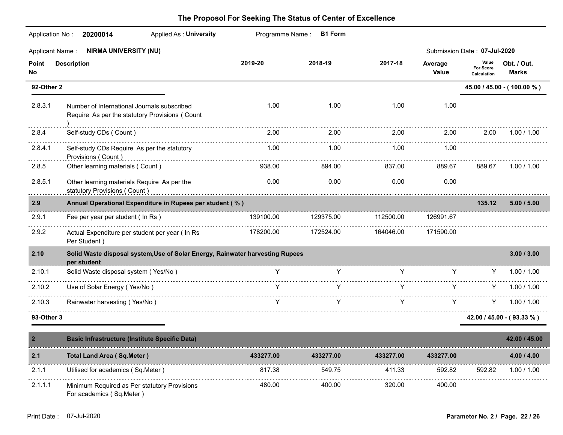| <b>Applicant Name:</b>                | <b>NIRMA UNIVERSITY (NU)</b>                                                                  |           |           |           |                  | Submission Date: 07-Jul-2020      |                             |
|---------------------------------------|-----------------------------------------------------------------------------------------------|-----------|-----------|-----------|------------------|-----------------------------------|-----------------------------|
| Point<br>No                           | <b>Description</b>                                                                            | 2019-20   | 2018-19   | 2017-18   | Average<br>Value | Value<br>For Score<br>Calculation | Obt. / Out.<br><b>Marks</b> |
| 92-Other 2                            |                                                                                               |           |           |           |                  |                                   | 45.00 / 45.00 - (100.00 %)  |
| 2.8.3.1<br>and the state of the state | Number of International Journals subscribed<br>Require As per the statutory Provisions (Count | 1.00      | 1.00      | 1.00      | 1.00             |                                   |                             |
| 2.8.4                                 | Self-study CDs (Count)                                                                        | 2.00      | 2.00      | 2.00      | 2.00             | 2.00                              | 1.00 / 1.00                 |
| 2.8.4.1                               | Self-study CDs Require As per the statutory<br>Provisions (Count)                             | 1.00      | 1.00      | 1.00      | 1.00             |                                   |                             |
| 2.8.5                                 | Other learning materials (Count)                                                              | 938.00    | 894.00    | 837.00    | 889.67           | 889.67                            | 1.00 / 1.00                 |
| 2.8.5.1                               | Other learning materials Require As per the<br>statutory Provisions (Count)                   | 0.00      | 0.00      | 0.00      | 0.00             |                                   |                             |
| 2.9                                   | Annual Operational Expenditure in Rupees per student (%)                                      |           |           |           |                  | 135.12                            | 5.00 / 5.00                 |
| 2.9.1                                 | Fee per year per student ( In Rs )                                                            | 139100.00 | 129375.00 | 112500.00 | 126991.67        |                                   |                             |
| 2.9.2                                 | Actual Expenditure per student per year ( In Rs<br>Per Student )                              | 178200.00 | 172524.00 | 164046.00 | 171590.00        |                                   |                             |
| 2.10                                  | Solid Waste disposal system, Use of Solar Energy, Rainwater harvesting Rupees<br>per student  |           |           |           |                  |                                   | 3.00 / 3.00                 |
| 2.10.1                                | Solid Waste disposal system (Yes/No)                                                          | Y.        | Y         | Y         | Y.               | Y –                               | 1.00 / 1.00                 |
| 2.10.2                                | Use of Solar Energy (Yes/No)                                                                  | Y         | Y         | Y         | Y                | Y –                               | 1.00 / 1.00                 |
| 2.10.3                                | Rainwater harvesting (Yes/No)                                                                 | Y         | Y         | Y         | Y.               | Y –                               | 1.00 / 1.00                 |
| 93-Other 3                            |                                                                                               |           |           |           |                  |                                   | $42.00 / 45.00 - (93.33 %)$ |
|                                       | <b>Basic Infrastructure (Institute Specific Data)</b>                                         |           |           |           |                  |                                   | 42.00 / 45.00               |

| 2.1     | <b>Total Land Area (Sq.Meter)</b>            | 433277.00 | 433277.00 | 433277.00 | 433277.00 |        | 4.00 / 4.00 |
|---------|----------------------------------------------|-----------|-----------|-----------|-----------|--------|-------------|
| 2.1.    | Utilised for academics (Sq.Meter)            | 817.38    | 549.75    | 411.33    | 592.82    | 592.82 | 1.00 / 1.00 |
| 2.1.1.1 | Minimum Required as Per statutory Provisions | 480.00    | 400.00    | 320.00    | 400.00    |        |             |
|         | For academics (Sq. Meter)                    |           |           |           |           |        |             |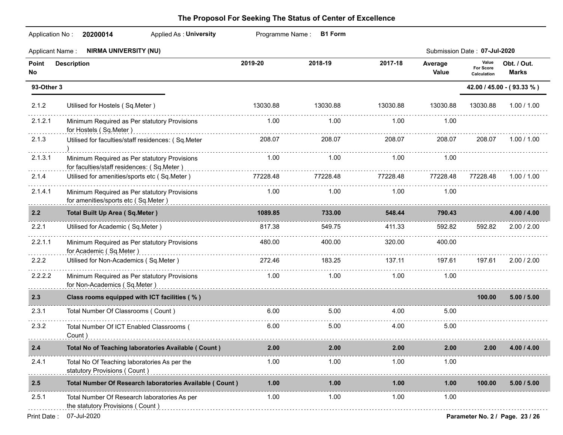| Application No:        | <b>Applied As: University</b><br>20200014                                                  |          | Programme Name: B1 Form |          |                  |                                   |                                 |
|------------------------|--------------------------------------------------------------------------------------------|----------|-------------------------|----------|------------------|-----------------------------------|---------------------------------|
| <b>Applicant Name:</b> | <b>NIRMA UNIVERSITY (NU)</b>                                                               |          |                         |          |                  | Submission Date: 07-Jul-2020      |                                 |
| Point<br>No            | <b>Description</b>                                                                         | 2019-20  | 2018-19                 | 2017-18  | Average<br>Value | Value<br>For Score<br>Calculation | Obt. / Out.<br><b>Marks</b>     |
| 93-Other 3             |                                                                                            |          |                         |          |                  |                                   | 42.00 / 45.00 - (93.33 %)       |
| 2.1.2                  | Utilised for Hostels (Sq.Meter)                                                            | 13030.88 | 13030.88                | 13030.88 | 13030.88         | 13030.88                          | 1.00 / 1.00                     |
| 2.1.2.1                | Minimum Required as Per statutory Provisions<br>for Hostels (Sq.Meter)                     | 1.00     | 1.00                    | 1.00     | 1.00             |                                   |                                 |
| 2.1.3                  | Utilised for faculties/staff residences: (Sq.Meter                                         | 208.07   | 208.07                  | 208.07   | 208.07           | 208.07                            | 1.00 / 1.00                     |
| 2.1.3.1                | Minimum Required as Per statutory Provisions<br>for faculties/staff residences: (Sq.Meter) | 1.00     | 1.00                    | 1.00     | 1.00             |                                   |                                 |
| 2.1.4                  | Utilised for amenities/sports etc (Sq.Meter)                                               | 77228.48 | 77228.48<br>.           | 77228.48 | 77228.48         | 77228.48                          | 1.00 / 1.00                     |
| 2.1.4.1                | Minimum Required as Per statutory Provisions<br>for amenities/sports etc (Sq.Meter)        | 1.00     | 1.00                    | 1.00     | 1.00             |                                   |                                 |
| 2.2                    | <b>Total Built Up Area (Sq.Meter)</b>                                                      | 1089.85  | 733.00                  | 548.44   | 790.43           |                                   | 4.00 / 4.00                     |
| 2.2.1                  | Utilised for Academic (Sq.Meter)                                                           | 817.38   | 549.75                  | 411.33   | 592.82           | 592.82                            | 2.00 / 2.00                     |
| 2.2.1.1                | Minimum Required as Per statutory Provisions<br>for Academic (Sq.Meter)                    | 480.00   | 400.00                  | 320.00   | 400.00           |                                   |                                 |
| 2.2.2                  | Utilised for Non-Academics (Sq.Meter)                                                      | 272.46   | 183.25                  | 137.11   | 197.61           | 197.61                            | 2.00 / 2.00                     |
| 2.2.2.2                | Minimum Required as Per statutory Provisions<br>for Non-Academics (Sq.Meter)               | 1.00     | 1.00                    | 1.00     | 1.00             |                                   |                                 |
| 2.3                    | Class rooms equipped with ICT facilities (%)                                               |          |                         |          |                  | 100.00                            | 5.00 / 5.00                     |
| 2.3.1                  | Total Number Of Classrooms (Count)                                                         | 6.00     | 5.00                    | 4.00     | 5.00             |                                   |                                 |
| 2.3.2                  | Total Number Of ICT Enabled Classrooms (<br>Count)                                         | 6.00     | 5.00                    | 4.00     | 5.00             |                                   |                                 |
| 2.4                    | Total No of Teaching laboratories Available ( Count )                                      | 2.00     | 2.00                    | 2.00     | 2.00             | 2.00                              | 4.00 / 4.00                     |
| 2.4.1                  | Total No Of Teaching laboratories As per the<br>statutory Provisions (Count)               | 1.00     | 1.00                    | 1.00     | 1.00             |                                   |                                 |
| $2.5\,$                | Total Number Of Research laboratories Available ( Count )                                  | $1.00$   | 1.00                    | 1.00     | 1.00             | 100.00                            | 5.00 / 5.00                     |
| 2.5.1                  | Total Number Of Research laboratories As per<br>the statutory Provisions (Count)           | 1.00     | 1.00                    | 1.00     | 1.00             |                                   |                                 |
| Print Date:            | 07-Jul-2020                                                                                |          |                         |          |                  |                                   | Parameter No. 2 / Page. 23 / 26 |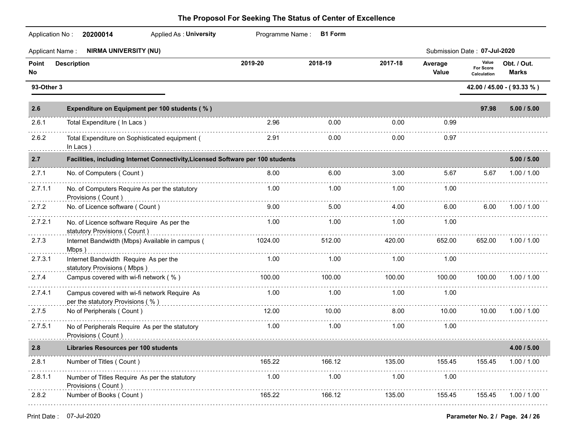| Application No:        | <b>Applied As: University</b><br>20200014                                        |         | Programme Name: B1 Form |             |                  |                                   |                             |
|------------------------|----------------------------------------------------------------------------------|---------|-------------------------|-------------|------------------|-----------------------------------|-----------------------------|
| <b>Applicant Name:</b> | <b>NIRMA UNIVERSITY (NU)</b>                                                     |         |                         |             |                  | Submission Date: 07-Jul-2020      |                             |
| Point<br>No            | <b>Description</b>                                                               | 2019-20 | 2018-19                 | 2017-18     | Average<br>Value | Value<br>For Score<br>Calculation | Obt. / Out.<br><b>Marks</b> |
| 93-Other 3             |                                                                                  |         |                         |             |                  |                                   | 42.00 / 45.00 - (93.33 %)   |
| 2.6                    | Expenditure on Equipment per 100 students (%)                                    |         |                         |             |                  | 97.98                             | 5.00 / 5.00                 |
| 2.6.1                  | Total Expenditure (In Lacs)                                                      | 2.96    | 0.00                    | 0.00        | 0.99             |                                   |                             |
| 2.6.2                  | Total Expenditure on Sophisticated equipment (<br>In Lacs)                       | 2.91    | 0.00                    | 0.00        | 0.97             |                                   |                             |
| 2.7                    | Facilities, including Internet Connectivity, Licensed Software per 100 students  |         |                         | 5.00 / 5.00 |                  |                                   |                             |
| 2.7.1                  | No. of Computers (Count)                                                         | 8.00    | 6.00                    | 3.00        | 5.67             | 5.67                              | 1.00 / 1.00                 |
| 2.7.1.1                | No. of Computers Require As per the statutory<br>Provisions (Count)              | 1.00    | 1.00                    | 1.00        | 1.00             |                                   |                             |
| 2.7.2                  | No. of Licence software (Count)                                                  | 9.00    | 5.00                    | 4.00        | 6.00             | 6.00                              | 1.00 / 1.00                 |
| 2.7.2.1                | No. of Licence software Require As per the<br>statutory Provisions (Count)       | 1.00    | 1.00                    | 1.00        | 1.00             |                                   |                             |
| 2.7.3                  | Internet Bandwidth (Mbps) Available in campus (<br>Mbps)                         | 1024.00 | 512.00                  | 420.00      | 652.00           | 652.00                            | 1.00 / 1.00                 |
| 2.7.3.1                | Internet Bandwidth Require As per the<br>statutory Provisions (Mbps)             | 1.00    | 1.00                    | 1.00        | 1.00             |                                   |                             |
| 2.7.4                  | Campus covered with wi-fi network (%)                                            | 100.00  | 100.00                  | 100.00      | 100.00           | 100.00                            | 1.00 / 1.00                 |
| 2.7.4.1                | Campus covered with wi-fi network Require As<br>per the statutory Provisions (%) | 1.00    | 1.00                    | 1.00        | 1.00             |                                   |                             |
| 2.7.5                  | No of Peripherals (Count)                                                        | 12.00   | 10.00                   | 8.00        | 10.00            | 10.00                             | 1.00 / 1.00                 |
| 2.7.5.1                | No of Peripherals Require As per the statutory<br>Provisions (Count)             | 1.00    | 1.00                    | 1.00        | 1.00             |                                   |                             |
| 2.8                    | <b>Libraries Resources per 100 students</b>                                      |         |                         |             |                  |                                   | 4.00 / 5.00                 |
| 2.8.1                  | Number of Titles (Count)                                                         | 165.22  | 166.12                  | 135.00      | 155.45           | 155.45                            | 1.00 / 1.00                 |
| 2.8.1.1                | Number of Titles Require As per the statutory<br>Provisions (Count)              | 1.00    | 1.00                    | 1.00        | 1.00             |                                   |                             |
| 2.8.2                  | Number of Books (Count)                                                          | 165.22  | 166.12                  | 135.00      | 155.45           | 155.45                            | 1.00 / 1.00                 |
|                        |                                                                                  |         |                         |             |                  |                                   |                             |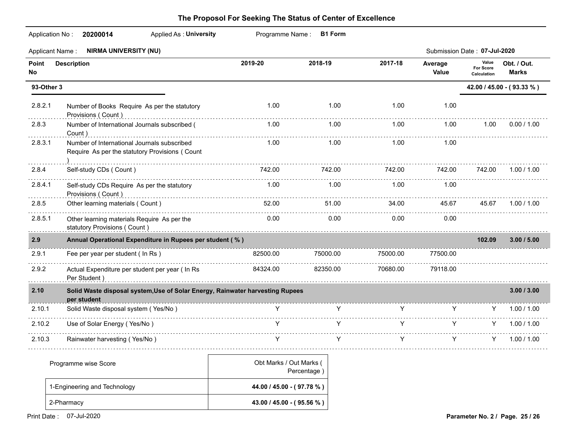|              | Applicant Name: NIRMA UNIVERSITY (NU)                                                            |          |          |          |                  | Submission Date: 07-Jul-2020      |                             |
|--------------|--------------------------------------------------------------------------------------------------|----------|----------|----------|------------------|-----------------------------------|-----------------------------|
| Point<br>No. | <b>Description</b>                                                                               | 2019-20  | 2018-19  | 2017-18  | Average<br>Value | Value<br>For Score<br>Calculation | Obt. / Out.<br><b>Marks</b> |
| 93-Other 3   |                                                                                                  |          |          |          |                  | 42.00 / 45.00 - (93.33 %)         |                             |
| 2.8.2.1      | Number of Books Require As per the statutory<br>Provisions (Count)                               | 1.00     | 1.00     | 1.00     | 1.00             |                                   |                             |
| 2.8.3        | Number of International Journals subscribed (<br>Count)                                          | 1.00     | 1.00     | 1.00     | 1.00             | 1.00                              | 0.00 / 1.00                 |
| 2.8.3.1      | Number of International Journals subscribed<br>Require As per the statutory Provisions (Count    | 1.00     | 1.00     | 1.00     | 1.00             |                                   |                             |
| 2.8.4        | Self-study CDs (Count)                                                                           | 742.00   | 742.00   | 742.00   | 742.00           | 742.00                            | 1.00 / 1.00                 |
| 2.8.4.1      | Self-study CDs Require As per the statutory<br>Provisions (Count)                                | 1.00     | 1.00     | 1.00     | 1.00             |                                   |                             |
| 2.8.5        | Other learning materials (Count)                                                                 | 52.00    | 51.00    | 34.00    | 45.67            | 45.67                             | 1.00 / 1.00                 |
| 2.8.5.1      | Other learning materials Require As per the<br>statutory Provisions (Count)<br>and Count (Count) | 0.00     | 0.00     | 0.00     | 0.00             |                                   |                             |
| 2.9          | Annual Operational Expenditure in Rupees per student (%)                                         |          |          |          |                  | 102.09                            | 3.00 / 5.00                 |
| 2.9.1        | Fee per year per student ( In Rs )                                                               | 82500.00 | 75000.00 | 75000.00 | 77500.00         |                                   |                             |
| 2.9.2        | Actual Expenditure per student per year ( In Rs<br>Per Student)                                  | 84324.00 | 82350.00 | 70680.00 | 79118.00         |                                   |                             |
| 2.10         | Solid Waste disposal system, Use of Solar Energy, Rainwater harvesting Rupees<br>per student     |          |          |          |                  |                                   | 3.00 / 3.00                 |
| 2.10.1       | Solid Waste disposal system (Yes/No)                                                             | Y.       | Y        | Y        | Y.               | Y -                               | 1.00 / 1.00                 |
| 2.10.2       | Use of Solar Energy (Yes/No)                                                                     |          |          | Y        | Y                | Y.                                | 1.00 / 1.00                 |
| 2.10.3       | Rainwater harvesting (Yes/No)                                                                    | Y        | Y        | v        | Y                | Y.                                | 1.00 / 1.00                 |

| Programme wise Score         | Obt Marks / Out Marks (<br>Percentage) |  |
|------------------------------|----------------------------------------|--|
| 1-Engineering and Technology | 44.00 / 45.00 - (97.78 %)              |  |
| 2-Pharmacy                   | 43.00 / 45.00 - (95.56 %)              |  |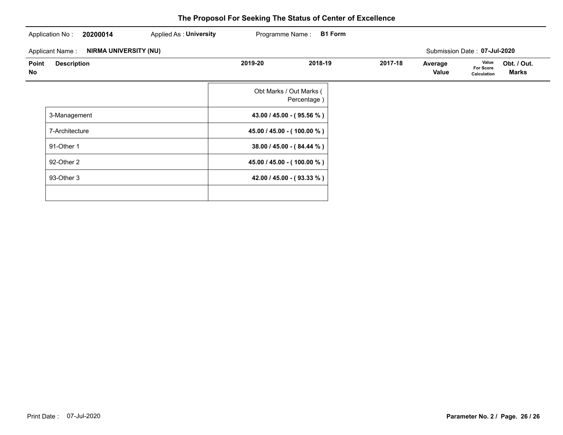| 20200014<br>Application No:                            | Applied As: University | Programme Name: | <b>B1 Form</b>                         |         |                  |                                   |                      |
|--------------------------------------------------------|------------------------|-----------------|----------------------------------------|---------|------------------|-----------------------------------|----------------------|
| <b>NIRMA UNIVERSITY (NU)</b><br><b>Applicant Name:</b> |                        |                 |                                        |         |                  | Submission Date: 07-Jul-2020      |                      |
| <b>Description</b><br>Point<br>No                      |                        | 2019-20         | 2018-19                                | 2017-18 | Average<br>Value | Value<br>For Score<br>Calculation | Obt. / Out.<br>Marks |
|                                                        |                        |                 | Obt Marks / Out Marks (<br>Percentage) |         |                  |                                   |                      |
| 3-Management                                           |                        |                 | 43.00 / 45.00 - (95.56 %)              |         |                  |                                   |                      |
| 7-Architecture                                         |                        |                 | 45.00 / 45.00 - (100.00 %)             |         |                  |                                   |                      |
| 91-Other 1                                             |                        |                 | 38.00 / 45.00 - (84.44 %)              |         |                  |                                   |                      |
| 92-Other 2                                             |                        |                 | 45.00 / 45.00 - (100.00 %)             |         |                  |                                   |                      |
| 93-Other 3                                             |                        |                 | 42.00 / 45.00 - (93.33 %)              |         |                  |                                   |                      |
|                                                        |                        |                 |                                        |         |                  |                                   |                      |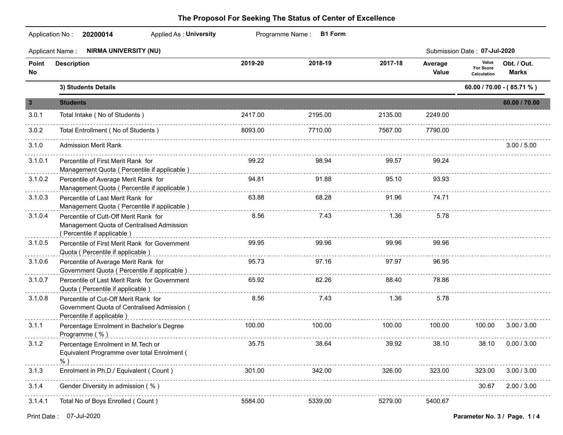|                         | Applicant Name: NIRMA UNIVERSITY (NU)                                                                            |            |         |         |                  | Submission Date: 07-Jul-2020      |                           |
|-------------------------|------------------------------------------------------------------------------------------------------------------|------------|---------|---------|------------------|-----------------------------------|---------------------------|
| Point<br>No             | <b>Description</b>                                                                                               | 2019-20    | 2018-19 | 2017-18 | Average<br>Value | Value<br>For Score<br>Calculation | Obt. / Out.<br>Marks      |
|                         | 3) Students Details                                                                                              |            |         |         |                  |                                   | 60.00 / 70.00 - (85.71 %) |
| $\overline{\mathbf{3}}$ | <b>Students</b>                                                                                                  |            |         |         |                  |                                   | 60.00 / 70.00             |
| 3.0.1                   | Total Intake (No of Students)                                                                                    | 2417.00    | 2195.00 | 2135.00 | 2249.00          |                                   |                           |
| 3.0.2                   | Total Entrollment (No of Students)                                                                               | 8093.00    | 7710.00 | 7567.00 | 7790.00          |                                   |                           |
| 3.1.0                   | <b>Admission Merit Rank</b>                                                                                      |            |         |         |                  |                                   | 3.00 / 5.00               |
| 3.1.0.1                 | Percentile of First Merit Rank for<br>Management Quota (Percentile if applicable)                                | 99.22      | 98.94   | 99.57   | 99.24            |                                   |                           |
| 3.1.0.2                 | Percentile of Average Merit Rank for<br>Management Quota (Percentile if applicable)                              | 94.81      | 91.88   | 95.10   | 93.93            |                                   |                           |
| 3.1.0.3                 | Percentile of Last Merit Rank for<br>Management Quota ( Percentile if applicable )                               | 63.88      | 68.28   | 91.96   | 74.71            |                                   |                           |
| 3.1.0.4                 | Percentile of Cutt-Off Merit Rank for<br>Management Quota of Centralised Admission<br>(Percentile if applicable) | 8.56       | 7.43    | 1.36    | 5.78             |                                   |                           |
| 3.1.0.5                 | Percentile of First Merit Rank for Government<br>Quota (Percentile if applicable)                                | 99.95      | 99.96   | 99.96   | 99.96            |                                   |                           |
| 3.1.0.6                 | Percentile of Average Merit Rank for<br>Government Quota ( Percentile if applicable )                            | 95.73<br>. | 97.16   | 97.97   | 96.95            |                                   |                           |
| 3.1.0.7                 | Percentile of Last Merit Rank for Government<br>Quota ( Percentile if applicable )                               | 65.92      | 82.26   | 88.40   | 78.86            |                                   |                           |
| 3.1.0.8                 | Percentile of Cut-Off Merit Rank for<br>Government Quota of Centralised Admission (<br>Percentile if applicable) | 8.56       | 7.43    | 1.36    | 5.78             |                                   |                           |
| 3.1.1                   | Percentage Enrolment in Bachelor's Degree<br>Programme (%)                                                       | 100.00     | 100.00  | 100.00  | 100.00           | 100.00                            | 3.00 / 3.00               |
| 3.1.2                   | Percentage Enrolment in M. Tech or<br>Equivalent Programme over total Enrolment (                                | 35.75      | 38.64   | 39.92   | 38.10            | 38.10                             | 0.00 / 3.00               |
| 3.1.3                   | Enrolment in Ph.D./ Equivalent ( Count )                                                                         | 301.00     | 342.00  | 326.00  | 323.00           | 323.00                            | 3.00 / 3.00               |
| 3.1.4                   | Gender Diversity in admission (%)                                                                                |            |         |         |                  | 30.67                             | 2.00 / 3.00               |
| 3.1.4.1                 | Total No of Boys Enrolled (Count)                                                                                | 5584.00    | 5339.00 | 5279.00 | 5400.67          |                                   |                           |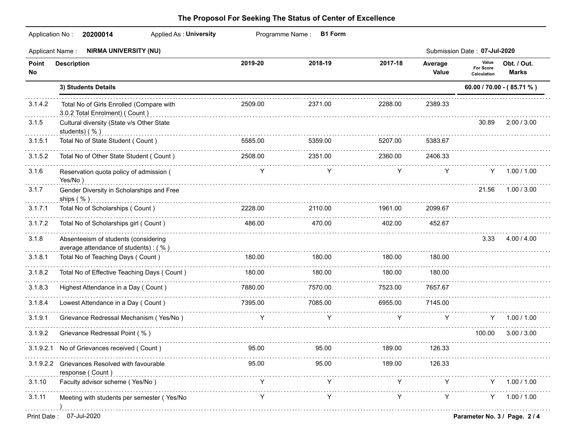| Application No:        | <b>Applied As: University</b><br>20200014                                    |             | Programme Name: B1 Form |               |                  |                                          |                             |
|------------------------|------------------------------------------------------------------------------|-------------|-------------------------|---------------|------------------|------------------------------------------|-----------------------------|
| <b>Applicant Name:</b> | <b>NIRMA UNIVERSITY (NU)</b>                                                 |             |                         |               |                  | Submission Date: 07-Jul-2020             |                             |
| Point<br>No            | <b>Description</b>                                                           | 2019-20     | 2018-19                 | 2017-18       | Average<br>Value | Value<br><b>For Score</b><br>Calculation | Obt. / Out.<br><b>Marks</b> |
|                        | 3) Students Details                                                          |             |                         |               |                  |                                          | 60.00 / 70.00 - (85.71 %)   |
| 3.1.4.2                | Total No of Girls Enrolled (Compare with<br>3.0.2 Total Enrolment) ( Count ) | 2509.00     | 2371.00                 | 2288.00       | 2389.33          |                                          |                             |
| 3.1.5                  | Cultural diversity (State v/s Other State<br>students) (%)                   |             |                         |               |                  | 30.89                                    | 2.00 / 3.00                 |
| 3.1.5.1                | Total No of State Student (Count)                                            | 5585.00     | 5359.00                 | 5207.00       | 5383.67          |                                          |                             |
| 3.1.5.2                | Total No of Other State Student (Count)                                      | 2508.00     | 2351.00                 | 2360.00       | 2406.33          |                                          |                             |
| 3.1.6                  | Reservation quota policy of admission (<br>Yes/No)                           | Y           | Y                       | Y             | Y                |                                          | Y 1.00 / 1.00               |
| 3.1.7                  | Gender Diversity in Scholarships and Free<br>ships $( %)$                    |             |                         |               |                  | 21.56                                    | 1.00 / 3.00                 |
| 3.1.7.1                | Total No of Scholarships (Count)                                             | 2228.00     | 2110.00                 | 1961.00       | 2099.67          |                                          |                             |
| 3.1.7.2                | Total No of Scholarships girl (Count)                                        | 486.00      | 470.00                  | 402.00        | 452.67           |                                          |                             |
| 3.1.8                  | Absenteeism of students (considering<br>average attendance of students): (%) |             |                         |               |                  | 3.33                                     | 4.00 / 4.00                 |
| 3.1.8.1                | Total No of Teaching Days (Count)                                            | 180.00      | 180.00                  | 180.00        | 180.00           |                                          |                             |
| 3.1.8.2                | Total No of Effective Teaching Days ( Count )                                | 180.00      | 180.00                  | 180.00        | 180.00           |                                          |                             |
| 3.1.8.3                | Highest Attendance in a Day (Count)                                          | 7880.00     | 7570.00                 | 7523.00       | 7657.67          |                                          |                             |
| 3.1.8.4                | Lowest Attendance in a Day (Count)                                           | 7395.00     | 7085.00                 | 6955.00       | 7145.00          |                                          |                             |
| 3.1.9.1                | Grievance Redressal Mechanism (Yes/No)                                       | Y           | Y                       | Y             | Y                | Y                                        | 1.00 / 1.00                 |
| 3.1.9.2                | Grievance Redressal Point (%)                                                |             |                         |               |                  | 100.00                                   | 3.00 / 3.00                 |
|                        | 3.1.9.2.1 No of Grievances received (Count)                                  | 95.00 95.00 |                         | 189.00 126.33 |                  |                                          |                             |
|                        | 3.1.9.2.2 Grievances Resolved with favourable<br>response (Count)            | 95.00       | 95.00                   | 189.00        | 126.33           |                                          |                             |
| 3.1.10                 | Faculty advisor scheme (Yes/No)                                              | Y           |                         | Y             |                  | Y.                                       | 1.00 / 1.00                 |
| 3.1.11                 | Meeting with students per semester (Yes/No                                   | Y           | Y                       | Y             | Y                | Y.                                       | 1.00 / 1.00                 |
| Print Date:            | 07-Jul-2020<br>Parameter No. 3 / Page. 2 / 4                                 |             |                         |               |                  |                                          |                             |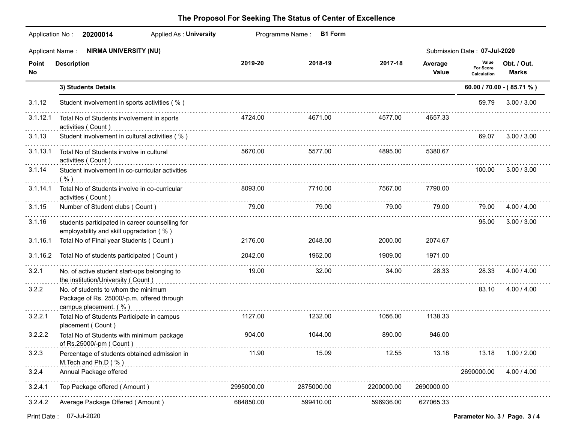|              | <b>Applied As: University</b><br>Application No:<br>20200014                                               |            | Programme Name:<br><b>B1 Form</b> |            |                  |                                          |                             |
|--------------|------------------------------------------------------------------------------------------------------------|------------|-----------------------------------|------------|------------------|------------------------------------------|-----------------------------|
|              | Applicant Name: NIRMA UNIVERSITY (NU)                                                                      |            |                                   |            |                  | Submission Date: 07-Jul-2020             |                             |
| Point<br>No. | <b>Description</b>                                                                                         | 2019-20    | 2018-19                           | 2017-18    | Average<br>Value | Value<br><b>For Score</b><br>Calculation | Obt. / Out.<br><b>Marks</b> |
|              | 3) Students Details                                                                                        |            |                                   |            |                  |                                          | 60.00 / 70.00 - (85.71 %)   |
| 3.1.12       | Student involvement in sports activities (%)                                                               |            |                                   |            |                  | 59.79                                    | 3.00 / 3.00                 |
| 3.1.12.1     | Total No of Students involvement in sports<br>activities (Count)                                           | 4724.00    | 4671.00                           | 4577.00    | 4657.33          |                                          |                             |
| 3.1.13       | Student involvement in cultural activities (%)                                                             |            |                                   |            |                  | 69.07                                    | 3.00 / 3.00                 |
| 3.1.13.1     | Total No of Students involve in cultural<br>activities (Count)                                             | 5670.00    | 5577.00                           | 4895.00    | 5380.67          |                                          |                             |
| 3.1.14       | Student involvement in co-curricular activities<br>$\left(\frac{9}{6}\right)$                              |            |                                   |            |                  | 100.00                                   | 3.00 / 3.00                 |
| 3.1.14.1     | Total No of Students involve in co-curricular<br>activities (Count)                                        | 8093.00    | 7710.00                           | 7567.00    | 7790.00          |                                          |                             |
| 3.1.15       | Number of Student clubs (Count)                                                                            | 79.00      | 79.00                             | 79.00      | 79.00            | 79.00                                    | 4.00 / 4.00                 |
| 3.1.16       | students participated in career counselling for<br>employability and skill upgradation (%)                 | .          |                                   |            |                  | 95.00                                    | 3.00 / 3.00                 |
| 3.1.16.1     | Total No of Final year Students (Count)                                                                    | 2176.00    | 2048.00<br>.                      | 2000.00    | 2074.67          |                                          |                             |
| 3.1.16.2     | Total No of students participated (Count)                                                                  | 2042.00    | 1962.00                           | 1909.00    | 1971.00          |                                          |                             |
| 3.2.1        | No. of active student start-ups belonging to<br>the institution/University ( Count )                       | 19.00      | 32.00                             | 34.00      | 28.33            | 28.33                                    | 4.00 / 4.00                 |
| 3.2.2        | No. of students to whom the minimum<br>Package of Rs. 25000/-p.m. offered through<br>campus placement. (%) |            |                                   |            |                  | 83.10                                    | 4.00 / 4.00                 |
| 3.2.2.1      | Total No of Students Participate in campus<br>placement (Count)                                            | 1127.00    | 1232.00                           | 1056.00    | 1138.33          |                                          |                             |
| 3.2.2.2      | Total No of Students with minimum package<br>of Rs.25000/-pm ( Count )                                     | 904.00     | 1044.00                           | 890.00     | 946.00           |                                          |                             |
| 3.2.3        | Percentage of students obtained admission in<br>M. Tech and Ph.D (%)                                       | 11.90      | 15.09                             | 12.55      | 13.18            | 13.18                                    | 1.00 / 2.00                 |
| 3.2.4        | Annual Package offered                                                                                     |            |                                   |            |                  | 2690000.00                               | 4.00 / 4.00                 |
| 3.2.4.1      | Top Package offered (Amount)                                                                               | 2995000.00 | 2875000.00                        | 2200000.00 | 2690000.00       |                                          |                             |
| 3.2.4.2      | Average Package Offered (Amount)                                                                           | 684850.00  | 599410.00                         | 596936.00  | 627065.33        |                                          |                             |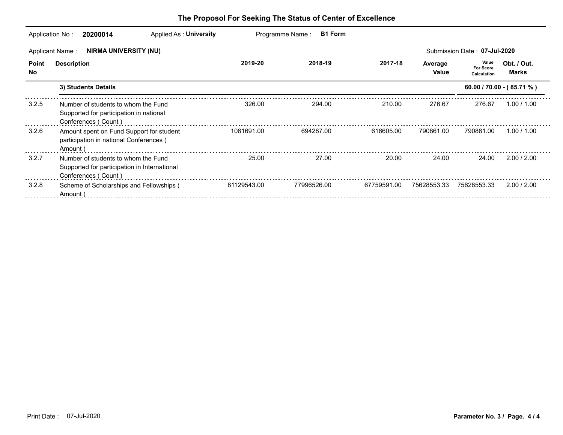|             | Applied As: University<br>Application No:<br>20200014                                                      |             | Programme Name:<br><b>B1 Form</b> |             |                  |                                          |                             |
|-------------|------------------------------------------------------------------------------------------------------------|-------------|-----------------------------------|-------------|------------------|------------------------------------------|-----------------------------|
|             | NIRMA UNIVERSITY (NU)<br>Applicant Name:                                                                   |             |                                   |             |                  | Submission Date: 07-Jul-2020             |                             |
| Point<br>No | <b>Description</b>                                                                                         | 2019-20     | 2018-19                           | 2017-18     | Average<br>Value | Value<br><b>For Score</b><br>Calculation | Obt. / Out.<br><b>Marks</b> |
|             | 3) Students Details                                                                                        |             |                                   |             |                  |                                          | $60.00 / 70.00 - (85.71 %)$ |
| 3.2.5       | Number of students to whom the Fund<br>Supported for participation in national<br>Conferences (Count)      | 326.00      | 294.00                            | 210.00      | 276.67           | 276.67                                   | 1.00 / 1.00                 |
| 3.2.6       | Amount spent on Fund Support for student<br>participation in national Conferences (<br>Amount)             | 1061691.00  | 694287.00                         | 616605.00   | 790861.00        | 790861.00                                | 1.00 / 1.00                 |
| 3.2.7       | Number of students to whom the Fund<br>Supported for participation in International<br>Conferences (Count) | 25.00       | 27.00                             | 20.00       | 24.00            | 24.00                                    | 2.00 / 2.00                 |
| 3.2.8       | Scheme of Scholarships and Fellowships (<br>Amount)                                                        | 81129543.00 | 77996526.00                       | 67759591.00 | 75628553.33      | 75628553.33                              | 2.00 / 2.00                 |
|             |                                                                                                            |             |                                   |             |                  |                                          |                             |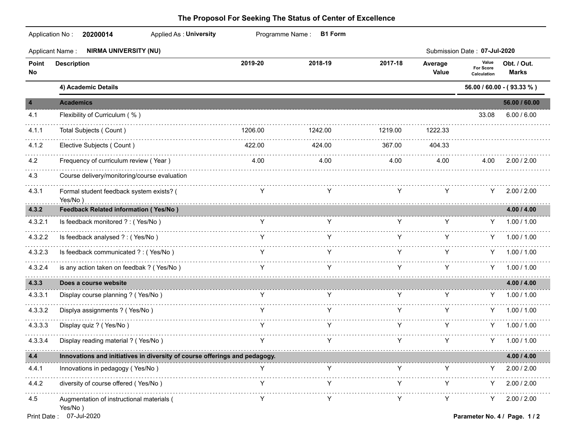| Application No:<br><b>Applied As: University</b><br>20200014 |                            |                                                                            |                         |                  |                                   |                                                                                                   |
|--------------------------------------------------------------|----------------------------|----------------------------------------------------------------------------|-------------------------|------------------|-----------------------------------|---------------------------------------------------------------------------------------------------|
| <b>NIRMA UNIVERSITY (NU)</b><br>Applicant Name:              |                            |                                                                            |                         |                  |                                   |                                                                                                   |
| <b>Description</b>                                           | 2019-20                    | 2018-19                                                                    | 2017-18                 | Average<br>Value | Value<br>For Score<br>Calculation | Obt. / Out.<br><b>Marks</b>                                                                       |
| 4) Academic Details                                          |                            |                                                                            |                         |                  |                                   | 56.00 / 60.00 - (93.33 %)                                                                         |
| <b>Academics</b>                                             |                            |                                                                            |                         |                  |                                   | 56.00 / 60.00                                                                                     |
| Flexibility of Curriculum (%)                                |                            |                                                                            |                         |                  | 33.08                             | 6.00 / 6.00                                                                                       |
| Total Subjects (Count)                                       | 1206.00                    | 1242.00                                                                    | 1219.00                 | 1222.33          |                                   |                                                                                                   |
| Elective Subjects (Count)                                    | 422.00                     | 424.00                                                                     | 367.00                  | 404.33           |                                   |                                                                                                   |
| Frequency of curriculum review (Year)                        | 4.00                       | 4.00                                                                       | 4.00                    | 4.00             | 4.00                              | 2.00 / 2.00                                                                                       |
| Course delivery/monitoring/course evaluation                 |                            |                                                                            |                         |                  |                                   |                                                                                                   |
| Formal student feedback system exists? (<br>Yes/No)          | Y                          | Y                                                                          | Y                       | Υ                |                                   | 2.00 / 2.00                                                                                       |
| <b>Feedback Related information (Yes/No)</b>                 |                            |                                                                            |                         |                  |                                   | 4.00 / 4.00                                                                                       |
| Is feedback monitored ? : (Yes/No)                           | Y                          | Y                                                                          | Y                       | Y                |                                   | Y 1.00 / 1.00                                                                                     |
| Is feedback analysed ? : (Yes/No)                            |                            |                                                                            |                         | Y                |                                   | 1.00 / 1.00                                                                                       |
| Is feedback communicated ? : (Yes/No)                        |                            |                                                                            | Y                       | Y                |                                   | $Y = 1.00 / 1.00$                                                                                 |
| is any action taken on feedbak ? (Yes/No)                    | Y                          | Y                                                                          | Y                       | Y                | Y                                 | 1.00 / 1.00                                                                                       |
| Does a course website                                        |                            |                                                                            |                         |                  |                                   | 4.00 / 4.00                                                                                       |
| Display course planning ? (Yes/No)                           | Y                          | Y                                                                          | Y                       | Y                |                                   | 1.00 / 1.00                                                                                       |
| Displya assignments ? (Yes/No)                               | Y                          | Y                                                                          | Y                       | Υ                |                                   | 1.00 / 1.00                                                                                       |
| Display quiz ? (Yes/No)                                      | Y                          | Y                                                                          | Y                       | Y                |                                   | 1.00 / 1.00                                                                                       |
| Display reading material ? (Yes/No)                          | Y                          | Y                                                                          | Y                       | Y                |                                   | Y 1.00 / 1.00                                                                                     |
|                                                              |                            |                                                                            |                         |                  |                                   | 4.00 / 4.00                                                                                       |
| Innovations in pedagogy (Yes/No)                             | Y                          | Y                                                                          | Y                       | Y                | Y                                 | 2.00 / 2.00                                                                                       |
| diversity of course offered (Yes/No)                         | Y                          |                                                                            | Y                       | Y                | Y.                                | 2.00 / 2.00                                                                                       |
| Augmentation of instructional materials (<br>Yes/No)         | Y.                         | Y                                                                          | Y                       | Y                |                                   | 2.00 / 2.00                                                                                       |
|                                                              | 07-Jul-2020<br>Print Date: | Innovations and initiatives in diversity of course offerings and pedagogy. | Programme Name: B1 Form |                  |                                   | Submission Date: 07-Jul-2020<br>Y.<br>Y.<br>Y.<br>Y.<br>Y.<br>Y.<br>Parameter No. 4 / Page. 1 / 2 |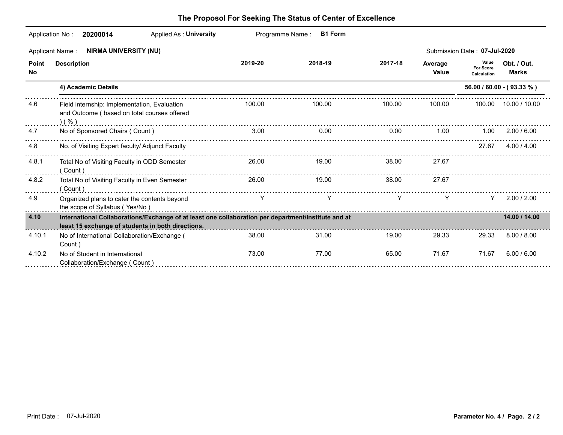|              | <b>Applied As: University</b><br>Application No:<br>20200014                                                                                             |         | Programme Name:<br><b>B1 Form</b> |         |                  |                                          |                             |
|--------------|----------------------------------------------------------------------------------------------------------------------------------------------------------|---------|-----------------------------------|---------|------------------|------------------------------------------|-----------------------------|
|              | <b>NIRMA UNIVERSITY (NU)</b><br><b>Applicant Name:</b>                                                                                                   |         |                                   |         |                  | Submission Date: 07-Jul-2020             |                             |
| Point<br>No. | <b>Description</b>                                                                                                                                       | 2019-20 | 2018-19                           | 2017-18 | Average<br>Value | Value<br><b>For Score</b><br>Calculation | Obt. / Out.<br><b>Marks</b> |
|              | 4) Academic Details                                                                                                                                      |         |                                   |         |                  |                                          | $56.00 / 60.00 - (93.33 %)$ |
| 4.6          | Field internship: Implementation, Evaluation<br>and Outcome (based on total courses offered<br>( %)                                                      | 100.00  | 100.00                            | 100.00  | 100.00           |                                          | 100.00 10.00 / 10.00        |
| 4.7          | No of Sponsored Chairs (Count)                                                                                                                           | 3.00    | 0.00                              | 0.00    | 1.00             | 1.00                                     | 2.00 / 6.00                 |
| 4.8          | No. of Visiting Expert faculty/ Adjunct Faculty                                                                                                          |         |                                   |         |                  | 27.67                                    | 4.00 / 4.00                 |
| 4.8.1        | Total No of Visiting Faculty in ODD Semester<br>(Count)                                                                                                  | 26.00   | 19.00                             | 38.00   | 27.67            |                                          |                             |
| 4.8.2        | Total No of Visiting Faculty in Even Semester<br>(Count)                                                                                                 | 26.00   | 19.00                             | 38.00   | 27.67            |                                          |                             |
| 4.9          | Organized plans to cater the contents beyond<br>the scope of Syllabus (Yes/No)                                                                           | Y       |                                   | Y       | Y                | Y.                                       | 2.00 / 2.00                 |
| 4.10         | International Collaborations/Exchange of at least one collaboration per department/Institute and at<br>least 15 exchange of students in both directions. |         |                                   |         |                  |                                          | 14.00 / 14.00               |
| 4.10.1       | No of International Collaboration/Exchange (<br>Count)                                                                                                   | 38.00   | 31.00                             | 19.00   | 29.33            | 29.33                                    | 8.00 / 8.00                 |
| 4.10.2       | No of Student in International<br>Collaboration/Exchange (Count)                                                                                         | 73.00   | 77.00                             | 65.00   | 71.67            | 71.67                                    | 6.00 / 6.00                 |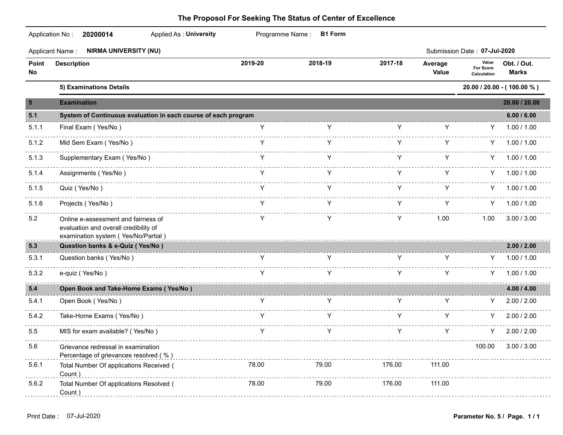|             | Application No:<br>Applied As: University<br>20200014                                                               |         | Programme Name: B1 Form |         |                  |                                          |                             |
|-------------|---------------------------------------------------------------------------------------------------------------------|---------|-------------------------|---------|------------------|------------------------------------------|-----------------------------|
|             | <b>NIRMA UNIVERSITY (NU)</b><br><b>Applicant Name:</b>                                                              |         |                         |         |                  | Submission Date: 07-Jul-2020             |                             |
| Point<br>No | <b>Description</b>                                                                                                  | 2019-20 | 2018-19                 | 2017-18 | Average<br>Value | Value<br><b>For Score</b><br>Calculation | Obt. / Out.<br><b>Marks</b> |
|             | 5) Examinations Details                                                                                             |         |                         |         |                  |                                          | 20.00 / 20.00 - (100.00 %)  |
| 5           | <b>Examination</b>                                                                                                  |         |                         |         |                  |                                          | 20.00 / 20.00               |
| 5.1         | System of Continuous evaluation in each course of each program                                                      |         |                         |         |                  |                                          | 6.00 / 6.00                 |
| 5.1.1       | Final Exam (Yes/No)                                                                                                 | Y       | Y                       | Y       | Y                | Y                                        | 1.00 / 1.00                 |
| 5.1.2       | Mid Sem Exam (Yes/No)                                                                                               | Y       |                         | Y       |                  |                                          | 1.00 / 1.00                 |
| 5.1.3       | Supplementary Exam (Yes/No)                                                                                         | Y       |                         | Y       | Y                | Y.                                       | 1.00 / 1.00                 |
| 5.1.4       | Assignments (Yes/No)                                                                                                | Y       | Y                       | Y       | Y                |                                          | $Y = 1.00 / 1.00$           |
| 5.1.5       | Quiz (Yes/No)                                                                                                       |         | Y                       | Y       | Y                |                                          | $Y = 1.00 / 1.00$           |
| 5.1.6       | Projects (Yes/No)                                                                                                   | Y       | Y                       | Y.      | Y                | Y -                                      | 1.00 / 1.00                 |
| 5.2         | Online e-assessment and fairness of<br>evaluation and overall credibility of<br>examination system (Yes/No/Partial) |         | Y                       | Y       | 1.00             | 1.00                                     | 3.00 / 3.00                 |
| 5.3         | Question banks & e-Quiz (Yes/No)                                                                                    |         |                         |         |                  |                                          | 2.00 / 2.00                 |
| 5.3.1       | Question banks (Yes/No)                                                                                             | Y       | Y                       | Y       | Y                | Y                                        | 1.00 / 1.00                 |
| 5.3.2       | e-quiz (Yes/No)                                                                                                     | Y       | Y                       | Y       | Y                | Y                                        | 1.00 / 1.00                 |
| 5.4         | Open Book and Take-Home Exams (Yes/No)                                                                              |         |                         |         |                  |                                          | 4.00 / 4.00                 |
| 5.4.1       | Open Book (Yes/No)                                                                                                  | Y.      | Y                       | Y.      | Y                |                                          | 2.00 / 2.00                 |
| 5.4.2       | Take-Home Exams (Yes/No)                                                                                            |         |                         | Y       | Y                | Y.                                       | 2.00 / 2.00                 |
| 5.5         | MIS for exam available? (Yes/No)                                                                                    | Y       | Y                       | Y       | Y                | Y.                                       | 2.00 / 2.00                 |
| 5.6         | Grievance redressal in examination<br>Percentage of grievances resolved (%)                                         |         |                         |         |                  | 100.00                                   | 3.00 / 3.00                 |
| 5.6.1       | Total Number Of applications Received (<br>Count)                                                                   | 78.00   | 79.00                   | 176.00  | 111.00           |                                          |                             |
| 5.6.2       | Total Number Of applications Resolved (<br>Count)                                                                   | 78.00   | 79.00                   | 176.00  | 111.00           |                                          |                             |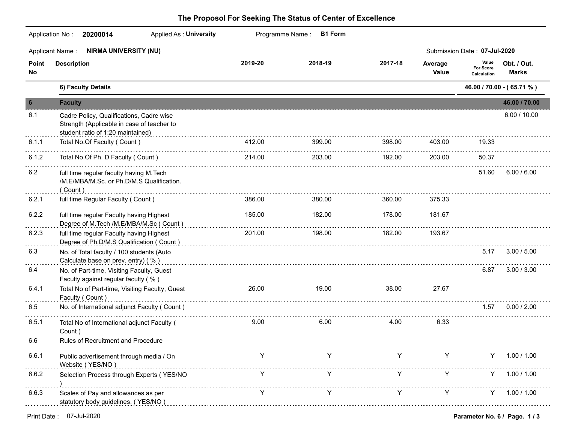|             | <b>NIRMA UNIVERSITY (NU)</b><br><b>Applicant Name:</b>                                                                                                   |         |         |         |                  | Submission Date: 07-Jul-2020      |                             |
|-------------|----------------------------------------------------------------------------------------------------------------------------------------------------------|---------|---------|---------|------------------|-----------------------------------|-----------------------------|
| Point<br>No | <b>Description</b>                                                                                                                                       | 2019-20 | 2018-19 | 2017-18 | Average<br>Value | Value<br>For Score<br>Calculation | Obt. / Out.<br><b>Marks</b> |
|             | 6) Faculty Details                                                                                                                                       |         |         |         |                  |                                   | 46.00 / 70.00 - (65.71 %)   |
| 6           | <b>Faculty</b>                                                                                                                                           |         |         |         |                  |                                   | 46.00 / 70.00               |
| 6.1         | Cadre Policy, Qualifications, Cadre wise<br>Strength (Applicable in case of teacher to<br>student ratio of 1:20 maintained)                              |         |         |         |                  |                                   | 6.00 / 10.00                |
| 6.1.1       | Total No.Of Faculty (Count)                                                                                                                              | 412.00  | 399.00  | 398.00  | 403.00           | 19.33                             |                             |
| 6.1.2       | Total No.Of Ph. D Faculty (Count)                                                                                                                        | 214.00  | 203.00  | 192.00  | 203.00           | 50.37                             |                             |
| 6.2         | full time regular faculty having M. Tech<br>/M.E/MBA/M.Sc. or Ph.D/M.S Qualification.<br>(Count)                                                         |         |         |         |                  | 51.60                             | 6.00 / 6.00                 |
| 6.2.1       | full time Regular Faculty (Count)                                                                                                                        | 386.00  | 380.00  | 360.00  | 375.33           |                                   |                             |
| 6.2.2       | full time regular Faculty having Highest<br>Degree of M.Tech /M.E/MBA/M.Sc (Count) entertainment and the control of M.Tech /M.Tech /M.E/MBA/M.Sc (Count) | 185.00  | 182.00  | 178.00  | 181.67           |                                   |                             |
| 6.2.3       | full time regular Faculty having Highest<br>Degree of Ph.D/M.S Qualification ( Count )                                                                   | 201.00  | 198.00  | 182.00  | 193.67           |                                   |                             |
| 6.3         | No. of Total faculty / 100 students (Auto<br>Calculate base on prev. entry) (%)                                                                          |         |         |         |                  | 5.17                              | 3.00 / 5.00                 |
| 6.4         | No. of Part-time, Visiting Faculty, Guest<br>Faculty against regular faculty (%)                                                                         |         |         |         |                  | 6.87                              | 3.00 / 3.00                 |
| 6.4.1       | Total No of Part-time, Visiting Faculty, Guest<br>Faculty (Count)                                                                                        | 26.00   | 19.00   | 38.00   | 27.67            |                                   |                             |
| 6.5         | No. of International adjunct Faculty (Count)                                                                                                             |         |         |         |                  | 1.57                              | 0.00 / 2.00                 |
| 6.5.1       | Total No of International adjunct Faculty (<br>Count)                                                                                                    | 9.00    | 6.00    | 4.00    | 6.33             |                                   |                             |
| 6.6         | Rules of Recruitment and Procedure                                                                                                                       |         |         |         |                  |                                   |                             |
| 6.6.1       | Public advertisement through media / On<br>Website (YES/NO)                                                                                              | Y       | Y       |         | Y                |                                   | Y 1.00 / 1.00               |
| 6.6.2       | Selection Process through Experts (YES/NO                                                                                                                |         | Y       | Y       | Y                | Y.                                | 1.00 / 1.00                 |
| 6.6.3       | Scales of Pay and allowances as per<br>statutory body guidelines. (YES/NO)                                                                               |         |         |         | Y                | Y.                                | 1.00 / 1.00                 |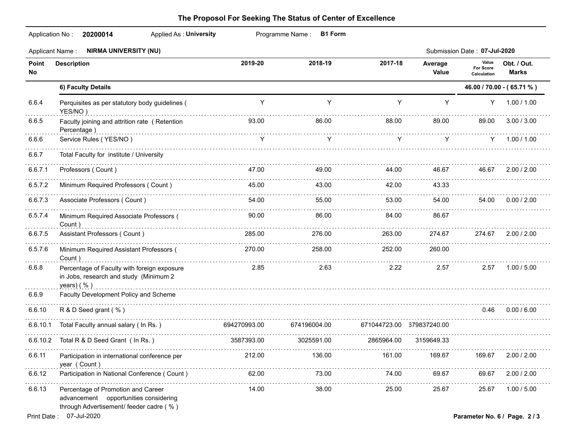|              | Applied As: University<br>Application No: 20200014                                                                     |              | Programme Name: B1 Form |            |                  |                                          |                               |
|--------------|------------------------------------------------------------------------------------------------------------------------|--------------|-------------------------|------------|------------------|------------------------------------------|-------------------------------|
|              | Applicant Name: NIRMA UNIVERSITY (NU)                                                                                  |              |                         |            |                  | Submission Date: 07-Jul-2020             |                               |
| Point<br>No  | <b>Description</b>                                                                                                     | 2019-20      | 2018-19                 | 2017-18    | Average<br>Value | Value<br><b>For Score</b><br>Calculation | Obt. / Out.<br><b>Marks</b>   |
|              | 6) Faculty Details                                                                                                     |              |                         |            |                  |                                          | 46.00 / 70.00 - (65.71 %)     |
| 6.6.4        | Perquisites as per statutory body guidelines (<br>YES/NO)                                                              | Y            | Y                       | Y          | Y                | Y                                        | 1.00 / 1.00                   |
| 6.6.5        | Faculty joining and attrition rate (Retention<br>Percentage)                                                           | 93.00        | 86.00                   | 88.00      | 89.00            | 89.00                                    | 3.00 / 3.00                   |
| 6.6.6        | Service Rules (YES/NO)                                                                                                 | Y            | Y                       | Y          | Y                | Y -                                      | 1.00 / 1.00                   |
| 6.6.7        | Total Faculty for institute / University                                                                               |              |                         |            |                  |                                          |                               |
| 6.6.7.1      | Professors (Count)                                                                                                     | 47.00        | 49.00                   | 44.00      | 46.67            | 46.67                                    | 2.00 / 2.00                   |
| 6.5.7.2      | Minimum Required Professors (Count)                                                                                    | 45.00        | 43.00                   | 42.00      | 43.33            |                                          |                               |
| 6.6.7.3      | Associate Professors (Count)                                                                                           | 54.00        | 55.00                   | 53.00      | 54.00            | 54.00                                    | 0.00 / 2.00                   |
| 6.5.7.4      | Minimum Required Associate Professors (<br>Count)                                                                      | 90.00        | 86.00                   | 84.00      | 86.67            |                                          |                               |
| 6.6.7.5      | Assistant Professors (Count)                                                                                           | 285.00       | 276.00                  | 263.00     | 274.67           | 274.67                                   | 2.00 / 2.00                   |
| 6.5.7.6      | Minimum Required Assistant Professors (<br>Count )                                                                     | 270.00       | 258.00                  | 252.00     | 260.00           |                                          |                               |
| 6.6.8        | Percentage of Faculty with foreign exposure<br>in Jobs, research and study (Minimum 2<br>years) $( %)$                 | 2.85         | 2.63                    | 2.22       | 2.57             | 2.57                                     | 1.00 / 5.00                   |
| 6.6.9        | Faculty Development Policy and Scheme                                                                                  |              |                         |            |                  |                                          |                               |
| 6.6.10       | R & D Seed grant (%)                                                                                                   |              |                         |            |                  | 0.46                                     | 0.00 / 6.00                   |
| 6.6.10.1     | Total Faculty annual salary (In Rs.)                                                                                   | 694270993.00 | 674196004.00            |            |                  |                                          |                               |
|              | 6.6.10.2 Total R & D Seed Grant (In Rs.)                                                                               | 3587393.00   | 3025591.00              | 2865964.00 | 3159649.33       |                                          |                               |
| 6.6.11       | Participation in international conference per<br>year (Count)                                                          | 212.00       | 136.00                  | 161.00     | 169.67           | 169.67                                   | 2.00 / 2.00                   |
| 6.6.12       | Participation in National Conference (Count)                                                                           | 62.00        | 73.00                   | 74.00      | 69.67            | 69.67                                    | 2.00 / 2.00                   |
| 6.6.13       | Percentage of Promotion and Career<br>advancement opportunities considering<br>through Advertisement/ feeder cadre (%) | 14.00        | 38.00                   | 25.00      | 25.67            | 25.67                                    | 1.00 / 5.00                   |
| Print Date : | 07-Jul-2020                                                                                                            |              |                         |            |                  |                                          | Parameter No. 6 / Page. 2 / 3 |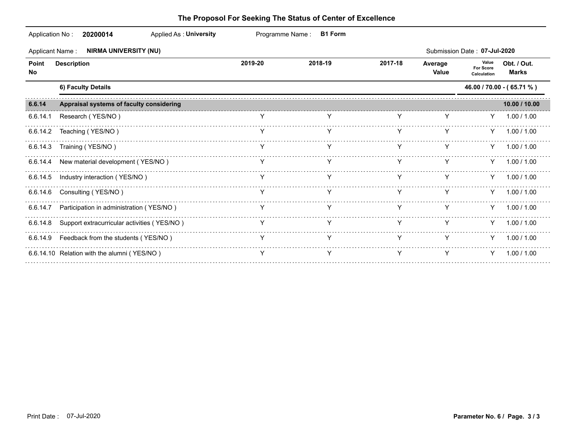| Application No: | Applied As: University<br>20200014                     |         | Programme Name: B1 Form |         |                  |                                   |                             |
|-----------------|--------------------------------------------------------|---------|-------------------------|---------|------------------|-----------------------------------|-----------------------------|
|                 | <b>NIRMA UNIVERSITY (NU)</b><br><b>Applicant Name:</b> |         |                         |         |                  | Submission Date: 07-Jul-2020      |                             |
| Point<br>No.    | <b>Description</b>                                     | 2019-20 | 2018-19                 | 2017-18 | Average<br>Value | Value<br>For Score<br>Calculation | Obt. / Out.<br><b>Marks</b> |
|                 | 6) Faculty Details                                     |         |                         |         |                  |                                   | 46.00 / 70.00 - (65.71 %)   |
| 6.6.14          | Appraisal systems of faculty considering               |         |                         |         |                  |                                   | 10.00 / 10.00               |
| 6.6.14.1        | Research (YES/NO)                                      |         |                         |         |                  | Y.                                | 1.00 / 1.00                 |
| 6.6.14.2        | Teaching (YES/NO)                                      |         |                         |         |                  | Y.                                | 1.00 / 1.00                 |
|                 | 6.6.14.3 Training (YES/NO)                             |         |                         |         |                  |                                   | $Y = 1.00 / 1.00$           |
|                 | 6.6.14.4 New material development (YES/NO)             | Y       |                         | Y       | Y                | Y.                                | 1.00 / 1.00                 |
|                 | 6.6.14.5 Industry interaction (YES/NO)                 |         |                         |         |                  |                                   | $Y = 1.00 / 1.00$           |
| 6.6.14.6        | Consulting (YES/NO)                                    | Y       | Y                       | Y       | Y                |                                   | $Y = 1.00 / 1.00$           |
|                 | 6.6.14.7 Participation in administration (YES/NO)      |         |                         |         |                  | Y.                                | 1.00 / 1.00                 |
|                 | 6.6.14.8 Support extracurricular activities (YES/NO)   | Y       | Y                       | Y       | Y                |                                   | $Y = 1.00 / 1.00$           |
|                 | 6.6.14.9 Feedback from the students (YES/NO)           |         |                         | Y       | Y                |                                   | $Y = 1.00 / 1.00$           |
|                 | 6.6.14.10 Relation with the alumni (YES/NO)            |         |                         | Y       |                  |                                   | $Y = 1.00 / 1.00$           |
|                 |                                                        |         |                         |         |                  |                                   |                             |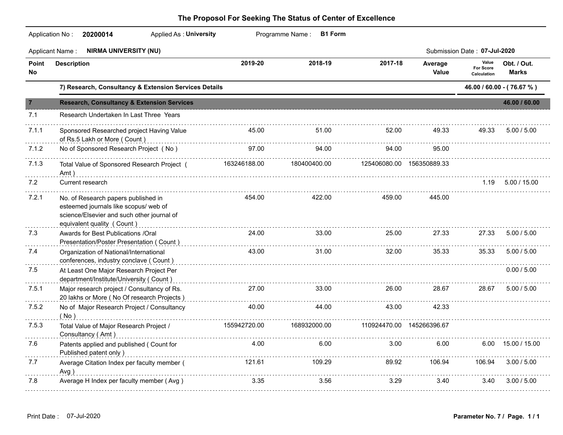|             | Applicant Name: NIRMA UNIVERSITY (NU)                                                                                                                    |              |              |                            |                            | Submission Date: 07-Jul-2020      |                            |
|-------------|----------------------------------------------------------------------------------------------------------------------------------------------------------|--------------|--------------|----------------------------|----------------------------|-----------------------------------|----------------------------|
| Point<br>No | <b>Description</b>                                                                                                                                       | 2019-20      | 2018-19      | 2017-18                    | Average<br>Value           | Value<br>For Score<br>Calculation | Obt. / Out.<br>Marks       |
|             | 7) Research, Consultancy & Extension Services Details                                                                                                    |              |              |                            |                            |                                   | 46.00 / 60.00 - (76.67 %)  |
| -7          | <b>Research, Consultancy &amp; Extension Services</b>                                                                                                    |              |              |                            |                            |                                   | 46.00 / 60.00              |
| 7.1         | Research Undertaken In Last Three Years                                                                                                                  |              |              |                            |                            |                                   |                            |
| 7.1.1       | Sponsored Researched project Having Value<br>of Rs.5 Lakh or More (Count)                                                                                | 45.00        | 51.00        | 52.00                      | 49.33                      | 49.33                             | 5.00 / 5.00                |
| 7.1.2       | No of Sponsored Research Project (No)                                                                                                                    | 97.00        | 94.00        | 94.00                      | 95.00                      |                                   |                            |
| 7.1.3       | Total Value of Sponsored Research Project (183246188.00<br>Amt)                                                                                          |              | 180400400.00 |                            | 125406080.00  156350889.33 |                                   |                            |
| 7.2         | Current research                                                                                                                                         |              |              |                            |                            |                                   | $1.19$ $5.00 / 15.00$      |
| 7.2.1       | No. of Research papers published in<br>esteemed journals like scopus/ web of<br>science/Elsevier and such other journal of<br>equivalent quality (Count) | 454.00       | 422.00       | 459.00                     | 445.00                     |                                   |                            |
| 7.3         | Awards for Best Publications /Oral<br>Presentation/Poster Presentation (Count)                                                                           | 24.00        | 33.00        | 25.00                      | 27.33                      | 27.33                             | 5.00 / 5.00                |
| 7.4         | Organization of National/International<br>conferences, industry conclave (Count)                                                                         | 43.00        | 31.00        | 32.00                      | 35.33                      | 35.33                             | 5.00 / 5.00                |
| 7.5         | At Least One Major Research Project Per<br>department/Institute/University ( Count )                                                                     |              |              |                            |                            |                                   | 0.00 / 5.00                |
| 7.5.1       | Major research project / Consultancy of Rs.<br>20 lakhs or More (No Of research Projects)                                                                | 27.00        | 33.00        | 26.00                      | 28.67                      | 28.67                             | 5.00 / 5.00                |
| 7.5.2       | No of Major Research Project / Consultancy<br>( No)                                                                                                      | 40.00        | 44.00        | 43.00                      | 42.33                      |                                   |                            |
| 7.5.3       | Total Value of Major Research Project /<br>Consultancy (Amt)                                                                                             | 155942720.00 | 168932000.00 | 110924470.00  145266396.67 |                            |                                   |                            |
| 7.6         | Patents applied and published ( Count for<br>Published patent only)                                                                                      |              | 4.00<br>6.00 | 3.00                       | 6.00                       |                                   | $6.00 \quad 15.00 / 15.00$ |
| 7.7         | Average Citation Index per faculty member (<br>Avg)                                                                                                      | 121.61       | 109.29       | 89.92                      | 106.94                     | 106.94                            | 3.00 / 5.00                |
| 7.8         | Average H Index per faculty member (Avg)                                                                                                                 | 3.35         | 3.56         | 3.29                       | 3.40                       |                                   | $3.40$ $3.00 / 5.00$       |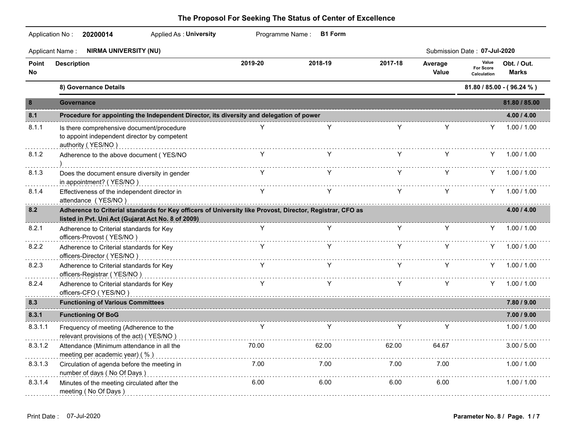|              | <b>Applied As: University</b><br>Application No: 20200014                                                                                                                                                                                                                                                                   |         | Programme Name: B1 Form       |                                                           |                  |                                   |                             |
|--------------|-----------------------------------------------------------------------------------------------------------------------------------------------------------------------------------------------------------------------------------------------------------------------------------------------------------------------------|---------|-------------------------------|-----------------------------------------------------------|------------------|-----------------------------------|-----------------------------|
|              | <b>NIRMA UNIVERSITY (NU)</b><br><b>Applicant Name:</b>                                                                                                                                                                                                                                                                      |         |                               |                                                           |                  | Submission Date: 07-Jul-2020      |                             |
| Point<br>No. | <b>Description</b>                                                                                                                                                                                                                                                                                                          | 2019-20 | 2018-19                       | 2017-18                                                   | Average<br>Value | Value<br>For Score<br>Calculation | Obt. / Out.<br><b>Marks</b> |
|              | 8) Governance Details                                                                                                                                                                                                                                                                                                       |         |                               |                                                           |                  |                                   | 81.80 / 85.00 - (96.24 %)   |
| 8            | <b>Governance</b>                                                                                                                                                                                                                                                                                                           |         |                               |                                                           |                  |                                   | 81.80 / 85.00               |
| 8.1          | Procedure for appointing the Independent Director, its diversity and delegation of power                                                                                                                                                                                                                                    |         |                               |                                                           |                  |                                   | 4.00 / 4.00                 |
| 8.1.1        | Is there comprehensive document/procedure<br>to appoint independent director by competent<br>authority (YES/NO) example and the contract of the contract of the contract of the contract of the contract of the contract of the contract of the contract of the contract of the contract of the contract of the contract of |         | Y                             | Y                                                         | Y                | Y                                 | 1.00 / 1.00                 |
| 8.1.2        | Adherence to the above document (YES/NO                                                                                                                                                                                                                                                                                     | Y       |                               | Y -                                                       | Y.               |                                   | Y 1.00 / 1.00               |
| 8.1.3        | Does the document ensure diversity in gender<br>in appointment? (YES/NO)                                                                                                                                                                                                                                                    | Y C     | Y.                            | Y -                                                       | Y.               |                                   | $Y = 1.00 / 1.00$           |
| 8.1.4        | Effectiveness of the independent director in<br>attendance (YES/NO)                                                                                                                                                                                                                                                         |         |                               |                                                           |                  |                                   | $Y = 1.00 / 1.00$           |
| 8.2          | Adherence to Criterial standards for Key officers of University like Provost, Director, Registrar, CFO as<br>listed in Pvt. Uni Act (Gujarat Act No. 8 of 2009)<br>and the continuum continuum continuum continuum continuum continuum continuum continuum continuum continuum c                                            |         |                               |                                                           |                  |                                   | 4.00 / 4.00                 |
| 8.2.1        | Adherence to Criterial standards for Key<br>officers-Provost (YES/NO)                                                                                                                                                                                                                                                       | Y.      | Y.                            | Y.                                                        | Y.               |                                   | $Y = 1.00 / 1.00$           |
| 8.2.2        | Adherence to Criterial standards for Key<br>officers-Director (YES/NO)                                                                                                                                                                                                                                                      | Y.      | Y                             | Y.                                                        | Y.               |                                   | $Y = 1.00 / 1.00$           |
| 8.2.3        | Adherence to Criterial standards for Key<br>officers-Registrar (YES/NO)                                                                                                                                                                                                                                                     |         | $Y$ $Y$                       | Y                                                         | Y.               |                                   | $Y = 1.00 / 1.00$           |
| 8.2.4        | Adherence to Criterial standards for Key<br>officers-CFO (YES/NO)                                                                                                                                                                                                                                                           | Y       | $\mathsf{Y}$ and $\mathsf{Y}$ | $\mathsf{Y}$ and $\mathsf{Y}$ are the set of $\mathsf{Y}$ | Y                |                                   | $Y = 1.00 / 1.00$           |
| 8.3          | <b>Functioning of Various Committees</b>                                                                                                                                                                                                                                                                                    |         |                               |                                                           |                  |                                   | 7.80 / 9.00                 |
| 8.3.1        | <b>Functioning Of BoG</b>                                                                                                                                                                                                                                                                                                   |         |                               |                                                           |                  |                                   | 7.00 / 9.00                 |
| 8.3.1.1      | Frequency of meeting (Adherence to the<br>relevant provisions of the act) (YES/NO)                                                                                                                                                                                                                                          |         | Y.                            | Y.                                                        | Y.               |                                   | 1.00 / 1.00                 |
| 8.3.1.2      | Attendance (Minimum attendance in all the<br>meeting per academic year) (%)                                                                                                                                                                                                                                                 | 70.00   | 62.00                         | 62.00                                                     | 64.67            |                                   | 3.00 / 5.00                 |
| 8.3.1.3      | Circulation of agenda before the meeting in<br>number of days (No Of Days)                                                                                                                                                                                                                                                  | 7.00    | 7.00                          | 7.00                                                      | 7.00             |                                   | 1.00 / 1.00                 |
| 8.3.1.4      | Minutes of the meeting circulated after the<br>meeting (No Of Days)                                                                                                                                                                                                                                                         | 6.00    | 6.00                          | 6.00                                                      | 6.00             |                                   | 1.00 / 1.00                 |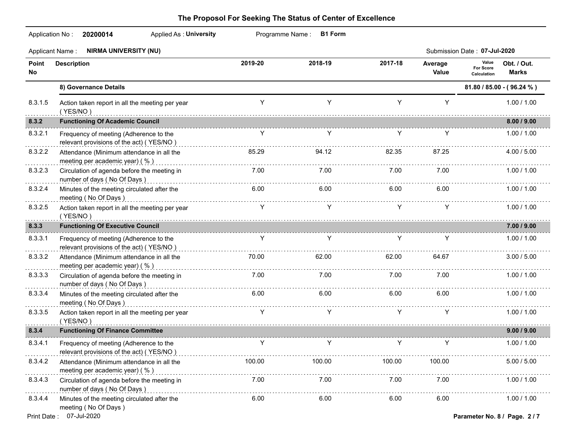|             | <b>Applied As: University</b><br>Application No: 20200014                          |             | Programme Name: B1 Form |         |                  |                                                                  |
|-------------|------------------------------------------------------------------------------------|-------------|-------------------------|---------|------------------|------------------------------------------------------------------|
|             | Applicant Name: NIRMA UNIVERSITY (NU)                                              |             |                         |         |                  | Submission Date: 07-Jul-2020                                     |
| Point<br>No | <b>Description</b>                                                                 | 2019-20     | 2018-19                 | 2017-18 | Average<br>Value | Value<br>Obt. / Out.<br>For Score<br><b>Marks</b><br>Calculation |
|             | 8) Governance Details                                                              |             |                         |         |                  | 81.80 / 85.00 - (96.24 %)                                        |
| 8.3.1.5     | Action taken report in all the meeting per year<br>(YES/NO)                        | Y           | Y                       | Y       | Y                | 1.00 / 1.00                                                      |
| 8.3.2       | <b>Functioning Of Academic Council</b>                                             |             |                         |         |                  | 8.00 / 9.00                                                      |
| 8.3.2.1     | Frequency of meeting (Adherence to the<br>relevant provisions of the act) (YES/NO) | Y           | Y                       | Y       | Y                | 1.00 / 1.00                                                      |
| 8.3.2.2     | Attendance (Minimum attendance in all the<br>meeting per academic year) (%)        | 85.29       | 94.12                   | 82.35   | 87.25            | 4.00 / 5.00                                                      |
| 8.3.2.3     | Circulation of agenda before the meeting in<br>number of days (No Of Days)         | 7.00        | 7.00                    | 7.00    | 7.00             | 1.00 / 1.00                                                      |
| 8.3.2.4     | Minutes of the meeting circulated after the<br>meeting (No Of Days)                | 6.00        | 6.00                    | 6.00    | 6.00             | 1.00 / 1.00                                                      |
| 8.3.2.5     | Action taken report in all the meeting per year<br>(YES/NO)                        | Y.          | Y                       | Y       | Y                | 1.00 / 1.00                                                      |
| 8.3.3       | <b>Functioning Of Executive Council</b>                                            |             |                         |         |                  | 7.00 / 9.00                                                      |
| 8.3.3.1     | Frequency of meeting (Adherence to the<br>relevant provisions of the act) (YES/NO) | Y<br>.      | Y                       | Y       | Y                | 1.00 / 1.00                                                      |
| 8.3.3.2     | Attendance (Minimum attendance in all the<br>meeting per academic year) (%)        | 70.00       | 62.00                   | 62.00   | 64.67            | 3.00 / 5.00                                                      |
| 8.3.3.3     | Circulation of agenda before the meeting in<br>number of days (No Of Days)         | 7.00        | 7.00                    | 7.00    | 7.00             | 1.00 / 1.00                                                      |
| 8.3.3.4     | Minutes of the meeting circulated after the<br>meeting (No Of Days)                | 6.00        | 6.00                    | 6.00    | 6.00             | 1.00 / 1.00                                                      |
| 8.3.3.5     | Action taken report in all the meeting per year<br>(YES/NO)                        | Y           | Y                       | Y       | Y                | 1.00 / 1.00                                                      |
| 8.3.4       | <b>Functioning Of Finance Committee</b>                                            |             |                         |         |                  | 9.00 / 9.00                                                      |
| 8.3.4.1     | Frequency of meeting (Adherence to the<br>relevant provisions of the act) (YES/NO) | Y           | Y                       | Y       | Y                | 1.00 / 1.00                                                      |
| 8.3.4.2     | Attendance (Minimum attendance in all the<br>meeting per academic year) (%)        | 100.00<br>. | 100.00                  | 100.00  | 100.00           | 5.00 / 5.00                                                      |
| 8.3.4.3     | Circulation of agenda before the meeting in<br>number of days (No Of Days)         | 7.00        | 7.00                    | 7.00    | 7.00             | 1.00 / 1.00                                                      |
| 8.3.4.4     | Minutes of the meeting circulated after the<br>meeting (No Of Days)                | 6.00        | 6.00                    | 6.00    | 6.00             | 1.00 / 1.00                                                      |
|             | Print Date: 07-Jul-2020                                                            |             |                         |         |                  | Parameter No. 8 / Page. 2 / 7                                    |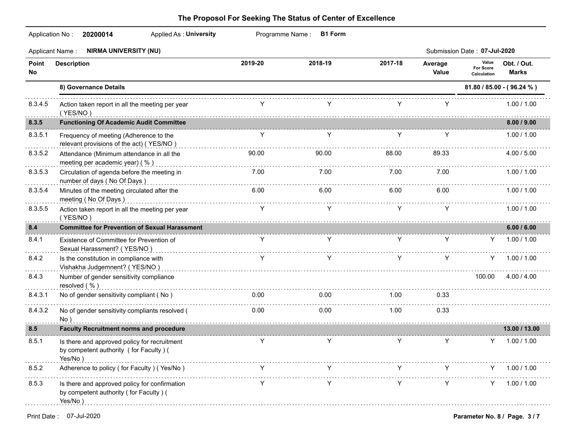|             | <b>Applied As: University</b><br>Application No: 20200014                                          |         | Programme Name: B1 Form |                  |                  |                                   |                           |
|-------------|----------------------------------------------------------------------------------------------------|---------|-------------------------|------------------|------------------|-----------------------------------|---------------------------|
|             | Applicant Name: NIRMA UNIVERSITY (NU)                                                              |         |                         |                  |                  | Submission Date: 07-Jul-2020      |                           |
| Point<br>No | <b>Description</b>                                                                                 | 2019-20 | 2018-19                 | 2017-18          | Average<br>Value | Value<br>For Score<br>Calculation | Obt. / Out.<br>Marks      |
|             | 8) Governance Details                                                                              |         |                         |                  |                  |                                   | 81.80 / 85.00 - (96.24 %) |
| 8.3.4.5     | Action taken report in all the meeting per year<br>(YES/NO)                                        |         |                         |                  |                  |                                   | 1.00 / 1.00               |
| 8.3.5       | <b>Functioning Of Academic Audit Committee</b>                                                     |         |                         |                  |                  |                                   | 8.00 / 9.00               |
| 8.3.5.1     | Frequency of meeting (Adherence to the<br>relevant provisions of the act) (YES/NO)                 | Y       | Y                       | Y                | Y                |                                   | 1.00 / 1.00               |
| 8.3.5.2     | Attendance (Minimum attendance in all the<br>meeting per academic year) (%)                        | 90.00   | 90.00                   | 88.00            | 89.33            |                                   | 4.00 / 5.00               |
| 8.3.5.3     | Circulation of agenda before the meeting in<br>number of days (No Of Days)                         | 7.00    | 7.00                    | 7.00<br><u>.</u> | 7.00             |                                   | 1.00 / 1.00               |
| 8.3.5.4     | Minutes of the meeting circulated after the<br>meeting (No Of Days)                                | 6.00    | 6.00                    | 6.00             | 6.00             |                                   | 1.00 / 1.00               |
| 8.3.5.5     | Action taken report in all the meeting per year<br>(YES/NO)                                        | Y       | Y                       | Y                | Y                |                                   | 1.00 / 1.00               |
| 8.4         | <b>Committee for Prevention of Sexual Harassment</b>                                               |         |                         |                  |                  |                                   | 6.00 / 6.00               |
| 8.4.1       | Existence of Committee for Prevention of<br>Sexual Harassment? (YES/NO)                            | Y       | Y                       | Y                | Y                | Y                                 | 1.00 / 1.00               |
| 8.4.2       | Is the constitution in compliance with<br>Vishakha Judgemnent? (YES/NO)                            | Y       | Y                       | Y                | Y                |                                   | $Y = 1.00 / 1.00$         |
| 8.4.3       | Number of gender sensitivity compliance<br>resolved $( %)$                                         |         |                         |                  |                  |                                   | 100.00 4.00 / 4.00        |
| 8.4.3.1     | No of gender sensitivity compliant (No)                                                            | 0.00    | 0.00                    | 1.00             | 0.33             |                                   |                           |
| 8.4.3.2     | No of gender sensitivity compliants resolved (<br>No)                                              | 0.00    | 0.00                    | 1.00             | 0.33             |                                   |                           |
| 8.5         | <b>Faculty Recruitment norms and procedure</b>                                                     |         |                         |                  |                  |                                   | 13.00 / 13.00             |
| 8.5.1       | Is there and approved policy for recruitment<br>by competent authority (for Faculty) (<br>Yes/No)  | Y       | Y                       | Y                | Y                | Y.                                | 1.00 / 1.00               |
| 8.5.2       | Adherence to policy (for Faculty) (Yes/No)                                                         |         |                         |                  |                  |                                   | 1.00 / 1.00               |
| 8.5.3       | Is there and approved policy for confirmation<br>by competent authority (for Faculty) (<br>Yes/No) |         |                         |                  |                  |                                   | 1.00 / 1.00               |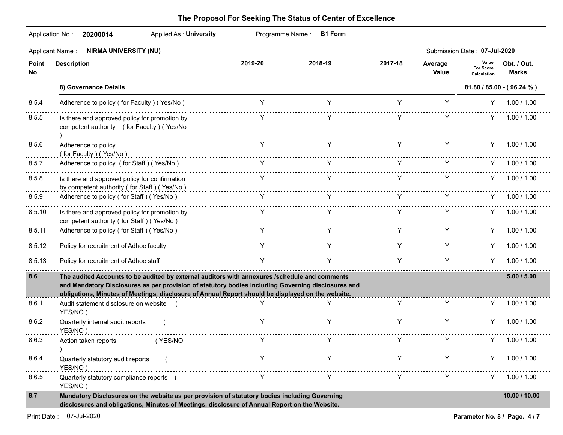|              | <b>NIRMA UNIVERSITY (NU)</b><br><b>Applicant Name:</b>                                                                                                                                                                                                                                                   |         |         |         |                  | Submission Date: 07-Jul-2020      |                             |
|--------------|----------------------------------------------------------------------------------------------------------------------------------------------------------------------------------------------------------------------------------------------------------------------------------------------------------|---------|---------|---------|------------------|-----------------------------------|-----------------------------|
| Point<br>No. | <b>Description</b>                                                                                                                                                                                                                                                                                       | 2019-20 | 2018-19 | 2017-18 | Average<br>Value | Value<br>For Score<br>Calculation | Obt. / Out.<br><b>Marks</b> |
|              | 8) Governance Details                                                                                                                                                                                                                                                                                    |         |         |         |                  |                                   | 81.80 / 85.00 - (96.24 %)   |
| 8.5.4        | Adherence to policy (for Faculty) (Yes/No)                                                                                                                                                                                                                                                               | Y       | Y       | Y       | Y                |                                   | $Y = 1.00 / 1.00$           |
| 8.5.5        | Is there and approved policy for promotion by<br>competent authority (for Faculty) (Yes/No                                                                                                                                                                                                               |         |         | Y       | Y                | Y.                                | 1.00 / 1.00                 |
| 8.5.6        | Adherence to policy<br>(for Faculty) (Yes/No)                                                                                                                                                                                                                                                            | Y       | Y       | Y       | Y                |                                   | $Y = 1.00 / 1.00$           |
| 8.5.7        | Adherence to policy (for Staff) (Yes/No)                                                                                                                                                                                                                                                                 |         |         | Y C     | Y.               |                                   | $Y = 1.00 / 1.00$           |
| 8.5.8        | Is there and approved policy for confirmation<br>by competent authority (for Staff) (Yes/No)                                                                                                                                                                                                             |         |         | Y.      | Y                |                                   | $Y = 1.00 / 1.00$           |
| 8.5.9        | Adherence to policy (for Staff) (Yes/No)                                                                                                                                                                                                                                                                 | Y.      |         | Y C     | Y.               |                                   | $Y = 1.00 / 1.00$           |
| 8.5.10       | Is there and approved policy for promotion by<br>competent authority (for Staff) (Yes/No)                                                                                                                                                                                                                | Y.      | Y       | Y.      | Y                |                                   | $Y = 1.00 / 1.00$           |
| 8.5.11       | Adherence to policy (for Staff) (Yes/No)                                                                                                                                                                                                                                                                 | Y.      |         | Y.      | Y.               |                                   | $Y = 1.00 / 1.00$           |
| 8.5.12       | Policy for recruitment of Adhoc faculty                                                                                                                                                                                                                                                                  | Y.      |         | Y.      | Y                |                                   | $Y = 1.00 / 1.00$           |
| 8.5.13       | Policy for recruitment of Adhoc staff                                                                                                                                                                                                                                                                    | Y       | Y       | Y -     | Y.               |                                   | $Y = 1.00 / 1.00$           |
| 8.6          | The audited Accounts to be audited by external auditors with annexures /schedule and comments<br>and Mandatory Disclosures as per provision of statutory bodies including Governing disclosures and<br>obligations, Minutes of Meetings, disclosure of Annual Report should be displayed on the website. |         |         |         |                  |                                   | 5.00 / 5.00                 |
| 8.6.1        | Audit statement disclosure on website (<br>YES/NO)                                                                                                                                                                                                                                                       |         | Y       | Y       | Y                |                                   | Y 1.00 / 1.00               |
| 8.6.2        | Quarterly internal audit reports<br>YES/NO)                                                                                                                                                                                                                                                              | Y       | Y       | Y       | Y                | Y.                                | 1.00 / 1.00                 |
| 8.6.3        | Action taken reports<br>(YES/NO                                                                                                                                                                                                                                                                          |         |         |         |                  | Y.                                | 1.00 / 1.00                 |
| 8.6.4        | Quarterly statutory audit reports<br>YES/NO)                                                                                                                                                                                                                                                             | Y       | Y       | Y       | Y                |                                   | $Y = 1.00 / 1.00$           |
| 8.6.5        | Quarterly statutory compliance reports (<br>YES/NO)                                                                                                                                                                                                                                                      | Y       | Y       | Y       | Y                | Y.                                | 1.00 / 1.00                 |
| 8.7          | Mandatory Disclosures on the website as per provision of statutory bodies including Governing<br>disclosures and obligations, Minutes of Meetings, disclosure of Annual Report on the Website.                                                                                                           |         |         |         |                  |                                   | 10.00 / 10.00               |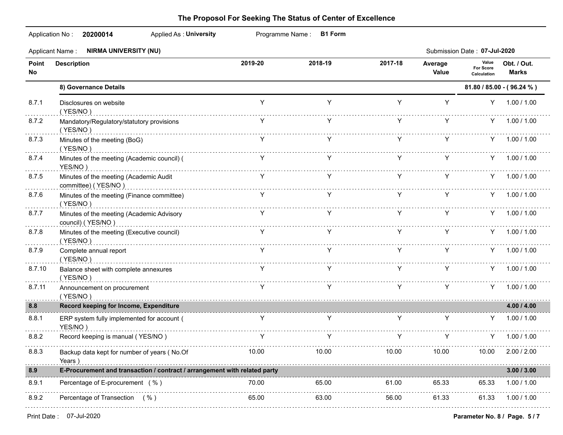|              | <b>Applied As: University</b><br>Application No: 20200014                 |              | Programme Name: B1 Form                                                                                                                                                                                                             |         |                                          |                                   |                           |
|--------------|---------------------------------------------------------------------------|--------------|-------------------------------------------------------------------------------------------------------------------------------------------------------------------------------------------------------------------------------------|---------|------------------------------------------|-----------------------------------|---------------------------|
|              | Applicant Name: NIRMA UNIVERSITY (NU)                                     |              |                                                                                                                                                                                                                                     |         |                                          | Submission Date: 07-Jul-2020      |                           |
| Point<br>No. | <b>Description</b>                                                        | 2019-20      | 2018-19                                                                                                                                                                                                                             | 2017-18 | Average<br>Value                         | Value<br>For Score<br>Calculation | Obt. / Out.<br>Marks      |
|              | 8) Governance Details                                                     |              |                                                                                                                                                                                                                                     |         |                                          |                                   | 81.80 / 85.00 - (96.24 %) |
| 8.7.1        | Disclosures on website<br>(YES/NO)                                        | Y            | Y                                                                                                                                                                                                                                   | Y       | Y                                        |                                   | Y 1.00 / 1.00             |
| 8.7.2        | Mandatory/Regulatory/statutory provisions<br>(YES/NO)                     |              | Y                                                                                                                                                                                                                                   | Y C     | Y.                                       |                                   | $Y = 1.00 / 1.00$         |
| 8.7.3        | Minutes of the meeting (BoG)<br>(YES/NO)                                  | Y            | $\mathsf{Y}$                                                                                                                                                                                                                        |         | $Y = 1$                                  | $Y = 1$                           | Y 1.00 / 1.00             |
| 8.7.4        | Minutes of the meeting (Academic council) (<br>YES/NO)                    |              | <b>Property</b> Property Property Property Property Property Property Property Property Property Property Property Property Property Property Property Property Property Property Property Property Property Property Property Prop |         |                                          |                                   | Y 1.00 / 1.00             |
| 8.7.5        | Minutes of the meeting (Academic Audit<br>committee) (YES/NO)             |              | $Y$ $Y$                                                                                                                                                                                                                             | Y C     | Y                                        |                                   | $Y = 1.00 / 1.00$         |
| 8.7.6        | Minutes of the meeting (Finance committee)<br>(YES/NO)                    |              |                                                                                                                                                                                                                                     |         | $\mathsf{Y}$ and $\mathsf{Y}$<br>$Y = 1$ |                                   | $Y = 1.00 / 1.00$         |
| 8.7.7        | Minutes of the meeting (Academic Advisory<br>council) (YES/NO)            |              | $\mathsf{Y}$ and $\mathsf{Y}$                                                                                                                                                                                                       |         | Y Y                                      |                                   | Y 1.00 / 1.00             |
| 8.7.8        | Minutes of the meeting (Executive council)<br>(YES/NO)                    |              | $Y$ $Y$                                                                                                                                                                                                                             |         | Y Y                                      |                                   | Y 1.00 / 1.00             |
| 8.7.9        | Complete annual report<br>(YES/NO)                                        | Y            | $\mathsf{Y}$                                                                                                                                                                                                                        |         | $Y$ $Y$                                  |                                   | Y 1.00 / 1.00             |
| 8.7.10       | Balance sheet with complete annexures<br>(YES/NO)                         |              | $\gamma$ and $\gamma$                                                                                                                                                                                                               |         | Y Y                                      |                                   | Y 1.00 / 1.00             |
| 8.7.11       | Announcement on procurement<br>(YES/NO)                                   | Y.           | Y.                                                                                                                                                                                                                                  | Y -     | Y.                                       |                                   | $Y = 1.00 / 1.00$         |
| 8.8          | Record keeping for Income, Expenditure                                    |              |                                                                                                                                                                                                                                     |         |                                          |                                   | 4.00 / 4.00               |
| 8.8.1        | ERP system fully implemented for account (<br>YES/NO)                     | $\mathsf{Y}$ | Y                                                                                                                                                                                                                                   |         | $Y = 1$                                  | $Y = 1$                           | Y 1.00 / 1.00             |
| 8.8.2        | Record keeping is manual (YES/NO)                                         |              | $\gamma$ and $\gamma$                                                                                                                                                                                                               |         | $Y = 1$<br>Y                             | Y.                                | 1.00 / 1.00               |
| 8.8.3        | Backup data kept for number of years (No.Of<br>Years )                    | 10.00        | 10.00                                                                                                                                                                                                                               | 10.00   | 10.00                                    | 10.00                             | 2.00 / 2.00               |
| 8.9          | E-Procurement and transaction / contract / arrangement with related party |              |                                                                                                                                                                                                                                     |         |                                          |                                   | 3.00 / 3.00               |
| 8.9.1        | Percentage of E-procurement (%)                                           | 70.00        | 65.00                                                                                                                                                                                                                               | 61.00   | 65.33                                    | 65.33                             | 1.00 / 1.00               |
| 8.9.2        | Percentage of Transection (%)                                             | 65.00        | 63.00                                                                                                                                                                                                                               | 56.00   | 61.33                                    | 61.33                             | 1.00 / 1.00               |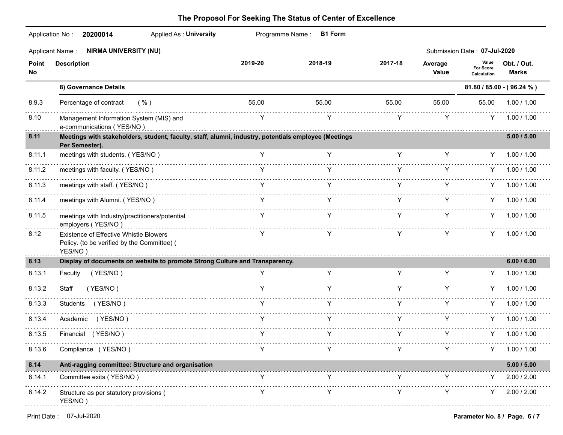|              | <b>Applied As: University</b><br>Application No:<br>20200014                                                           |              | Programme Name: B1 Form                                                                                                                                                                                                                                                                                                                                                                                                                   |         |                  |                                          |                           |
|--------------|------------------------------------------------------------------------------------------------------------------------|--------------|-------------------------------------------------------------------------------------------------------------------------------------------------------------------------------------------------------------------------------------------------------------------------------------------------------------------------------------------------------------------------------------------------------------------------------------------|---------|------------------|------------------------------------------|---------------------------|
|              | Applicant Name: NIRMA UNIVERSITY (NU)                                                                                  |              |                                                                                                                                                                                                                                                                                                                                                                                                                                           |         |                  | Submission Date: 07-Jul-2020             |                           |
| Point<br>No. | <b>Description</b>                                                                                                     | 2019-20      | 2018-19                                                                                                                                                                                                                                                                                                                                                                                                                                   | 2017-18 | Average<br>Value | Value<br><b>For Score</b><br>Calculation | Obt. / Out.<br>Marks      |
|              | 8) Governance Details                                                                                                  |              |                                                                                                                                                                                                                                                                                                                                                                                                                                           |         |                  |                                          | 81.80 / 85.00 - (96.24 %) |
| 8.9.3        | Percentage of contract<br>( %)                                                                                         | 55.00        | 55.00                                                                                                                                                                                                                                                                                                                                                                                                                                     | 55.00   | 55.00            | 55.00                                    | 1.00 / 1.00               |
| 8.10         | Management Information System (MIS) and<br>e-communications (YES/NO)                                                   | Y            | Y                                                                                                                                                                                                                                                                                                                                                                                                                                         | Y       | Y                | Y                                        | 1.00 / 1.00               |
| 8.11         | Meetings with stakeholders, student, faculty, staff, alumni, industry, potentials employee (Meetings<br>Per Semester). |              |                                                                                                                                                                                                                                                                                                                                                                                                                                           |         |                  |                                          | 5.00 / 5.00               |
| 8.11.1       | meetings with students. (YES/NO)                                                                                       | $\mathsf{v}$ | $\mathbf{Y}$                                                                                                                                                                                                                                                                                                                                                                                                                              | Y X     | Y.               |                                          | 1.00 / 1.00               |
| 8.11.2       | meetings with faculty. (YES/NO)                                                                                        |              | $\mathsf{Y}$ and $\mathsf{Y}$ are the set of $\mathsf{Y}$                                                                                                                                                                                                                                                                                                                                                                                 | Y a     | Y.               | Y.                                       | 1.00 / 1.00               |
| 8.11.3       | meetings with staff. (YES/NO)                                                                                          |              |                                                                                                                                                                                                                                                                                                                                                                                                                                           | Y       | Y                |                                          | $Y = 1.00 / 1.00$         |
| 8.11.4       | meetings with Alumni. (YES/NO)                                                                                         | Y            | Y                                                                                                                                                                                                                                                                                                                                                                                                                                         | Y       | Y                | Y -                                      | 1.00 / 1.00               |
| 8.11.5       | meetings with Industry/practitioners/potential<br>employers (YES/NO)                                                   | Y            | Y                                                                                                                                                                                                                                                                                                                                                                                                                                         | Y       | Y                |                                          | $Y = 1.00 / 1.00$         |
| 8.12         | Existence of Effective Whistle Blowers<br>Policy. (to be verified by the Committee) (<br>YES/NO)                       | Y            | Y                                                                                                                                                                                                                                                                                                                                                                                                                                         | Y       | Y                | Y.                                       | 1.00 / 1.00               |
| 8.13         | Display of documents on website to promote Strong Culture and Transparency.                                            |              |                                                                                                                                                                                                                                                                                                                                                                                                                                           |         |                  |                                          | 6.00 / 6.00               |
| 8.13.1       | Faculty (YES/NO)                                                                                                       |              | Y                                                                                                                                                                                                                                                                                                                                                                                                                                         |         |                  |                                          | 1.00 / 1.00               |
| 8.13.2       | Staff<br>(YES/NO)                                                                                                      | Y.           | Y                                                                                                                                                                                                                                                                                                                                                                                                                                         | Y       | Y.               |                                          | 1.00 / 1.00               |
| 8.13.3       | Students (YES/NO)                                                                                                      | Y            |                                                                                                                                                                                                                                                                                                                                                                                                                                           | Y       | Y                | Y.                                       | 1.00 / 1.00               |
| 8.13.4       | (YES/NO)<br>Academic                                                                                                   | Y.           | Y                                                                                                                                                                                                                                                                                                                                                                                                                                         | Y       | Y                | Y                                        | 1.00 / 1.00               |
| 8.13.5       | Financial (YES/NO)                                                                                                     | Y            | Y                                                                                                                                                                                                                                                                                                                                                                                                                                         | Y       | Y                | Y.                                       | 1.00 / 1.00               |
| 8.13.6       | Compliance (YES/NO)                                                                                                    |              | $\begin{array}{ccccccccccccc} & & & & & & & & \vee & & & & & & \vee & & & & & & \vee & & & & & \vee & & & & & \vee & & & & & \vee & & & & & \vee & & & & & \vee & & & & & \vee & & & & & \vee & & & & & \vee & & & & & \vee & & & & & \vee & & & & & \vee & & & & & \vee & & & & & \vee & & & & & \vee & & & & & \vee & & & & & \vee & & & & & \vee & & & & & \vee & & & & & \vee & & & & & \vee & & & & & \vee & & & & & & \vee & & & &$ |         |                  |                                          |                           |
| 8.14         | Anti-ragging committee: Structure and organisation                                                                     |              |                                                                                                                                                                                                                                                                                                                                                                                                                                           |         |                  |                                          | 5.00 / 5.00               |
| 8.14.1       | Committee exits (YES/NO)                                                                                               | Y            |                                                                                                                                                                                                                                                                                                                                                                                                                                           |         |                  | Y                                        | 2.00 / 2.00               |
| 8.14.2       | Structure as per statutory provisions (<br>YES/NO)                                                                     | Y            |                                                                                                                                                                                                                                                                                                                                                                                                                                           | Υ       | Y                | Y                                        | 2.00 / 2.00               |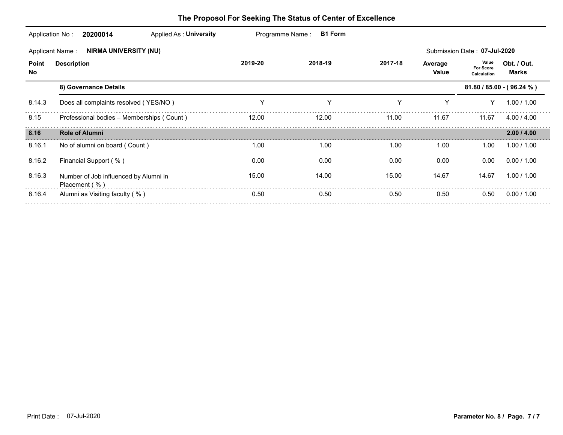| Application No:<br>20200014<br>Applied As: University                                  |                                                        | Programme Name:<br><b>B1 Form</b> |         |         |                  |                                          |                      |  |  |  |  |
|----------------------------------------------------------------------------------------|--------------------------------------------------------|-----------------------------------|---------|---------|------------------|------------------------------------------|----------------------|--|--|--|--|
| <b>NIRMA UNIVERSITY (NU)</b><br>Submission Date: 07-Jul-2020<br><b>Applicant Name:</b> |                                                        |                                   |         |         |                  |                                          |                      |  |  |  |  |
| Point<br>No.                                                                           | <b>Description</b>                                     | 2019-20                           | 2018-19 | 2017-18 | Average<br>Value | Value<br><b>For Score</b><br>Calculation | Obt. / Out.<br>Marks |  |  |  |  |
|                                                                                        | 8) Governance Details                                  |                                   |         |         |                  | $81.80 / 85.00 - (96.24 %)$              |                      |  |  |  |  |
| 8.14.3                                                                                 | Does all complaints resolved (YES/NO)                  | Y                                 | Υ       | Υ       | Υ                |                                          | 1.00 / 1.00          |  |  |  |  |
| 8.15                                                                                   | Professional bodies - Memberships (Count)              | 12.00                             | 12.00   | 11.00   | 11.67            | 11.67                                    | 4.00 / 4.00          |  |  |  |  |
| 8.16                                                                                   | <b>Role of Alumni</b>                                  |                                   |         |         |                  |                                          | 2.00 / 4.00          |  |  |  |  |
| 8.16.1                                                                                 | No of alumni on board (Count)                          | 1.00                              | 1.00    | 1.00    | 1.00             | 1.00                                     | 1.00 / 1.00          |  |  |  |  |
| 8.16.2                                                                                 | Financial Support (%)                                  | 0.00                              | 0.00    | 0.00    | 0.00             | 0.00                                     | 0.00 / 1.00          |  |  |  |  |
| 8.16.3                                                                                 | Number of Job influenced by Alumni in<br>Placement (%) | 15.00                             | 14.00   | 15.00   | 14.67            | 14.67                                    | 1.00 / 1.00          |  |  |  |  |
| 8.16.4                                                                                 | Alumni as Visiting faculty (%)                         | 0.50                              | 0.50    | 0.50    | 0.50             | 0.50                                     | 0.00 / 1.00          |  |  |  |  |
|                                                                                        |                                                        |                                   |         |         |                  |                                          |                      |  |  |  |  |